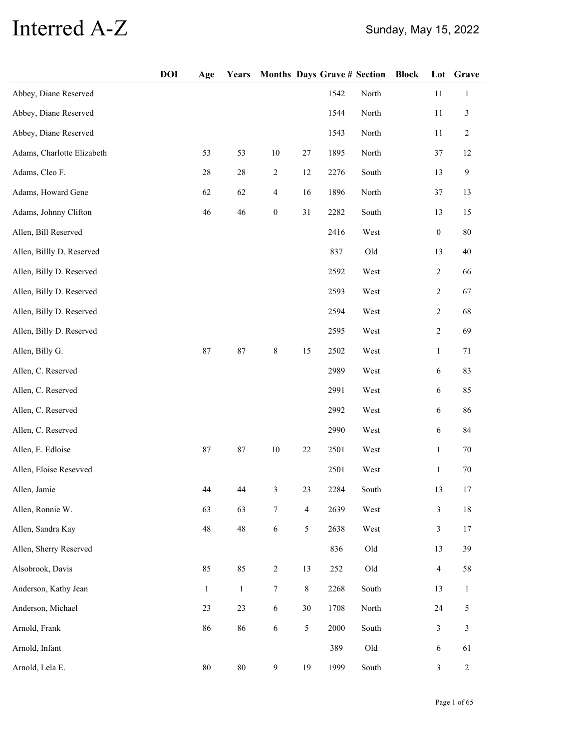## Interred A-Z Sunday, May 15, 2022

|                            | <b>DOI</b> | Age          | Years        | Months Days Grave # Section |                |      |       | Block |                  | Lot Grave        |
|----------------------------|------------|--------------|--------------|-----------------------------|----------------|------|-------|-------|------------------|------------------|
| Abbey, Diane Reserved      |            |              |              |                             |                | 1542 | North |       | 11               | $\,1\,$          |
| Abbey, Diane Reserved      |            |              |              |                             |                | 1544 | North |       | 11               | $\mathfrak{Z}$   |
| Abbey, Diane Reserved      |            |              |              |                             |                | 1543 | North |       | 11               | $\overline{c}$   |
| Adams, Charlotte Elizabeth |            | 53           | 53           | $10\,$                      | $27\,$         | 1895 | North |       | 37               | 12               |
| Adams, Cleo F.             |            | $28\,$       | $28\,$       | $\boldsymbol{2}$            | 12             | 2276 | South |       | 13               | $\boldsymbol{9}$ |
| Adams, Howard Gene         |            | 62           | 62           | $\overline{4}$              | 16             | 1896 | North |       | 37               | 13               |
| Adams, Johnny Clifton      |            | 46           | 46           | $\boldsymbol{0}$            | $31\,$         | 2282 | South |       | 13               | 15               |
| Allen, Bill Reserved       |            |              |              |                             |                | 2416 | West  |       | $\boldsymbol{0}$ | 80               |
| Allen, Billly D. Reserved  |            |              |              |                             |                | 837  | Old   |       | 13               | 40               |
| Allen, Billy D. Reserved   |            |              |              |                             |                | 2592 | West  |       | $\overline{c}$   | 66               |
| Allen, Billy D. Reserved   |            |              |              |                             |                | 2593 | West  |       | $\overline{c}$   | 67               |
| Allen, Billy D. Reserved   |            |              |              |                             |                | 2594 | West  |       | $\overline{c}$   | 68               |
| Allen, Billy D. Reserved   |            |              |              |                             |                | 2595 | West  |       | $\overline{c}$   | 69               |
| Allen, Billy G.            |            | 87           | 87           | $\,8\,$                     | 15             | 2502 | West  |       | $\mathbf{1}$     | $71\,$           |
| Allen, C. Reserved         |            |              |              |                             |                | 2989 | West  |       | 6                | 83               |
| Allen, C. Reserved         |            |              |              |                             |                | 2991 | West  |       | 6                | 85               |
| Allen, C. Reserved         |            |              |              |                             |                | 2992 | West  |       | 6                | 86               |
| Allen, C. Reserved         |            |              |              |                             |                | 2990 | West  |       | 6                | 84               |
| Allen, E. Edloise          |            | $87\,$       | $87\,$       | $10\,$                      | $22\,$         | 2501 | West  |       | $\mathbf{1}$     | $70\,$           |
| Allen, Eloise Resevved     |            |              |              |                             |                | 2501 | West  |       | $\mathbf{1}$     | 70               |
| Allen, Jamie               |            | 44           | 44           | 3                           | 23             | 2284 | South |       | 13               | 17               |
| Allen, Ronnie W.           |            | 63           | 63           | $\boldsymbol{7}$            | $\overline{4}$ | 2639 | West  |       | 3                | $18\,$           |
| Allen, Sandra Kay          |            | $48\,$       | $\sqrt{48}$  | $\sqrt{6}$                  | 5              | 2638 | West  |       | 3                | 17               |
| Allen, Sherry Reserved     |            |              |              |                             |                | 836  | Old   |       | 13               | 39               |
| Alsobrook, Davis           |            | 85           | 85           | $\sqrt{2}$                  | 13             | 252  | Old   |       | 4                | $58\,$           |
| Anderson, Kathy Jean       |            | $\mathbf{1}$ | $\mathbf{1}$ | $\boldsymbol{7}$            | 8              | 2268 | South |       | 13               | $\mathbf{1}$     |
| Anderson, Michael          |            | 23           | 23           | $\sqrt{6}$                  | 30             | 1708 | North |       | 24               | 5                |
| Arnold, Frank              |            | 86           | 86           | $\sqrt{6}$                  | 5              | 2000 | South |       | 3                | $\mathfrak{Z}$   |
| Arnold, Infant             |            |              |              |                             |                | 389  | Old   |       | $\sqrt{6}$       | 61               |
| Arnold, Lela E.            |            | $80\,$       | $80\,$       | $\overline{9}$              | 19             | 1999 | South |       | 3                | $\sqrt{2}$       |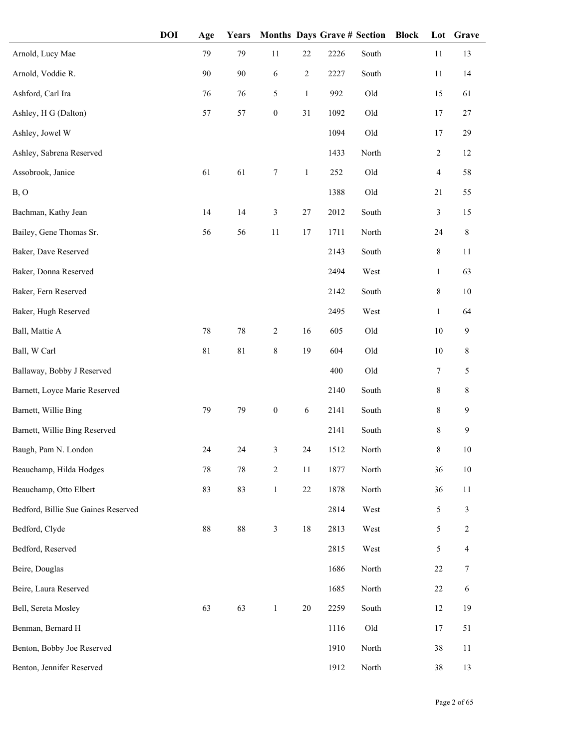|                                     | <b>DOI</b> | Age         | Years       |                  |                |      | Months Days Grave # Section | <b>Block</b> |                          | Lot Grave      |  |
|-------------------------------------|------------|-------------|-------------|------------------|----------------|------|-----------------------------|--------------|--------------------------|----------------|--|
| Arnold, Lucy Mae                    |            | 79          | 79          | $11\,$           | 22             | 2226 | South                       |              | 11                       | 13             |  |
| Arnold, Voddie R.                   |            | $90\,$      | 90          | 6                | $\overline{c}$ | 2227 | South                       |              | 11                       | 14             |  |
| Ashford, Carl Ira                   |            | 76          | 76          | 5                | $\mathbf{1}$   | 992  | Old                         |              | 15                       | 61             |  |
| Ashley, H G (Dalton)                |            | 57          | 57          | $\boldsymbol{0}$ | 31             | 1092 | Old                         |              | 17                       | $27\,$         |  |
| Ashley, Jowel W                     |            |             |             |                  |                | 1094 | Old                         |              | 17                       | 29             |  |
| Ashley, Sabrena Reserved            |            |             |             |                  |                | 1433 | North                       |              | $\overline{2}$           | 12             |  |
| Assobrook, Janice                   |            | 61          | 61          | $\tau$           | $\mathbf{1}$   | 252  | Old                         |              | $\overline{\mathcal{A}}$ | 58             |  |
| B, O                                |            |             |             |                  |                | 1388 | Old                         |              | 21                       | 55             |  |
| Bachman, Kathy Jean                 |            | 14          | 14          | 3                | 27             | 2012 | South                       |              | $\sqrt{3}$               | 15             |  |
| Bailey, Gene Thomas Sr.             |            | 56          | 56          | 11               | 17             | 1711 | North                       |              | 24                       | $\,8\,$        |  |
| Baker, Dave Reserved                |            |             |             |                  |                | 2143 | South                       |              | $\,$ 8 $\,$              | 11             |  |
| Baker, Donna Reserved               |            |             |             |                  |                | 2494 | West                        |              | $\mathbf{1}$             | 63             |  |
| Baker, Fern Reserved                |            |             |             |                  |                | 2142 | South                       |              | $\,$ $\,$                | $10\,$         |  |
| Baker, Hugh Reserved                |            |             |             |                  |                | 2495 | West                        |              | $\mathbf{1}$             | 64             |  |
| Ball, Mattie A                      |            | $78\,$      | 78          | $\overline{c}$   | 16             | 605  | Old                         |              | $10\,$                   | 9              |  |
| Ball, W Carl                        |            | $8\sqrt{1}$ | $8\sqrt{1}$ | $\,$ 8 $\,$      | 19             | 604  | Old                         |              | $10\,$                   | $\,$ $\,$      |  |
| Ballaway, Bobby J Reserved          |            |             |             |                  |                | 400  | Old                         |              | $\boldsymbol{7}$         | 5              |  |
| Barnett, Loyce Marie Reserved       |            |             |             |                  |                | 2140 | South                       |              | $\,$ $\,$                | 8              |  |
| Barnett, Willie Bing                |            | 79          | 79          | $\boldsymbol{0}$ | 6              | 2141 | South                       |              | $\,$ 8 $\,$              | 9              |  |
| Barnett, Willie Bing Reserved       |            |             |             |                  |                | 2141 | South                       |              | $\,$ 8 $\,$              | 9              |  |
| Baugh, Pam N. London                |            | 24          | 24          | 3                | 24             | 1512 | North                       |              | $\,$ 8 $\,$              | 10             |  |
| Beauchamp, Hilda Hodges             |            | $78\,$      | $78\,$      | $\overline{c}$   | 11             | 1877 | North                       |              | 36                       | 10             |  |
| Beauchamp, Otto Elbert              |            | 83          | 83          | $\mathbf{1}$     | $22\,$         | 1878 | North                       |              | 36                       | $11\,$         |  |
| Bedford, Billie Sue Gaines Reserved |            |             |             |                  |                | 2814 | West                        |              | 5                        | 3              |  |
| Bedford, Clyde                      |            | $88\,$      | $88\,$      | $\mathfrak{Z}$   | 18             | 2813 | West                        |              | $\mathfrak s$            | $\overline{c}$ |  |
| Bedford, Reserved                   |            |             |             |                  |                | 2815 | West                        |              | $\mathfrak s$            | 4              |  |
| Beire, Douglas                      |            |             |             |                  |                | 1686 | North                       |              | $22\,$                   | 7              |  |
| Beire, Laura Reserved               |            |             |             |                  |                | 1685 | North                       |              | 22                       | 6              |  |
| Bell, Sereta Mosley                 |            | 63          | 63          | $\mathbf{1}$     | 20             | 2259 | South                       |              | 12                       | 19             |  |
| Benman, Bernard H                   |            |             |             |                  |                | 1116 | Old                         |              | 17                       | 51             |  |
| Benton, Bobby Joe Reserved          |            |             |             |                  |                | 1910 | North                       |              | 38                       | $11\,$         |  |
| Benton, Jennifer Reserved           |            |             |             |                  |                | 1912 | North                       |              | $38\,$                   | 13             |  |
|                                     |            |             |             |                  |                |      |                             |              |                          |                |  |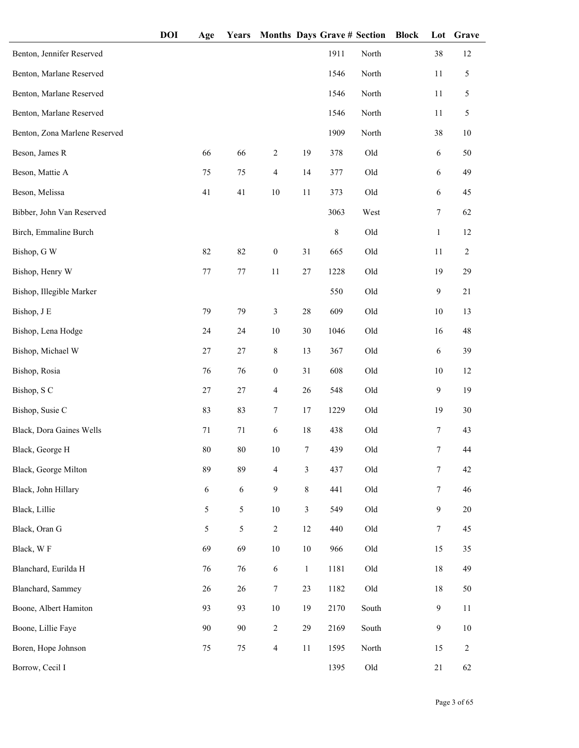|                               | <b>DOI</b> | Age        | Years          |                  |                | <b>Months Days Grave # Section</b> |                | <b>Block</b> |                  | Lot Grave        |
|-------------------------------|------------|------------|----------------|------------------|----------------|------------------------------------|----------------|--------------|------------------|------------------|
| Benton, Jennifer Reserved     |            |            |                |                  |                | 1911                               | North          |              | $38\,$           | $12\,$           |
| Benton, Marlane Reserved      |            |            |                |                  |                | 1546                               | North          |              | 11               | 5                |
| Benton, Marlane Reserved      |            |            |                |                  |                | 1546                               | North          |              | 11               | 5                |
| Benton, Marlane Reserved      |            |            |                |                  |                | 1546                               | North          |              | 11               | $\mathfrak s$    |
| Benton, Zona Marlene Reserved |            |            |                |                  |                | 1909                               | North          |              | 38               | $10\,$           |
| Beson, James R                |            | 66         | 66             | $\boldsymbol{2}$ | 19             | 378                                | $\mathrm{Old}$ |              | 6                | 50               |
| Beson, Mattie A               |            | 75         | 75             | $\overline{4}$   | 14             | 377                                | $\mathrm{Old}$ |              | 6                | 49               |
| Beson, Melissa                |            | 41         | $41\,$         | $10\,$           | 11             | 373                                | $\mathrm{Old}$ |              | 6                | 45               |
| Bibber, John Van Reserved     |            |            |                |                  |                | 3063                               | West           |              | $\boldsymbol{7}$ | 62               |
| Birch, Emmaline Burch         |            |            |                |                  |                | $\,8\,$                            | $\mathrm{Old}$ |              | $\mathbf{1}$     | $12\,$           |
| Bishop, G W                   |            | 82         | 82             | $\boldsymbol{0}$ | 31             | 665                                | Old            |              | 11               | $\sqrt{2}$       |
| Bishop, Henry W               |            | $77\,$     | $77\,$         | $11\,$           | $27\,$         | 1228                               | $\mathrm{Old}$ |              | 19               | 29               |
| Bishop, Illegible Marker      |            |            |                |                  |                | 550                                | $\mathrm{Old}$ |              | 9                | $21\,$           |
| Bishop, J E                   |            | 79         | 79             | 3                | $28\,$         | 609                                | $\mathrm{Old}$ |              | $10\,$           | 13               |
| Bishop, Lena Hodge            |            | 24         | 24             | $10\,$           | 30             | 1046                               | Old            |              | 16               | $48\,$           |
| Bishop, Michael W             |            | $27\,$     | $27\,$         | 8                | 13             | 367                                | Old            |              | 6                | 39               |
| Bishop, Rosia                 |            | 76         | $76\,$         | $\boldsymbol{0}$ | 31             | 608                                | $\mathrm{Old}$ |              | $10\,$           | 12               |
| Bishop, S C                   |            | $27\,$     | $27\,$         | $\overline{4}$   | $26\,$         | 548                                | $\mathrm{Old}$ |              | 9                | 19               |
| Bishop, Susie C               |            | 83         | 83             | $\tau$           | 17             | 1229                               | Old            |              | 19               | $30\,$           |
| Black, Dora Gaines Wells      |            | $71\,$     | $71\,$         | $\sqrt{6}$       | $18\,$         | 438                                | $\mathrm{Old}$ |              | 7                | $43\,$           |
| Black, George H               |            | $80\,$     | $80\,$         | $10\,$           | $\tau$         | 439                                | Old            |              | 7                | 44               |
| Black, George Milton          |            | 89         | 89             | 4                | 3              | 437                                | Old            |              | 7                | 42               |
| Black, John Hillary           |            | $\sqrt{6}$ | $\epsilon$     | 9                | $\,8\,$        | 441                                | Old            |              | $\overline{7}$   | 46               |
| Black, Lillie                 |            | 5          | 5              | $10\,$           | $\mathfrak{Z}$ | 549                                | Old            |              | 9                | $20\,$           |
| Black, Oran G                 |            | 5          | $\mathfrak{S}$ | $\overline{2}$   | 12             | 440                                | Old            |              | $7\phantom{.}$   | 45               |
| Black, WF                     |            | 69         | 69             | $10\,$           | $10\,$         | 966                                | Old            |              | 15               | 35               |
| Blanchard, Eurilda H          |            | 76         | 76             | 6                | $\,1$          | 1181                               | Old            |              | $18\,$           | 49               |
| Blanchard, Sammey             |            | 26         | $26\,$         | $\tau$           | 23             | 1182                               | $\mathrm{Old}$ |              | $18\,$           | $50\,$           |
| Boone, Albert Hamiton         |            | 93         | 93             | $10\,$           | 19             | 2170                               | South          |              | 9                | $11\,$           |
| Boone, Lillie Faye            |            | 90         | 90             | $\overline{c}$   | 29             | 2169                               | South          |              | 9                | $10\,$           |
| Boren, Hope Johnson           |            | 75         | 75             | $\overline{4}$   | 11             | 1595                               | North          |              | 15               | $\boldsymbol{2}$ |
| Borrow, Cecil I               |            |            |                |                  |                | 1395                               | $\mathrm{Old}$ |              | 21               | 62               |
|                               |            |            |                |                  |                |                                    |                |              |                  |                  |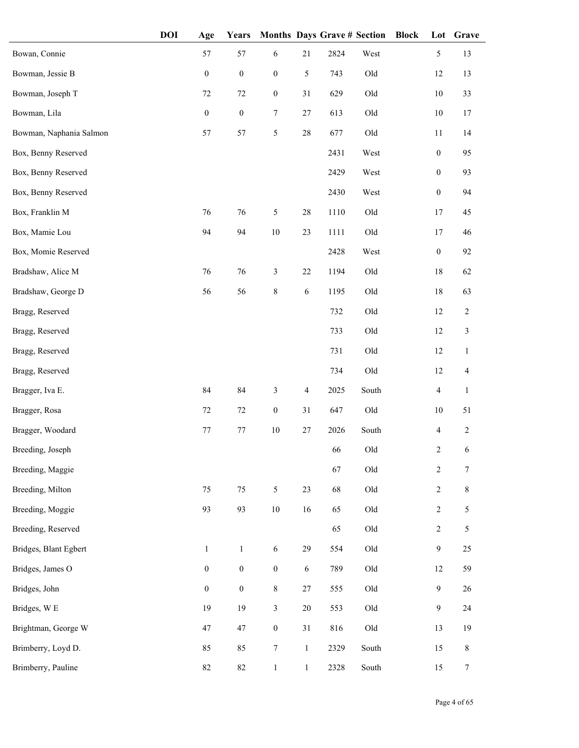|                         | <b>DOI</b> | Age              | Years            |                  |                | <b>Months Days Grave # Section</b> |                | <b>Block</b> |                  | Lot Grave        |
|-------------------------|------------|------------------|------------------|------------------|----------------|------------------------------------|----------------|--------------|------------------|------------------|
| Bowan, Connie           |            | 57               | 57               | $\sqrt{6}$       | 21             | 2824                               | West           |              | 5                | 13               |
| Bowman, Jessie B        |            | $\boldsymbol{0}$ | $\boldsymbol{0}$ | $\boldsymbol{0}$ | 5              | 743                                | $\mathrm{Old}$ |              | 12               | 13               |
| Bowman, Joseph T        |            | $72\,$           | $72\,$           | $\boldsymbol{0}$ | 31             | 629                                | Old            |              | $10\,$           | 33               |
| Bowman, Lila            |            | $\boldsymbol{0}$ | $\boldsymbol{0}$ | $\tau$           | $27\,$         | 613                                | Old            |              | $10\,$           | $17\,$           |
| Bowman, Naphania Salmon |            | 57               | 57               | $\mathfrak{S}$   | $28\,$         | 677                                | $\mathrm{Old}$ |              | 11               | $14$             |
| Box, Benny Reserved     |            |                  |                  |                  |                | 2431                               | West           |              | $\boldsymbol{0}$ | 95               |
| Box, Benny Reserved     |            |                  |                  |                  |                | 2429                               | West           |              | $\boldsymbol{0}$ | 93               |
| Box, Benny Reserved     |            |                  |                  |                  |                | 2430                               | West           |              | $\boldsymbol{0}$ | 94               |
| Box, Franklin M         |            | 76               | 76               | 5                | $28\,$         | 1110                               | $\mathrm{Old}$ |              | $17$             | 45               |
| Box, Mamie Lou          |            | 94               | 94               | $10\,$           | 23             | 1111                               | $\mathrm{Old}$ |              | 17               | $46\,$           |
| Box, Momie Reserved     |            |                  |                  |                  |                | 2428                               | West           |              | $\boldsymbol{0}$ | 92               |
| Bradshaw, Alice M       |            | 76               | 76               | $\mathfrak{Z}$   | $22\,$         | 1194                               | Old            |              | 18               | 62               |
| Bradshaw, George D      |            | 56               | 56               | $\,8\,$          | $\sqrt{6}$     | 1195                               | $\mathrm{Old}$ |              | $18\,$           | 63               |
| Bragg, Reserved         |            |                  |                  |                  |                | 732                                | $\mathrm{Old}$ |              | 12               | $\sqrt{2}$       |
| Bragg, Reserved         |            |                  |                  |                  |                | 733                                | Old            |              | 12               | $\mathfrak{Z}$   |
| Bragg, Reserved         |            |                  |                  |                  |                | 731                                | Old            |              | 12               | $\mathbf{1}$     |
| Bragg, Reserved         |            |                  |                  |                  |                | 734                                | Old            |              | 12               | $\overline{4}$   |
| Bragger, Iva E.         |            | 84               | 84               | $\mathfrak{Z}$   | $\overline{4}$ | 2025                               | South          |              | 4                | $\mathbf{1}$     |
| Bragger, Rosa           |            | 72               | $72\,$           | $\boldsymbol{0}$ | 31             | 647                                | $\mathrm{Old}$ |              | 10               | 51               |
| Bragger, Woodard        |            | $77\,$           | $77\,$           | $10\,$           | $27\,$         | 2026                               | South          |              | 4                | $\sqrt{2}$       |
| Breeding, Joseph        |            |                  |                  |                  |                | 66                                 | Old            |              | $\mathbf{2}$     | $\sqrt{6}$       |
| Breeding, Maggie        |            |                  |                  |                  |                | 67                                 | Old            |              | 2                | $\boldsymbol{7}$ |
| Breeding, Milton        |            | 75               | $75\,$           | $\mathfrak{H}$   | $23\,$         | 68                                 | Old            |              | $\overline{c}$   | $8\,$            |
| Breeding, Moggie        |            | 93               | 93               | $10\,$           | 16             | 65                                 | Old            |              | $\overline{c}$   | 5                |
| Breeding, Reserved      |            |                  |                  |                  |                | 65                                 | Old            |              | $\overline{2}$   | 5                |
| Bridges, Blant Egbert   |            | $\mathbf{1}$     | $\mathbf{1}$     | $\sqrt{6}$       | 29             | 554                                | Old            |              | 9                | 25               |
| Bridges, James O        |            | $\boldsymbol{0}$ | $\boldsymbol{0}$ | $\boldsymbol{0}$ | $\sqrt{6}$     | 789                                | Old            |              | 12               | 59               |
| Bridges, John           |            | $\boldsymbol{0}$ | $\boldsymbol{0}$ | $8\,$            | $27\,$         | 555                                | Old            |              | 9                | $26\,$           |
| Bridges, W E            |            | 19               | 19               | $\mathfrak{Z}$   | $20\,$         | 553                                | Old            |              | 9                | $24\,$           |
| Brightman, George W     |            | 47               | $47\,$           | $\boldsymbol{0}$ | 31             | 816                                | Old            |              | 13               | 19               |
| Brimberry, Loyd D.      |            | 85               | 85               | $\boldsymbol{7}$ | $\mathbf{1}$   | 2329                               | South          |              | 15               | $\,8\,$          |
| Brimberry, Pauline      |            | 82               | $82\,$           | $\mathbf{1}$     | $\mathbf{1}$   | 2328                               | South          |              | 15               | $\boldsymbol{7}$ |
|                         |            |                  |                  |                  |                |                                    |                |              |                  |                  |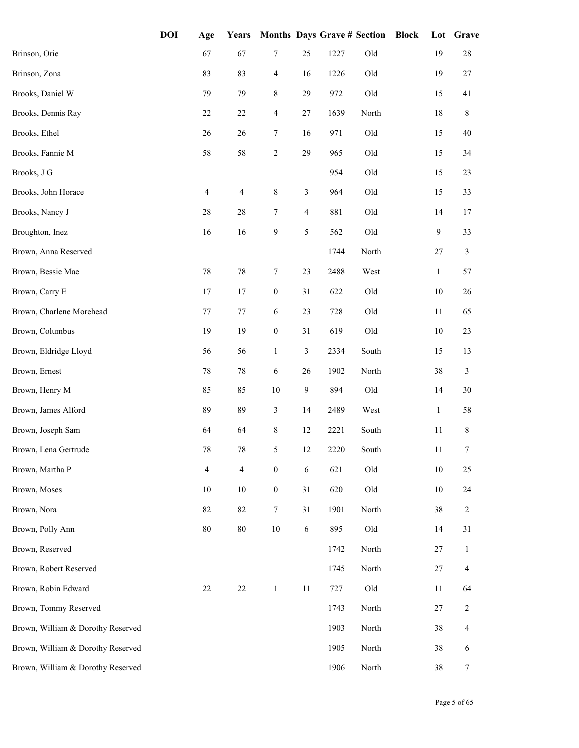|                                   | <b>DOI</b> | Age    | Years          |                  |                | Months Days Grave # Section |                | <b>Block</b> |              | Lot Grave        |
|-----------------------------------|------------|--------|----------------|------------------|----------------|-----------------------------|----------------|--------------|--------------|------------------|
| Brinson, Orie                     |            | 67     | 67             | $\boldsymbol{7}$ | $25\,$         | 1227                        | Old            |              | 19           | $28\,$           |
| Brinson, Zona                     |            | 83     | 83             | 4                | 16             | 1226                        | Old            |              | 19           | $27\,$           |
| Brooks, Daniel W                  |            | 79     | 79             | $\,$ $\,$        | 29             | 972                         | Old            |              | 15           | 41               |
| Brooks, Dennis Ray                |            | $22\,$ | $22\,$         | 4                | $27\,$         | 1639                        | North          |              | 18           | $\,8\,$          |
| Brooks, Ethel                     |            | 26     | $26\,$         | 7                | 16             | 971                         | Old            |              | 15           | $40\,$           |
| Brooks, Fannie M                  |            | 58     | 58             | $\sqrt{2}$       | 29             | 965                         | Old            |              | 15           | 34               |
| Brooks, J G                       |            |        |                |                  |                | 954                         | Old            |              | 15           | 23               |
| Brooks, John Horace               |            | 4      | $\overline{4}$ | $\,$ $\,$        | $\mathfrak{Z}$ | 964                         | Old            |              | 15           | 33               |
| Brooks, Nancy J                   |            | $28\,$ | $28\,$         | 7                | $\overline{4}$ | 881                         | $\mathrm{Old}$ |              | 14           | 17               |
| Broughton, Inez                   |            | 16     | 16             | 9                | $\mathfrak s$  | 562                         | $\mathrm{Old}$ |              | 9            | 33               |
| Brown, Anna Reserved              |            |        |                |                  |                | 1744                        | North          |              | 27           | $\mathfrak{Z}$   |
| Brown, Bessie Mae                 |            | $78\,$ | $78\,$         | $\boldsymbol{7}$ | 23             | 2488                        | West           |              | $\mathbf{1}$ | 57               |
| Brown, Carry E                    |            | 17     | 17             | $\boldsymbol{0}$ | 31             | 622                         | $\mathrm{Old}$ |              | $10\,$       | $26\,$           |
| Brown, Charlene Morehead          |            | 77     | $77\,$         | 6                | 23             | 728                         | Old            |              | 11           | 65               |
| Brown, Columbus                   |            | 19     | 19             | $\boldsymbol{0}$ | 31             | 619                         | Old            |              | $10\,$       | $23\,$           |
| Brown, Eldridge Lloyd             |            | 56     | 56             | $\mathbf{1}$     | 3              | 2334                        | South          |              | 15           | 13               |
| Brown, Ernest                     |            | $78\,$ | $78\,$         | 6                | $26\,$         | 1902                        | North          |              | 38           | $\mathfrak{Z}$   |
| Brown, Henry M                    |            | 85     | 85             | $10\,$           | 9              | 894                         | Old            |              | 14           | $30\,$           |
| Brown, James Alford               |            | 89     | 89             | 3                | 14             | 2489                        | West           |              | $\mathbf{1}$ | 58               |
| Brown, Joseph Sam                 |            | 64     | 64             | $\,$ $\,$        | 12             | 2221                        | South          |              | 11           | $8\,$            |
| Brown, Lena Gertrude              |            | $78\,$ | $78\,$         | 5                | 12             | 2220                        | South          |              | 11           | $\boldsymbol{7}$ |
| Brown, Martha P                   |            | 4      | 4              | $\boldsymbol{0}$ | $\sqrt{6}$     | 621                         | Old            |              | $10\,$       | 25               |
| Brown, Moses                      |            | 10     | 10             | $\boldsymbol{0}$ | 31             | 620                         | Old            |              | 10           | 24               |
| Brown, Nora                       |            | 82     | 82             | $\boldsymbol{7}$ | 31             | 1901                        | North          |              | 38           | $\sqrt{2}$       |
| Brown, Polly Ann                  |            | $80\,$ | 80             | $10\,$           | $\sqrt{6}$     | 895                         | Old            |              | 14           | 31               |
| Brown, Reserved                   |            |        |                |                  |                | 1742                        | North          |              | 27           | $\mathbf{1}$     |
| Brown, Robert Reserved            |            |        |                |                  |                | 1745                        | North          |              | 27           | $\overline{4}$   |
| Brown, Robin Edward               |            | 22     | $22\,$         | $\,1$            | 11             | 727                         | Old            |              | 11           | 64               |
| Brown, Tommy Reserved             |            |        |                |                  |                | 1743                        | North          |              | 27           | $\sqrt{2}$       |
| Brown, William & Dorothy Reserved |            |        |                |                  |                | 1903                        | North          |              | 38           | 4                |
| Brown, William & Dorothy Reserved |            |        |                |                  |                | 1905                        | North          |              | 38           | 6                |
| Brown, William & Dorothy Reserved |            |        |                |                  |                | 1906                        | North          |              | 38           | 7                |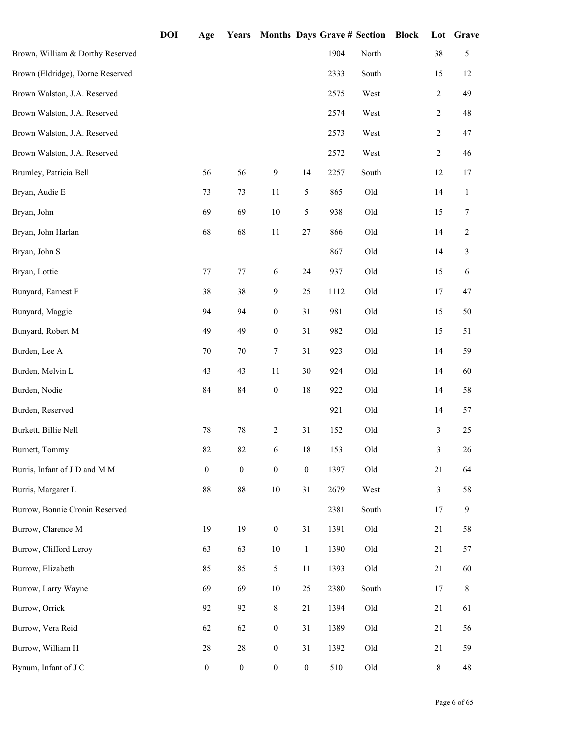|                                  | <b>DOI</b> | Age              | Years            |                  |                  |      | Months Days Grave # Section | <b>Block</b> |                | Lot Grave        |
|----------------------------------|------------|------------------|------------------|------------------|------------------|------|-----------------------------|--------------|----------------|------------------|
| Brown, William & Dorthy Reserved |            |                  |                  |                  |                  | 1904 | North                       |              | 38             | $\mathfrak s$    |
| Brown (Eldridge), Dorne Reserved |            |                  |                  |                  |                  | 2333 | South                       |              | 15             | 12               |
| Brown Walston, J.A. Reserved     |            |                  |                  |                  |                  | 2575 | West                        |              | 2              | 49               |
| Brown Walston, J.A. Reserved     |            |                  |                  |                  |                  | 2574 | West                        |              | 2              | 48               |
| Brown Walston, J.A. Reserved     |            |                  |                  |                  |                  | 2573 | West                        |              | 2              | 47               |
| Brown Walston, J.A. Reserved     |            |                  |                  |                  |                  | 2572 | West                        |              | $\overline{c}$ | 46               |
| Brumley, Patricia Bell           |            | 56               | 56               | $\overline{9}$   | 14               | 2257 | South                       |              | 12             | 17               |
| Bryan, Audie E                   |            | 73               | 73               | $11\,$           | $\mathfrak s$    | 865  | $\mathrm{Old}$              |              | 14             | $\,1$            |
| Bryan, John                      |            | 69               | 69               | $10\,$           | $\mathfrak s$    | 938  | Old                         |              | 15             | 7                |
| Bryan, John Harlan               |            | 68               | 68               | $11\,$           | $27\,$           | 866  | Old                         |              | 14             | $\boldsymbol{2}$ |
| Bryan, John S                    |            |                  |                  |                  |                  | 867  | Old                         |              | 14             | $\mathfrak{Z}$   |
| Bryan, Lottie                    |            | $77\,$           | $77\,$           | $\sqrt{6}$       | 24               | 937  | Old                         |              | 15             | $\sqrt{6}$       |
| Bunyard, Earnest F               |            | 38               | 38               | 9                | 25               | 1112 | Old                         |              | 17             | $47\,$           |
| Bunyard, Maggie                  |            | 94               | 94               | $\boldsymbol{0}$ | 31               | 981  | Old                         |              | 15             | 50               |
| Bunyard, Robert M                |            | 49               | 49               | $\boldsymbol{0}$ | 31               | 982  | Old                         |              | 15             | 51               |
| Burden, Lee A                    |            | 70               | $70\,$           | 7                | 31               | 923  | Old                         |              | 14             | 59               |
| Burden, Melvin L                 |            | 43               | 43               | 11               | 30               | 924  | Old                         |              | 14             | 60               |
| Burden, Nodie                    |            | 84               | 84               | $\boldsymbol{0}$ | $18\,$           | 922  | Old                         |              | 14             | 58               |
| Burden, Reserved                 |            |                  |                  |                  |                  | 921  | Old                         |              | 14             | 57               |
| Burkett, Billie Nell             |            | $78\,$           | $78\,$           | $\overline{c}$   | 31               | 152  | $\mathrm{Old}$              |              | 3              | $25\,$           |
| Burnett, Tommy                   |            | 82               | 82               | 6                | 18               | 153  | $\rm Old$                   |              | 3              | 26               |
| Burris, Infant of J D and M M    |            | $\boldsymbol{0}$ | $\boldsymbol{0}$ | $\boldsymbol{0}$ | $\boldsymbol{0}$ | 1397 | Old                         |              | $21\,$         | 64               |
| Burris, Margaret L               |            | $88\,$           | $88\,$           | $10\,$           | 31               | 2679 | West                        |              | 3              | 58               |
| Burrow, Bonnie Cronin Reserved   |            |                  |                  |                  |                  | 2381 | South                       |              | 17             | $\mathbf{9}$     |
| Burrow, Clarence M               |            | 19               | 19               | $\boldsymbol{0}$ | 31               | 1391 | Old                         |              | 21             | 58               |
| Burrow, Clifford Leroy           |            | 63               | 63               | $10\,$           | $\mathbf{1}$     | 1390 | Old                         |              | 21             | 57               |
| Burrow, Elizabeth                |            | 85               | 85               | 5                | 11               | 1393 | $\mathrm{Old}$              |              | 21             | 60               |
| Burrow, Larry Wayne              |            | 69               | 69               | $10\,$           | $25\,$           | 2380 | South                       |              | 17             | $\,8\,$          |
| Burrow, Orrick                   |            | 92               | 92               | $8\,$            | 21               | 1394 | Old                         |              | 21             | 61               |
| Burrow, Vera Reid                |            | 62               | 62               | $\boldsymbol{0}$ | 31               | 1389 | Old                         |              | 21             | 56               |
| Burrow, William H                |            | $28\,$           | 28               | $\boldsymbol{0}$ | 31               | 1392 | Old                         |              | 21             | 59               |
| Bynum, Infant of J C             |            | $\boldsymbol{0}$ | $\boldsymbol{0}$ | $\boldsymbol{0}$ | $\boldsymbol{0}$ | 510  | $\mathrm{Old}$              |              | 8              | $48\,$           |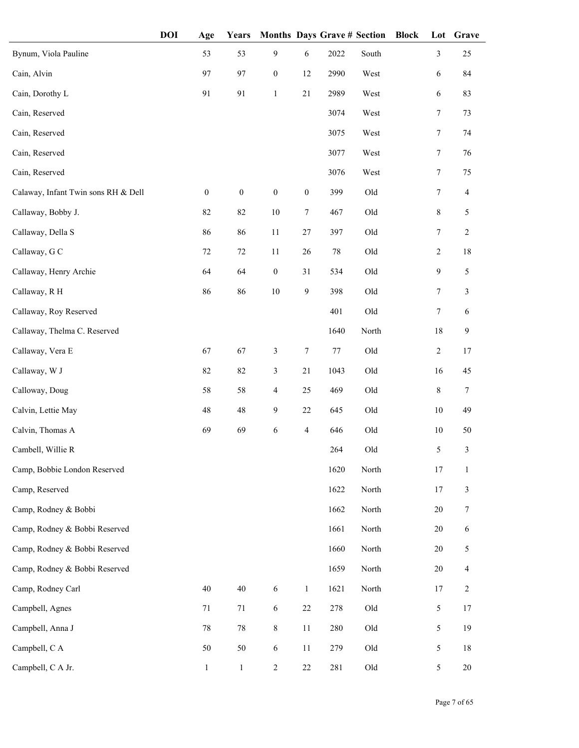|                                     | <b>DOI</b> | Age              | Years            |                  |                  |        | Months Days Grave # Section | <b>Block</b> |                  | Lot Grave      |  |
|-------------------------------------|------------|------------------|------------------|------------------|------------------|--------|-----------------------------|--------------|------------------|----------------|--|
| Bynum, Viola Pauline                |            | 53               | 53               | $\overline{9}$   | $\sqrt{6}$       | 2022   | South                       |              | $\mathfrak{Z}$   | $25\,$         |  |
| Cain, Alvin                         |            | 97               | 97               | $\boldsymbol{0}$ | 12               | 2990   | West                        |              | 6                | $\bf 84$       |  |
| Cain, Dorothy L                     |            | 91               | 91               | $\mathbf{1}$     | 21               | 2989   | West                        |              | 6                | 83             |  |
| Cain, Reserved                      |            |                  |                  |                  |                  | 3074   | West                        |              | $\boldsymbol{7}$ | 73             |  |
| Cain, Reserved                      |            |                  |                  |                  |                  | 3075   | West                        |              | 7                | 74             |  |
| Cain, Reserved                      |            |                  |                  |                  |                  | 3077   | West                        |              | 7                | 76             |  |
| Cain, Reserved                      |            |                  |                  |                  |                  | 3076   | West                        |              | 7                | $75\,$         |  |
| Calaway, Infant Twin sons RH & Dell |            | $\boldsymbol{0}$ | $\boldsymbol{0}$ | $\boldsymbol{0}$ | $\boldsymbol{0}$ | 399    | Old                         |              | $\tau$           | $\overline{4}$ |  |
| Callaway, Bobby J.                  |            | 82               | 82               | $10\,$           | $\boldsymbol{7}$ | 467    | $\mathrm{Old}$              |              | 8                | 5              |  |
| Callaway, Della S                   |            | 86               | 86               | 11               | $27\,$           | 397    | $\mathrm{Old}$              |              | 7                | $\sqrt{2}$     |  |
| Callaway, G C                       |            | $72\,$           | $72\,$           | 11               | $26\,$           | $78\,$ | $\mathrm{Old}$              |              | $\overline{c}$   | $18\,$         |  |
| Callaway, Henry Archie              |            | 64               | 64               | $\boldsymbol{0}$ | 31               | 534    | Old                         |              | 9                | 5              |  |
| Callaway, R H                       |            | 86               | 86               | $10\,$           | $\boldsymbol{9}$ | 398    | Old                         |              | $\boldsymbol{7}$ | $\mathfrak{Z}$ |  |
| Callaway, Roy Reserved              |            |                  |                  |                  |                  | 401    | $\mathrm{Old}$              |              | $\tau$           | $\sqrt{6}$     |  |
| Callaway, Thelma C. Reserved        |            |                  |                  |                  |                  | 1640   | North                       |              | 18               | $\mathbf{9}$   |  |
| Callaway, Vera E                    |            | 67               | 67               | $\mathfrak{Z}$   | $\boldsymbol{7}$ | $77\,$ | Old                         |              | $\overline{c}$   | $17\,$         |  |
| Callaway, W J                       |            | 82               | 82               | $\mathfrak{Z}$   | 21               | 1043   | $\mathrm{Old}$              |              | 16               | 45             |  |
| Calloway, Doug                      |            | 58               | 58               | $\overline{4}$   | 25               | 469    | $\mathrm{Old}$              |              | 8                | $\tau$         |  |
| Calvin, Lettie May                  |            | 48               | $48\,$           | 9                | $22\,$           | 645    | Old                         |              | $10\,$           | 49             |  |
| Calvin, Thomas A                    |            | 69               | 69               | $\sqrt{6}$       | $\overline{4}$   | 646    | $\mathrm{Old}$              |              | $10\,$           | $50\,$         |  |
| Cambell, Willie R                   |            |                  |                  |                  |                  | 264    | Old                         |              | 5                | 3              |  |
| Camp, Bobbie London Reserved        |            |                  |                  |                  |                  | 1620   | North                       |              | 17               | $\mathbf{1}$   |  |
| Camp, Reserved                      |            |                  |                  |                  |                  | 1622   | North                       |              | 17               | 3              |  |
| Camp, Rodney & Bobbi                |            |                  |                  |                  |                  | 1662   | North                       |              | 20               | 7              |  |
| Camp, Rodney & Bobbi Reserved       |            |                  |                  |                  |                  | 1661   | North                       |              | 20               | 6              |  |
| Camp, Rodney & Bobbi Reserved       |            |                  |                  |                  |                  | 1660   | North                       |              | 20               | 5              |  |
| Camp, Rodney & Bobbi Reserved       |            |                  |                  |                  |                  | 1659   | North                       |              | 20               | $\overline{4}$ |  |
| Camp, Rodney Carl                   |            | $40\,$           | 40               | $\sqrt{6}$       | $\mathbf{1}$     | 1621   | North                       |              | 17               | $\sqrt{2}$     |  |
| Campbell, Agnes                     |            | 71               | $71\,$           | $\sqrt{6}$       | $22\,$           | 278    | Old                         |              | 5                | 17             |  |
| Campbell, Anna J                    |            | $78\,$           | $78\,$           | 8                | 11               | 280    | Old                         |              | 5                | 19             |  |
| Campbell, CA                        |            | 50               | $50\,$           | $\sqrt{6}$       | 11               | 279    | $\mathrm{Old}$              |              | 5                | $18\,$         |  |
| Campbell, C A Jr.                   |            | $\mathbf{1}$     | $\mathbf{1}$     | $\overline{c}$   | $22\,$           | 281    | $\mathrm{Old}$              |              | 5                | $20\,$         |  |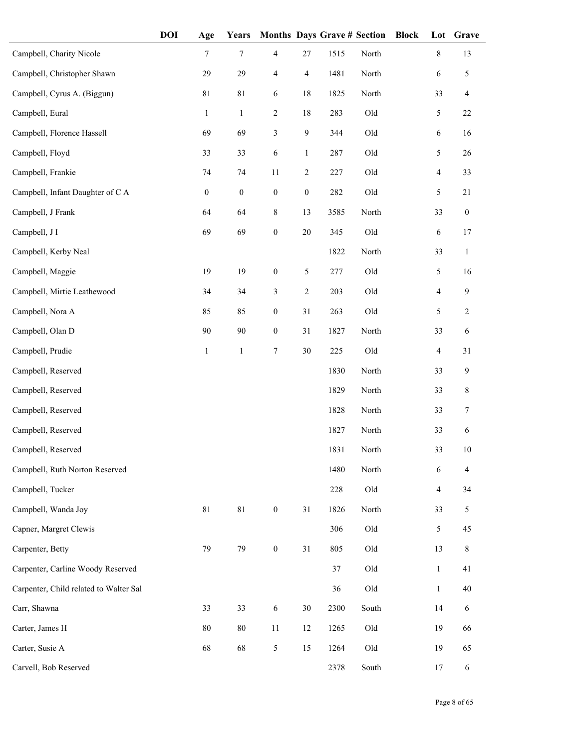|                                        | <b>DOI</b> | Age              | Years            |                  |                  |      | Months Days Grave # Section | <b>Block</b> |                         | Lot Grave        |  |
|----------------------------------------|------------|------------------|------------------|------------------|------------------|------|-----------------------------|--------------|-------------------------|------------------|--|
| Campbell, Charity Nicole               |            | $\boldsymbol{7}$ | $\boldsymbol{7}$ | $\overline{4}$   | $27\,$           | 1515 | North                       |              | $\,8\,$                 | 13               |  |
| Campbell, Christopher Shawn            |            | 29               | 29               | $\overline{4}$   | $\overline{4}$   | 1481 | North                       |              | 6                       | 5                |  |
| Campbell, Cyrus A. (Biggun)            |            | $8\sqrt{1}$      | 81               | 6                | $18\,$           | 1825 | North                       |              | 33                      | $\overline{4}$   |  |
| Campbell, Eural                        |            | $\mathbf{1}$     | $\mathbf{1}$     | $\overline{c}$   | $18\,$           | 283  | Old                         |              | 5                       | $22\,$           |  |
| Campbell, Florence Hassell             |            | 69               | 69               | 3                | $\overline{9}$   | 344  | $\mathrm{Old}$              |              | 6                       | 16               |  |
| Campbell, Floyd                        |            | 33               | 33               | $\sqrt{6}$       | $\mathbf{1}$     | 287  | Old                         |              | 5                       | 26               |  |
| Campbell, Frankie                      |            | 74               | 74               | 11               | $\sqrt{2}$       | 227  | Old                         |              | 4                       | 33               |  |
| Campbell, Infant Daughter of C A       |            | $\boldsymbol{0}$ | $\boldsymbol{0}$ | $\boldsymbol{0}$ | $\boldsymbol{0}$ | 282  | $\mathrm{Old}$              |              | 5                       | $21\,$           |  |
| Campbell, J Frank                      |            | 64               | 64               | $8\,$            | 13               | 3585 | North                       |              | 33                      | $\boldsymbol{0}$ |  |
| Campbell, J I                          |            | 69               | 69               | $\boldsymbol{0}$ | $20\,$           | 345  | Old                         |              | 6                       | $17\,$           |  |
| Campbell, Kerby Neal                   |            |                  |                  |                  |                  | 1822 | North                       |              | 33                      | $\mathbf{1}$     |  |
| Campbell, Maggie                       |            | 19               | 19               | $\boldsymbol{0}$ | 5                | 277  | Old                         |              | 5                       | 16               |  |
| Campbell, Mirtie Leathewood            |            | 34               | 34               | $\mathfrak{Z}$   | $\sqrt{2}$       | 203  | Old                         |              | $\overline{\mathbf{4}}$ | $\overline{9}$   |  |
| Campbell, Nora A                       |            | 85               | 85               | $\boldsymbol{0}$ | 31               | 263  | $\mathrm{Old}$              |              | 5                       | $\overline{2}$   |  |
| Campbell, Olan D                       |            | 90               | $90\,$           | $\boldsymbol{0}$ | 31               | 1827 | North                       |              | 33                      | $\sqrt{6}$       |  |
| Campbell, Prudie                       |            | $\,1$            | $\mathbf{1}$     | $\boldsymbol{7}$ | $30\,$           | 225  | Old                         |              | 4                       | 31               |  |
| Campbell, Reserved                     |            |                  |                  |                  |                  | 1830 | North                       |              | 33                      | $\overline{9}$   |  |
| Campbell, Reserved                     |            |                  |                  |                  |                  | 1829 | North                       |              | 33                      | $8\,$            |  |
| Campbell, Reserved                     |            |                  |                  |                  |                  | 1828 | North                       |              | 33                      | $\boldsymbol{7}$ |  |
| Campbell, Reserved                     |            |                  |                  |                  |                  | 1827 | North                       |              | 33                      | $\sqrt{6}$       |  |
| Campbell, Reserved                     |            |                  |                  |                  |                  | 1831 | North                       |              | 33                      | $10\,$           |  |
| Campbell, Ruth Norton Reserved         |            |                  |                  |                  |                  | 1480 | North                       |              | 6                       | $\overline{4}$   |  |
| Campbell, Tucker                       |            |                  |                  |                  |                  | 228  | Old                         |              | $\overline{4}$          | 34               |  |
| Campbell, Wanda Joy                    |            | 81               | $8\sqrt{1}$      | $\boldsymbol{0}$ | 31               | 1826 | North                       |              | 33                      | 5                |  |
| Capner, Margret Clewis                 |            |                  |                  |                  |                  | 306  | $\mathrm{Old}$              |              | 5                       | 45               |  |
| Carpenter, Betty                       |            | 79               | 79               | $\boldsymbol{0}$ | 31               | 805  | Old                         |              | 13                      | $\,8\,$          |  |
| Carpenter, Carline Woody Reserved      |            |                  |                  |                  |                  | 37   | Old                         |              | $1\,$                   | 41               |  |
| Carpenter, Child related to Walter Sal |            |                  |                  |                  |                  | 36   | Old                         |              | $\mathbf{1}$            | $40\,$           |  |
| Carr, Shawna                           |            | 33               | 33               | $\sqrt{6}$       | $30\,$           | 2300 | South                       |              | 14                      | $\sqrt{6}$       |  |
| Carter, James H                        |            | $80\,$           | $80\,$           | 11               | 12               | 1265 | $\mathrm{Old}$              |              | 19                      | 66               |  |
| Carter, Susie A                        |            | 68               | 68               | $\mathfrak{S}$   | 15               | 1264 | Old                         |              | 19                      | 65               |  |
| Carvell, Bob Reserved                  |            |                  |                  |                  |                  | 2378 | South                       |              | 17                      | $\boldsymbol{6}$ |  |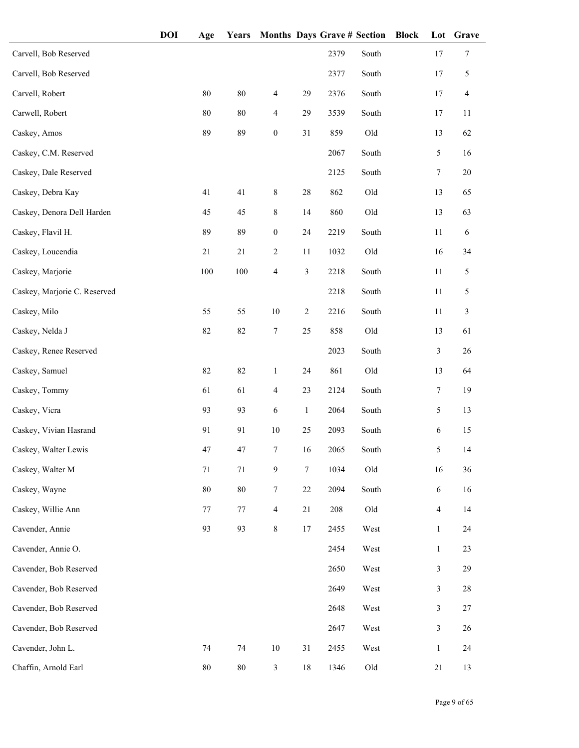|                              | <b>DOI</b> | Age    | Years  |                  |                  | <b>Months Days Grave # Section</b> |                | <b>Block</b> |              | Lot Grave        |
|------------------------------|------------|--------|--------|------------------|------------------|------------------------------------|----------------|--------------|--------------|------------------|
| Carvell, Bob Reserved        |            |        |        |                  |                  | 2379                               | South          |              | $17\,$       | $\boldsymbol{7}$ |
| Carvell, Bob Reserved        |            |        |        |                  |                  | 2377                               | South          |              | $17\,$       | 5                |
| Carvell, Robert              |            | $80\,$ | $80\,$ | $\overline{4}$   | 29               | 2376                               | South          |              | 17           | $\overline{4}$   |
| Carwell, Robert              |            | $80\,$ | $80\,$ | $\overline{4}$   | 29               | 3539                               | South          |              | 17           | 11               |
| Caskey, Amos                 |            | 89     | 89     | $\boldsymbol{0}$ | 31               | 859                                | $\mathrm{Old}$ |              | 13           | 62               |
| Caskey, C.M. Reserved        |            |        |        |                  |                  | 2067                               | South          |              | 5            | 16               |
| Caskey, Dale Reserved        |            |        |        |                  |                  | 2125                               | South          |              | 7            | $20\,$           |
| Caskey, Debra Kay            |            | 41     | 41     | $\,8\,$          | $28\,$           | 862                                | Old            |              | 13           | 65               |
| Caskey, Denora Dell Harden   |            | 45     | 45     | 8                | 14               | 860                                | $\mathrm{Old}$ |              | 13           | 63               |
| Caskey, Flavil H.            |            | 89     | 89     | $\boldsymbol{0}$ | 24               | 2219                               | South          |              | $11\,$       | $\sqrt{6}$       |
| Caskey, Loucendia            |            | 21     | 21     | $\overline{c}$   | 11               | 1032                               | $\mathrm{Old}$ |              | 16           | 34               |
| Caskey, Marjorie             |            | 100    | 100    | $\overline{4}$   | $\mathfrak{Z}$   | 2218                               | South          |              | $11\,$       | $\mathfrak s$    |
| Caskey, Marjorie C. Reserved |            |        |        |                  |                  | 2218                               | South          |              | $11\,$       | $\mathfrak s$    |
| Caskey, Milo                 |            | 55     | 55     | $10\,$           | $\sqrt{2}$       | 2216                               | South          |              | 11           | $\mathfrak{Z}$   |
| Caskey, Nelda J              |            | 82     | 82     | $\boldsymbol{7}$ | 25               | 858                                | Old            |              | 13           | 61               |
| Caskey, Renee Reserved       |            |        |        |                  |                  | 2023                               | South          |              | 3            | $26\,$           |
| Caskey, Samuel               |            | 82     | 82     | $\mathbf{1}$     | 24               | 861                                | $\mathrm{Old}$ |              | 13           | 64               |
| Caskey, Tommy                |            | 61     | 61     | $\overline{4}$   | 23               | 2124                               | South          |              | 7            | 19               |
| Caskey, Vicra                |            | 93     | 93     | $\sqrt{6}$       | $\mathbf{1}$     | 2064                               | South          |              | 5            | 13               |
| Caskey, Vivian Hasrand       |            | 91     | 91     | $10\,$           | 25               | 2093                               | South          |              | 6            | 15               |
| Caskey, Walter Lewis         |            | 47     | 47     | $\tau$           | 16               | 2065                               | South          |              | 5            | 14               |
| Caskey, Walter M             |            | $71\,$ | $71\,$ | 9                | $\boldsymbol{7}$ | 1034                               | Old            |              | 16           | 36               |
| Caskey, Wayne                |            | $80\,$ | $80\,$ | $\boldsymbol{7}$ | $22\,$           | 2094                               | South          |              | 6            | 16               |
| Caskey, Willie Ann           |            | $77\,$ | $77\,$ | $\overline{4}$   | 21               | 208                                | $\mathrm{Old}$ |              | 4            | 14               |
| Cavender, Annie              |            | 93     | 93     | $8\,$            | 17               | 2455                               | West           |              | $\mathbf{1}$ | 24               |
| Cavender, Annie O.           |            |        |        |                  |                  | 2454                               | West           |              | $\mathbf{1}$ | 23               |
| Cavender, Bob Reserved       |            |        |        |                  |                  | 2650                               | West           |              | 3            | 29               |
| Cavender, Bob Reserved       |            |        |        |                  |                  | 2649                               | West           |              | 3            | $28\,$           |
| Cavender, Bob Reserved       |            |        |        |                  |                  | 2648                               | West           |              | 3            | $27\,$           |
| Cavender, Bob Reserved       |            |        |        |                  |                  | 2647                               | West           |              | 3            | $26\,$           |
| Cavender, John L.            |            | 74     | 74     | $10\,$           | 31               | 2455                               | West           |              | $\mathbf{1}$ | 24               |
| Chaffin, Arnold Earl         |            | $80\,$ | $80\,$ | $\mathfrak{Z}$   | $18\,$           | 1346                               | Old            |              | 21           | 13               |
|                              |            |        |        |                  |                  |                                    |                |              |              |                  |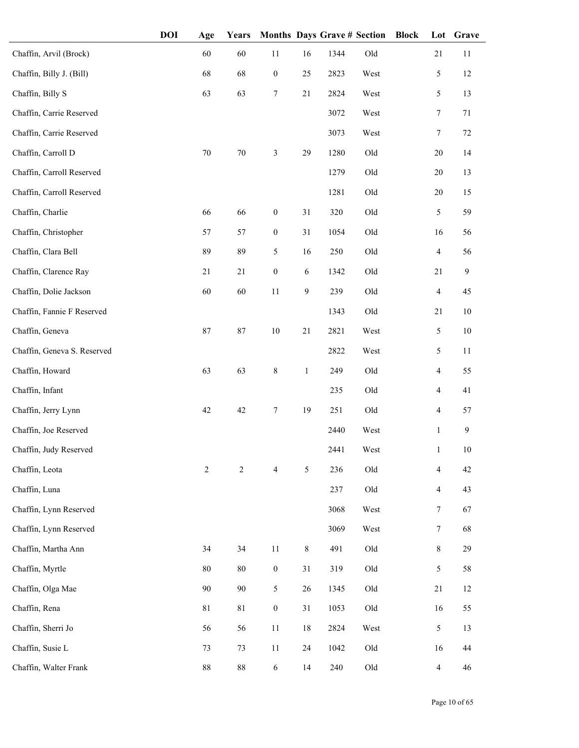|                             | <b>DOI</b> | Age            | Years          |                  |              |      | <b>Months Days Grave # Section</b> | <b>Block</b> |                          | Lot Grave |  |
|-----------------------------|------------|----------------|----------------|------------------|--------------|------|------------------------------------|--------------|--------------------------|-----------|--|
| Chaffin, Arvil (Brock)      |            | 60             | 60             | $11\,$           | 16           | 1344 | Old                                |              | $21\,$                   | $11\,$    |  |
| Chaffin, Billy J. (Bill)    |            | 68             | 68             | $\boldsymbol{0}$ | 25           | 2823 | West                               |              | 5                        | 12        |  |
| Chaffin, Billy S            |            | 63             | 63             | $\tau$           | 21           | 2824 | West                               |              | $\mathfrak s$            | 13        |  |
| Chaffin, Carrie Reserved    |            |                |                |                  |              | 3072 | West                               |              | $\boldsymbol{7}$         | $71\,$    |  |
| Chaffin, Carrie Reserved    |            |                |                |                  |              | 3073 | West                               |              | $\boldsymbol{7}$         | $72\,$    |  |
| Chaffin, Carroll D          |            | $70\,$         | $70\,$         | 3                | 29           | 1280 | Old                                |              | $20\,$                   | 14        |  |
| Chaffin, Carroll Reserved   |            |                |                |                  |              | 1279 | Old                                |              | $20\,$                   | 13        |  |
| Chaffin, Carroll Reserved   |            |                |                |                  |              | 1281 | Old                                |              | $20\,$                   | 15        |  |
| Chaffin, Charlie            |            | 66             | 66             | $\boldsymbol{0}$ | 31           | 320  | Old                                |              | $\mathfrak s$            | 59        |  |
| Chaffin, Christopher        |            | 57             | 57             | $\boldsymbol{0}$ | 31           | 1054 | Old                                |              | 16                       | 56        |  |
| Chaffin, Clara Bell         |            | 89             | 89             | 5                | 16           | 250  | Old                                |              | $\overline{\mathcal{A}}$ | 56        |  |
| Chaffin, Clarence Ray       |            | $21\,$         | 21             | $\boldsymbol{0}$ | 6            | 1342 | Old                                |              | 21                       | 9         |  |
| Chaffin, Dolie Jackson      |            | $60\,$         | 60             | $11\,$           | 9            | 239  | Old                                |              | $\overline{4}$           | 45        |  |
| Chaffin, Fannie F Reserved  |            |                |                |                  |              | 1343 | Old                                |              | 21                       | $10\,$    |  |
| Chaffin, Geneva             |            | $87\,$         | 87             | $10\,$           | 21           | 2821 | West                               |              | $\mathfrak s$            | $10\,$    |  |
| Chaffin, Geneva S. Reserved |            |                |                |                  |              | 2822 | West                               |              | $\mathfrak s$            | $11\,$    |  |
| Chaffin, Howard             |            | 63             | 63             | $\,8\,$          | $\mathbf{1}$ | 249  | Old                                |              | $\overline{\mathcal{A}}$ | 55        |  |
| Chaffin, Infant             |            |                |                |                  |              | 235  | Old                                |              | $\overline{\mathcal{A}}$ | 41        |  |
| Chaffin, Jerry Lynn         |            | $42\,$         | 42             | $\boldsymbol{7}$ | 19           | 251  | Old                                |              | $\overline{\mathcal{A}}$ | 57        |  |
| Chaffin, Joe Reserved       |            |                |                |                  |              | 2440 | West                               |              | $\mathbf{1}$             | 9         |  |
| Chaffin, Judy Reserved      |            |                |                |                  |              | 2441 | West                               |              | $\mathbf{1}$             | 10        |  |
| Chaffin, Leota              |            | $\overline{c}$ | $\overline{2}$ | 4                | 5            | 236  | $\mathrm{Old}$                     |              | $\overline{4}$           | 42        |  |
| Chaffin, Luna               |            |                |                |                  |              | 237  | Old                                |              | $\overline{4}$           | $43\,$    |  |
| Chaffin, Lynn Reserved      |            |                |                |                  |              | 3068 | West                               |              | $\tau$                   | 67        |  |
| Chaffin, Lynn Reserved      |            |                |                |                  |              | 3069 | West                               |              | $\boldsymbol{7}$         | 68        |  |
| Chaffin, Martha Ann         |            | 34             | 34             | $11\,$           | 8            | 491  | $\rm Old$                          |              | $\,$ 8 $\,$              | 29        |  |
| Chaffin, Myrtle             |            | $80\,$         | $80\,$         | $\boldsymbol{0}$ | 31           | 319  | $\mathrm{Old}$                     |              | 5                        | $58\,$    |  |
| Chaffin, Olga Mae           |            | 90             | $90\,$         | 5                | 26           | 1345 | Old                                |              | 21                       | 12        |  |
| Chaffin, Rena               |            | 81             | $8\sqrt{1}$    | $\boldsymbol{0}$ | 31           | 1053 | Old                                |              | 16                       | 55        |  |
| Chaffin, Sherri Jo          |            | 56             | 56             | $11\,$           | 18           | 2824 | West                               |              | $\mathfrak{H}$           | 13        |  |
| Chaffin, Susie L            |            | 73             | 73             | $11\,$           | 24           | 1042 | Old                                |              | 16                       | $44\,$    |  |
| Chaffin, Walter Frank       |            | $88\,$         | $88\,$         | 6                | 14           | 240  | Old                                |              | $\overline{4}$           | $46\,$    |  |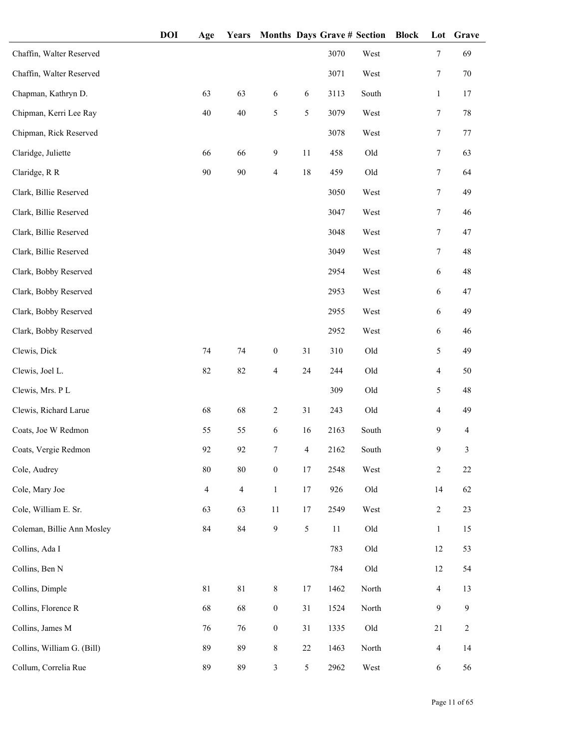|                            | <b>DOI</b> | Age            | Years          |                          |                | Months Days Grave # Section |                | <b>Block</b> |                | Lot Grave        |
|----------------------------|------------|----------------|----------------|--------------------------|----------------|-----------------------------|----------------|--------------|----------------|------------------|
| Chaffin, Walter Reserved   |            |                |                |                          |                | 3070                        | West           |              | 7              | 69               |
| Chaffin, Walter Reserved   |            |                |                |                          |                | 3071                        | West           |              | $\tau$         | $70\,$           |
| Chapman, Kathryn D.        |            | 63             | 63             | 6                        | $\sqrt{6}$     | 3113                        | South          |              | $\mathbf{1}$   | 17               |
| Chipman, Kerri Lee Ray     |            | $40\,$         | $40\,$         | 5                        | $\mathfrak s$  | 3079                        | West           |              | 7              | $78\,$           |
| Chipman, Rick Reserved     |            |                |                |                          |                | 3078                        | West           |              | 7              | $77\,$           |
| Claridge, Juliette         |            | 66             | 66             | 9                        | 11             | 458                         | Old            |              | 7              | 63               |
| Claridge, R R              |            | $90\,$         | $90\,$         | $\overline{\mathcal{A}}$ | 18             | 459                         | Old            |              | 7              | 64               |
| Clark, Billie Reserved     |            |                |                |                          |                | 3050                        | West           |              | 7              | 49               |
| Clark, Billie Reserved     |            |                |                |                          |                | 3047                        | West           |              | 7              | $46\,$           |
| Clark, Billie Reserved     |            |                |                |                          |                | 3048                        | West           |              | $\tau$         | $47\,$           |
| Clark, Billie Reserved     |            |                |                |                          |                | 3049                        | West           |              | 7              | 48               |
| Clark, Bobby Reserved      |            |                |                |                          |                | 2954                        | West           |              | 6              | $\sqrt{48}$      |
| Clark, Bobby Reserved      |            |                |                |                          |                | 2953                        | West           |              | 6              | $47\,$           |
| Clark, Bobby Reserved      |            |                |                |                          |                | 2955                        | West           |              | 6              | 49               |
| Clark, Bobby Reserved      |            |                |                |                          |                | 2952                        | West           |              | 6              | $46\,$           |
| Clewis, Dick               |            | 74             | 74             | $\boldsymbol{0}$         | 31             | 310                         | $\mathrm{Old}$ |              | 5              | 49               |
| Clewis, Joel L.            |            | 82             | 82             | $\overline{\mathbf{4}}$  | $24\,$         | 244                         | Old            |              | 4              | 50               |
| Clewis, Mrs. P L           |            |                |                |                          |                | 309                         | Old            |              | 5              | $48\,$           |
| Clewis, Richard Larue      |            | 68             | 68             | $\overline{c}$           | 31             | 243                         | $\mathrm{Old}$ |              | 4              | 49               |
| Coats, Joe W Redmon        |            | 55             | 55             | 6                        | 16             | 2163                        | South          |              | 9              | $\overline{4}$   |
| Coats, Vergie Redmon       |            | 92             | 92             | $\tau$                   | $\overline{4}$ | 2162                        | South          |              | 9              | 3                |
| Cole, Audrey               |            | $80\,$         | $80\,$         | $\boldsymbol{0}$         | 17             | 2548                        | West           |              | $\overline{c}$ | $22\,$           |
| Cole, Mary Joe             |            | $\overline{4}$ | $\overline{4}$ | $1\,$                    | 17             | 926                         | $\rm Old$      |              | 14             | 62               |
| Cole, William E. Sr.       |            | 63             | 63             | 11                       | 17             | 2549                        | West           |              | $\overline{2}$ | 23               |
| Coleman, Billie Ann Mosley |            | $\bf 84$       | $\bf 84$       | 9                        | $\mathfrak s$  | 11                          | Old            |              | $\mathbf{1}$   | 15               |
| Collins, Ada I             |            |                |                |                          |                | 783                         | Old            |              | 12             | 53               |
| Collins, Ben N             |            |                |                |                          |                | 784                         | $\rm Old$      |              | 12             | 54               |
| Collins, Dimple            |            | 81             | $81\,$         | $\,$ $\,$                | 17             | 1462                        | North          |              | 4              | 13               |
| Collins, Florence R        |            | 68             | 68             | $\boldsymbol{0}$         | 31             | 1524                        | North          |              | 9              | $\boldsymbol{9}$ |
| Collins, James M           |            | 76             | 76             | $\boldsymbol{0}$         | 31             | 1335                        | Old            |              | 21             | $\sqrt{2}$       |
| Collins, William G. (Bill) |            | 89             | 89             | $\,$ $\,$                | $22\,$         | 1463                        | North          |              | $\overline{4}$ | 14               |
| Collum, Correlia Rue       |            | 89             | 89             | 3                        | $\mathfrak s$  | 2962                        | West           |              | 6              | 56               |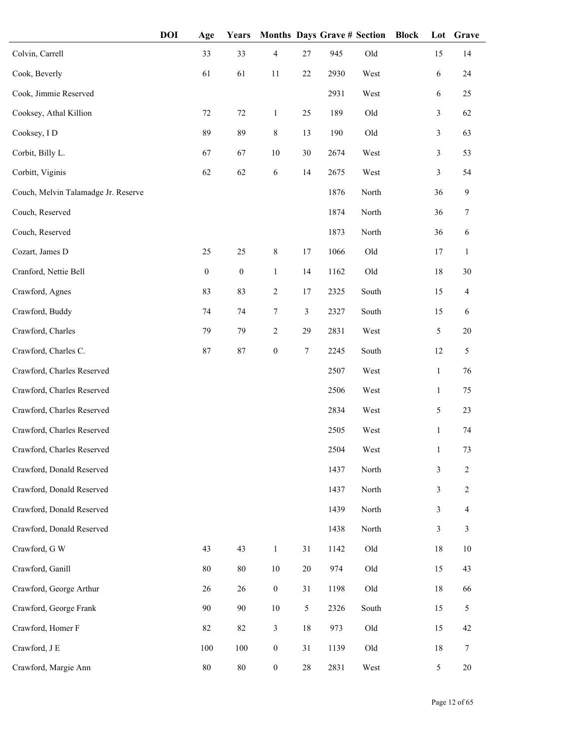|                                     | <b>DOI</b> | Age              | Years            | <b>Months Days Grave # Section</b> |        |      |                    | <b>Block</b> |                | Lot Grave      |
|-------------------------------------|------------|------------------|------------------|------------------------------------|--------|------|--------------------|--------------|----------------|----------------|
| Colvin, Carrell                     |            | 33               | 33               | $\overline{4}$                     | $27\,$ | 945  | $\rm Old$          |              | 15             | 14             |
| Cook, Beverly                       |            | 61               | 61               | 11                                 | 22     | 2930 | West               |              | 6              | 24             |
| Cook, Jimmie Reserved               |            |                  |                  |                                    |        | 2931 | West               |              | 6              | 25             |
| Cooksey, Athal Killion              |            | $72\,$           | 72               | $\mathbf{1}$                       | 25     | 189  | Old                |              | $\mathfrak{Z}$ | 62             |
| Cooksey, ID                         |            | 89               | 89               | 8                                  | 13     | 190  | Old                |              | $\mathfrak{Z}$ | 63             |
| Corbit, Billy L.                    |            | 67               | 67               | $10\,$                             | 30     | 2674 | West               |              | $\mathfrak{Z}$ | 53             |
| Corbitt, Viginis                    |            | 62               | 62               | 6                                  | 14     | 2675 | West               |              | $\mathfrak{Z}$ | 54             |
| Couch, Melvin Talamadge Jr. Reserve |            |                  |                  |                                    |        | 1876 | North              |              | 36             | 9              |
| Couch, Reserved                     |            |                  |                  |                                    |        | 1874 | North              |              | 36             | 7              |
| Couch, Reserved                     |            |                  |                  |                                    |        | 1873 | North              |              | 36             | 6              |
| Cozart, James D                     |            | 25               | 25               | $8\,$                              | 17     | 1066 | Old                |              | 17             | $\mathbf{1}$   |
| Cranford, Nettie Bell               |            | $\boldsymbol{0}$ | $\boldsymbol{0}$ | $\mathbf{1}$                       | 14     | 1162 | $\rm Old$          |              | 18             | 30             |
| Crawford, Agnes                     |            | 83               | 83               | $\overline{c}$                     | 17     | 2325 | South              |              | 15             | $\overline{4}$ |
| Crawford, Buddy                     |            | 74               | 74               | $\tau$                             | 3      | 2327 | South              |              | 15             | 6              |
| Crawford, Charles                   |            | 79               | 79               | $\overline{c}$                     | 29     | 2831 | West               |              | 5              | 20             |
| Crawford, Charles C.                |            | $87\,$           | $87\,$           | $\boldsymbol{0}$                   | 7      | 2245 | South              |              | 12             | 5              |
| Crawford, Charles Reserved          |            |                  |                  |                                    |        | 2507 | West               |              | $\,1$          | 76             |
| Crawford, Charles Reserved          |            |                  |                  |                                    |        | 2506 | West               |              | $\mathbf{1}$   | 75             |
| Crawford, Charles Reserved          |            |                  |                  |                                    |        | 2834 | West               |              | $\mathfrak s$  | 23             |
| Crawford, Charles Reserved          |            |                  |                  |                                    |        | 2505 | West               |              | $\mathbf{1}$   | 74             |
| Crawford, Charles Reserved          |            |                  |                  |                                    |        | 2504 | West               |              | $\mathbf{1}$   | 73             |
| Crawford, Donald Reserved           |            |                  |                  |                                    |        | 1437 | North              |              | 3              | $\overline{2}$ |
| Crawford, Donald Reserved           |            |                  |                  |                                    |        | 1437 | North              |              | $\mathfrak{Z}$ | $\overline{2}$ |
| Crawford, Donald Reserved           |            |                  |                  |                                    |        | 1439 | North              |              | 3              | 4              |
| Crawford, Donald Reserved           |            |                  |                  |                                    |        | 1438 | North              |              | $\mathfrak{Z}$ | 3              |
| Crawford, G W                       |            | 43               | 43               | $\mathbf{1}$                       | 31     | 1142 | $\mathop{\rm Old}$ |              | 18             | 10             |
| Crawford, Ganill                    |            | $80\,$           | $80\,$           | $10\,$                             | $20\,$ | 974  | Old                |              | 15             | 43             |
| Crawford, George Arthur             |            | $26\,$           | $26\,$           | $\boldsymbol{0}$                   | 31     | 1198 | Old                |              | 18             | 66             |
| Crawford, George Frank              |            | 90               | 90               | $10\,$                             | 5      | 2326 | South              |              | 15             | $\sqrt{5}$     |
| Crawford, Homer F                   |            | 82               | 82               | 3                                  | 18     | 973  | $\mathop{\rm Old}$ |              | 15             | 42             |
| Crawford, J E                       |            | $100\,$          | 100              | $\boldsymbol{0}$                   | 31     | 1139 | Old                |              | 18             | $\tau$         |
| Crawford, Margie Ann                |            | $80\,$           | $80\,$           | $\boldsymbol{0}$                   | $28\,$ | 2831 | West               |              | $\mathfrak{H}$ | $20\,$         |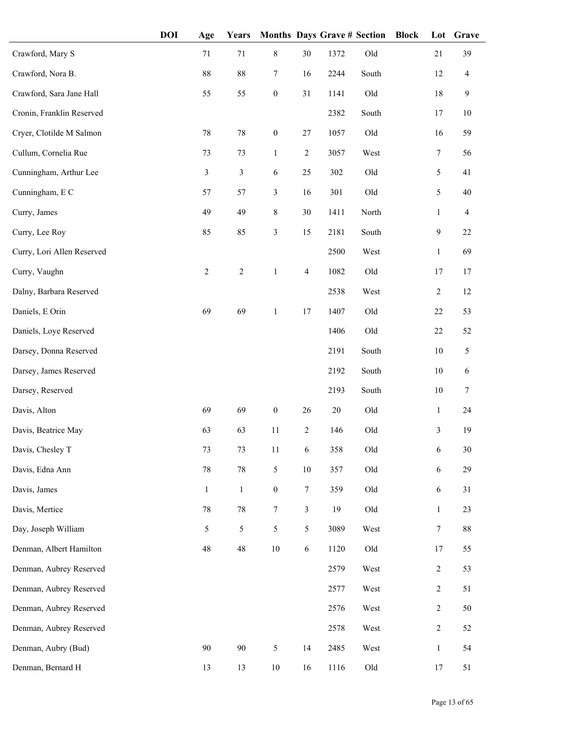|                            | <b>DOI</b> | Age          | Years          |                  |                  | Months Days Grave # Section |                | <b>Block</b> |                | Lot Grave      |
|----------------------------|------------|--------------|----------------|------------------|------------------|-----------------------------|----------------|--------------|----------------|----------------|
| Crawford, Mary S           |            | $71\,$       | $71\,$         | $\,$ 8 $\,$      | $30\,$           | 1372                        | $\mathrm{Old}$ |              | $21\,$         | 39             |
| Crawford, Nora B.          |            | $88\,$       | 88             | 7                | 16               | 2244                        | South          |              | 12             | $\overline{4}$ |
| Crawford, Sara Jane Hall   |            | 55           | 55             | $\boldsymbol{0}$ | 31               | 1141                        | $\mathrm{Old}$ |              | $18\,$         | $\overline{9}$ |
| Cronin, Franklin Reserved  |            |              |                |                  |                  | 2382                        | South          |              | $17$           | $10\,$         |
| Cryer, Clotilde M Salmon   |            | $78\,$       | 78             | $\boldsymbol{0}$ | $27\,$           | 1057                        | Old            |              | 16             | 59             |
| Cullum, Cornelia Rue       |            | 73           | 73             | $\mathbf{1}$     | $\sqrt{2}$       | 3057                        | West           |              | $\tau$         | 56             |
| Cunningham, Arthur Lee     |            | 3            | 3              | $\sqrt{6}$       | $25\,$           | 302                         | $\mathrm{Old}$ |              | 5              | 41             |
| Cunningham, E C            |            | 57           | 57             | 3                | 16               | 301                         | $\mathrm{Old}$ |              | 5              | $40\,$         |
| Curry, James               |            | 49           | 49             | $\,$ $\,$        | $30\,$           | 1411                        | North          |              | $\mathbf{1}$   | $\overline{4}$ |
| Curry, Lee Roy             |            | 85           | 85             | $\mathfrak{Z}$   | 15               | 2181                        | South          |              | 9              | 22             |
| Curry, Lori Allen Reserved |            |              |                |                  |                  | 2500                        | West           |              | $\mathbf{1}$   | 69             |
| Curry, Vaughn              |            | $\sqrt{2}$   | $\overline{c}$ | $\,1$            | $\overline{4}$   | 1082                        | Old            |              | $17$           | 17             |
| Dalny, Barbara Reserved    |            |              |                |                  |                  | 2538                        | West           |              | $\overline{c}$ | $12\,$         |
| Daniels, E Orin            |            | 69           | 69             | $\mathbf{1}$     | 17               | 1407                        | $\mathrm{Old}$ |              | $22\,$         | 53             |
| Daniels, Loye Reserved     |            |              |                |                  |                  | 1406                        | Old            |              | 22             | 52             |
| Darsey, Donna Reserved     |            |              |                |                  |                  | 2191                        | South          |              | $10\,$         | 5              |
| Darsey, James Reserved     |            |              |                |                  |                  | 2192                        | South          |              | $10\,$         | $\sqrt{6}$     |
| Darsey, Reserved           |            |              |                |                  |                  | 2193                        | South          |              | $10\,$         | $\tau$         |
| Davis, Alton               |            | 69           | 69             | $\boldsymbol{0}$ | 26               | $20\,$                      | $\mathrm{Old}$ |              | $\mathbf{1}$   | 24             |
| Davis, Beatrice May        |            | 63           | 63             | $11\,$           | $\sqrt{2}$       | 146                         | Old            |              | 3              | 19             |
| Davis, Chesley T           |            | 73           | 73             | 11               | $\sqrt{6}$       | 358                         | Old            |              | 6              | 30             |
| Davis, Edna Ann            |            | $78\,$       | 78             | 5                | $10\,$           | 357                         | Old            |              | 6              | 29             |
| Davis, James               |            | $\mathbf{1}$ | $\mathbf{1}$   | $\boldsymbol{0}$ | $\boldsymbol{7}$ | 359                         | Old            |              | 6              | 31             |
| Davis, Mertice             |            | $78\,$       | $78\,$         | $\boldsymbol{7}$ | $\mathfrak{Z}$   | 19                          | Old            |              | $\mathbf{1}$   | 23             |
| Day, Joseph William        |            | 5            | 5              | 5                | 5                | 3089                        | West           |              | $\tau$         | $88\,$         |
| Denman, Albert Hamilton    |            | 48           | $48\,$         | $10\,$           | $\sqrt{6}$       | 1120                        | Old            |              | 17             | 55             |
| Denman, Aubrey Reserved    |            |              |                |                  |                  | 2579                        | West           |              | $\overline{2}$ | 53             |
| Denman, Aubrey Reserved    |            |              |                |                  |                  | 2577                        | West           |              | 2              | 51             |
| Denman, Aubrey Reserved    |            |              |                |                  |                  | 2576                        | West           |              | 2              | 50             |
| Denman, Aubrey Reserved    |            |              |                |                  |                  | 2578                        | West           |              | $\overline{2}$ | 52             |
| Denman, Aubry (Bud)        |            | 90           | $90\,$         | 5                | 14               | 2485                        | West           |              | $\mathbf{1}$   | 54             |
| Denman, Bernard H          |            | 13           | 13             | $10\,$           | 16               | 1116                        | $\mathrm{Old}$ |              | 17             | 51             |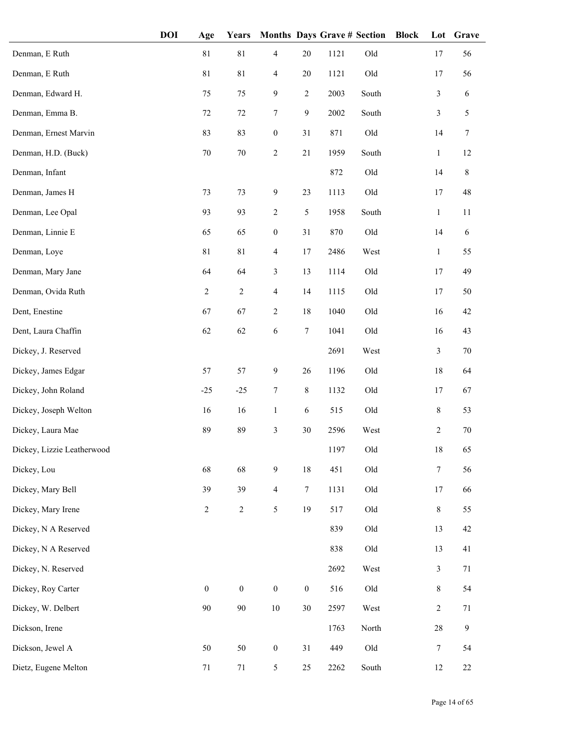|                            | <b>DOI</b> | Age              | Years            |                  |                  | Months Days Grave # Section |                    | <b>Block</b> |                | Lot Grave        |
|----------------------------|------------|------------------|------------------|------------------|------------------|-----------------------------|--------------------|--------------|----------------|------------------|
| Denman, E Ruth             |            | 81               | $8\sqrt{1}$      | $\overline{4}$   | $20\,$           | 1121                        | Old                |              | $17\,$         | 56               |
| Denman, E Ruth             |            | 81               | $8\sqrt{1}$      | $\overline{4}$   | $20\,$           | 1121                        | Old                |              | 17             | 56               |
| Denman, Edward H.          |            | 75               | 75               | 9                | $\sqrt{2}$       | 2003                        | South              |              | 3              | 6                |
| Denman, Emma B.            |            | $72\,$           | $72\,$           | $\boldsymbol{7}$ | $\boldsymbol{9}$ | 2002                        | South              |              | 3              | 5                |
| Denman, Ernest Marvin      |            | 83               | 83               | $\boldsymbol{0}$ | 31               | 871                         | $\rm Old$          |              | 14             | $\boldsymbol{7}$ |
| Denman, H.D. (Buck)        |            | $70\,$           | 70               | $\overline{c}$   | 21               | 1959                        | South              |              | $\mathbf{1}$   | 12               |
| Denman, Infant             |            |                  |                  |                  |                  | 872                         | Old                |              | 14             | $8\,$            |
| Denman, James H            |            | 73               | 73               | 9                | 23               | 1113                        | Old                |              | 17             | $48\,$           |
| Denman, Lee Opal           |            | 93               | 93               | $\overline{c}$   | 5                | 1958                        | South              |              | $\mathbf{1}$   | 11               |
| Denman, Linnie E           |            | 65               | 65               | $\boldsymbol{0}$ | 31               | 870                         | $\rm Old$          |              | 14             | $\sqrt{6}$       |
| Denman, Loye               |            | 81               | $81\,$           | $\overline{4}$   | 17               | 2486                        | West               |              | $\mathbf{1}$   | 55               |
| Denman, Mary Jane          |            | 64               | 64               | $\mathfrak{Z}$   | 13               | 1114                        | Old                |              | 17             | 49               |
| Denman, Ovida Ruth         |            | $\overline{c}$   | $\overline{c}$   | $\overline{4}$   | 14               | 1115                        | Old                |              | 17             | 50               |
| Dent, Enestine             |            | 67               | 67               | $\overline{c}$   | $18\,$           | 1040                        | Old                |              | 16             | $42\,$           |
| Dent, Laura Chaffin        |            | 62               | 62               | $\sqrt{6}$       | $\boldsymbol{7}$ | 1041                        | Old                |              | 16             | $43\,$           |
| Dickey, J. Reserved        |            |                  |                  |                  |                  | 2691                        | West               |              | 3              | $70\,$           |
| Dickey, James Edgar        |            | 57               | 57               | $\overline{9}$   | $26\,$           | 1196                        | Old                |              | $18\,$         | 64               |
| Dickey, John Roland        |            | $-25$            | $-25$            | $\boldsymbol{7}$ | $8\,$            | 1132                        | Old                |              | 17             | 67               |
| Dickey, Joseph Welton      |            | 16               | 16               | $\mathbf{1}$     | 6                | 515                         | Old                |              | 8              | 53               |
| Dickey, Laura Mae          |            | 89               | 89               | $\mathfrak{Z}$   | $30\,$           | 2596                        | West               |              | $\overline{2}$ | $70\,$           |
| Dickey, Lizzie Leatherwood |            |                  |                  |                  |                  | 1197                        | Old                |              | $18\,$         | 65               |
| Dickey, Lou                |            | 68               | 68               | 9                | $18\,$           | 451                         | Old                |              | 7              | 56               |
| Dickey, Mary Bell          |            | 39               | 39               | $\overline{4}$   | $\boldsymbol{7}$ | 1131                        | Old                |              | 17             | 66               |
| Dickey, Mary Irene         |            | $\overline{c}$   | $\overline{c}$   | 5                | 19               | 517                         | Old                |              | $\,$ 8 $\,$    | 55               |
| Dickey, N A Reserved       |            |                  |                  |                  |                  | 839                         | Old                |              | 13             | 42               |
| Dickey, N A Reserved       |            |                  |                  |                  |                  | 838                         | $\rm Old$          |              | 13             | 41               |
| Dickey, N. Reserved        |            |                  |                  |                  |                  | 2692                        | West               |              | 3              | $71\,$           |
| Dickey, Roy Carter         |            | $\boldsymbol{0}$ | $\boldsymbol{0}$ | $\boldsymbol{0}$ | $\boldsymbol{0}$ | 516                         | $\rm Old$          |              | 8              | 54               |
| Dickey, W. Delbert         |            | $90\,$           | $90\,$           | $10\,$           | 30               | 2597                        | West               |              | $\sqrt{2}$     | $71\,$           |
| Dickson, Irene             |            |                  |                  |                  |                  | 1763                        | North              |              | $28\,$         | $\boldsymbol{9}$ |
| Dickson, Jewel A           |            | 50               | 50               | $\boldsymbol{0}$ | 31               | 449                         | $\mathop{\rm Old}$ |              | 7              | 54               |
| Dietz, Eugene Melton       |            | 71               | 71               | $\mathfrak{H}$   | $25\,$           | 2262                        | South              |              | 12             | $22\,$           |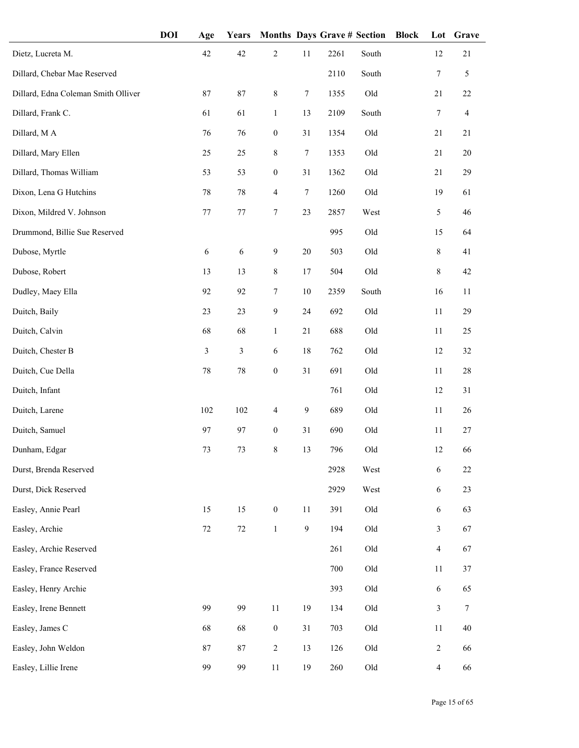|                                     | <b>DOI</b> | Age            | Years  |                  |                  | <b>Months Days Grave # Section</b> |                | <b>Block</b> |                | Lot Grave |
|-------------------------------------|------------|----------------|--------|------------------|------------------|------------------------------------|----------------|--------------|----------------|-----------|
| Dietz, Lucreta M.                   |            | 42             | $42\,$ | $\overline{c}$   | $11\,$           | 2261                               | South          |              | 12             | 21        |
| Dillard, Chebar Mae Reserved        |            |                |        |                  |                  | 2110                               | South          |              | $\tau$         | 5         |
| Dillard, Edna Coleman Smith Olliver |            | $87\,$         | 87     | $\,$ $\,$        | $\tau$           | 1355                               | $\mathrm{Old}$ |              | $21\,$         | 22        |
| Dillard, Frank C.                   |            | 61             | 61     | $\mathbf{1}$     | 13               | 2109                               | South          |              | $\tau$         | 4         |
| Dillard, MA                         |            | 76             | 76     | $\boldsymbol{0}$ | 31               | 1354                               | $\mathrm{Old}$ |              | $21\,$         | 21        |
| Dillard, Mary Ellen                 |            | $25\,$         | $25\,$ | 8                | $\boldsymbol{7}$ | 1353                               | Old            |              | $21\,$         | 20        |
| Dillard, Thomas William             |            | 53             | 53     | $\boldsymbol{0}$ | 31               | 1362                               | Old            |              | $21\,$         | $29\,$    |
| Dixon, Lena G Hutchins              |            | $78\,$         | $78\,$ | $\overline{4}$   | $\tau$           | 1260                               | $\mathrm{Old}$ |              | 19             | 61        |
| Dixon, Mildred V. Johnson           |            | $77\,$         | $77\,$ | $\tau$           | 23               | 2857                               | West           |              | 5              | $46\,$    |
| Drummond, Billie Sue Reserved       |            |                |        |                  |                  | 995                                | $\mathrm{Old}$ |              | 15             | 64        |
| Dubose, Myrtle                      |            | $\sqrt{6}$     | 6      | 9                | $20\,$           | 503                                | Old            |              | $\,8\,$        | 41        |
| Dubose, Robert                      |            | 13             | 13     | $\,$ $\,$        | 17               | 504                                | $\mathrm{Old}$ |              | 8              | 42        |
| Dudley, Maey Ella                   |            | 92             | 92     | 7                | $10\,$           | 2359                               | South          |              | 16             | $11\,$    |
| Duitch, Baily                       |            | 23             | 23     | 9                | 24               | 692                                | $\mathrm{Old}$ |              | 11             | 29        |
| Duitch, Calvin                      |            | 68             | 68     | $\mathbf{1}$     | 21               | 688                                | Old            |              | 11             | 25        |
| Duitch, Chester B                   |            | $\mathfrak{Z}$ | 3      | 6                | $18\,$           | 762                                | $\mathrm{Old}$ |              | 12             | 32        |
| Duitch, Cue Della                   |            | $78\,$         | $78\,$ | $\boldsymbol{0}$ | 31               | 691                                | Old            |              | 11             | $28\,$    |
| Duitch, Infant                      |            |                |        |                  |                  | 761                                | $\mathrm{Old}$ |              | 12             | 31        |
| Duitch, Larene                      |            | 102            | 102    | $\overline{4}$   | $\overline{9}$   | 689                                | Old            |              | 11             | 26        |
| Duitch, Samuel                      |            | 97             | 97     | $\boldsymbol{0}$ | 31               | 690                                | Old            |              | 11             | $27\,$    |
| Dunham, Edgar                       |            | 73             | 73     | 8                | 13               | 796                                | Old            |              | 12             | 66        |
| Durst, Brenda Reserved              |            |                |        |                  |                  | 2928                               | West           |              | 6              | 22        |
| Durst, Dick Reserved                |            |                |        |                  |                  | 2929                               | West           |              | 6              | 23        |
| Easley, Annie Pearl                 |            | 15             | 15     | $\boldsymbol{0}$ | 11               | 391                                | Old            |              | 6              | 63        |
| Easley, Archie                      |            | $72\,$         | $72\,$ | $\mathbf{1}$     | $\overline{9}$   | 194                                | Old            |              | 3              | 67        |
| Easley, Archie Reserved             |            |                |        |                  |                  | 261                                | Old            |              | $\overline{4}$ | 67        |
| Easley, France Reserved             |            |                |        |                  |                  | 700                                | Old            |              | $11\,$         | 37        |
| Easley, Henry Archie                |            |                |        |                  |                  | 393                                | Old            |              | $\sqrt{6}$     | 65        |
| Easley, Irene Bennett               |            | 99             | 99     | 11               | 19               | 134                                | Old            |              | 3              | $\tau$    |
| Easley, James C                     |            | 68             | 68     | $\boldsymbol{0}$ | 31               | 703                                | Old            |              | $11\,$         | 40        |
| Easley, John Weldon                 |            | $87\,$         | $87\,$ | $\overline{2}$   | 13               | 126                                | Old            |              | $\overline{2}$ | 66        |
| Easley, Lillie Irene                |            | 99             | 99     | $11\,$           | 19               | 260                                | Old            |              | $\overline{4}$ | 66        |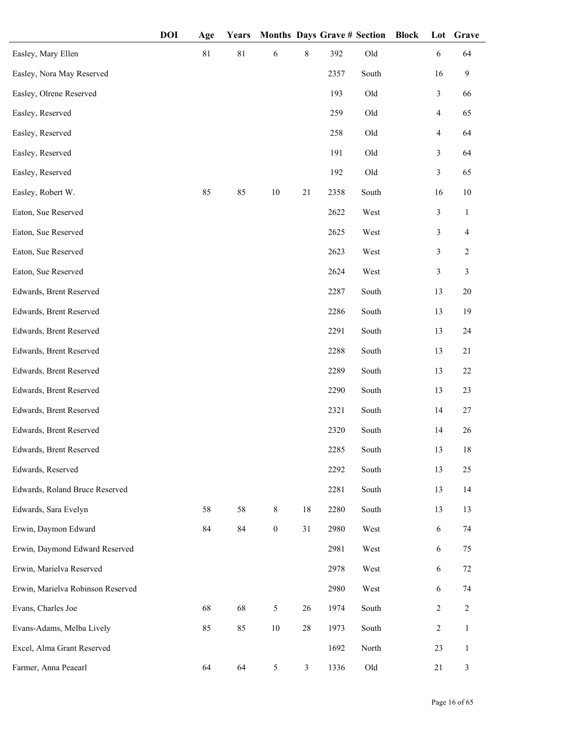|                                   | <b>DOI</b> | Age    | Years       |                  |                | <b>Months Days Grave # Section</b> |                | <b>Block</b> |                | Lot Grave    |
|-----------------------------------|------------|--------|-------------|------------------|----------------|------------------------------------|----------------|--------------|----------------|--------------|
| Easley, Mary Ellen                |            | $81\,$ | $8\sqrt{1}$ | $\sqrt{6}$       | $\,$ 8 $\,$    | 392                                | $\mathrm{Old}$ |              | 6              | 64           |
| Easley, Nora May Reserved         |            |        |             |                  |                | 2357                               | South          |              | 16             | 9            |
| Easley, Olrene Reserved           |            |        |             |                  |                | 193                                | Old            |              | $\mathfrak{Z}$ | 66           |
| Easley, Reserved                  |            |        |             |                  |                | 259                                | Old            |              | $\overline{4}$ | 65           |
| Easley, Reserved                  |            |        |             |                  |                | 258                                | $\mathrm{Old}$ |              | $\overline{4}$ | 64           |
| Easley, Reserved                  |            |        |             |                  |                | 191                                | $\mathrm{Old}$ |              | $\mathfrak{Z}$ | 64           |
| Easley, Reserved                  |            |        |             |                  |                | 192                                | Old            |              | $\mathfrak{Z}$ | 65           |
| Easley, Robert W.                 |            | 85     | 85          | $10\,$           | 21             | 2358                               | South          |              | 16             | 10           |
| Eaton, Sue Reserved               |            |        |             |                  |                | 2622                               | West           |              | $\mathfrak{Z}$ | $\mathbf{1}$ |
| Eaton, Sue Reserved               |            |        |             |                  |                | 2625                               | West           |              | $\mathfrak{Z}$ | 4            |
| Eaton, Sue Reserved               |            |        |             |                  |                | 2623                               | West           |              | $\mathfrak{Z}$ | $\sqrt{2}$   |
| Eaton, Sue Reserved               |            |        |             |                  |                | 2624                               | West           |              | $\mathfrak{Z}$ | 3            |
| Edwards, Brent Reserved           |            |        |             |                  |                | 2287                               | South          |              | 13             | $20\,$       |
| Edwards, Brent Reserved           |            |        |             |                  |                | 2286                               | South          |              | 13             | 19           |
| Edwards, Brent Reserved           |            |        |             |                  |                | 2291                               | South          |              | 13             | $24\,$       |
| Edwards, Brent Reserved           |            |        |             |                  |                | 2288                               | South          |              | 13             | $21\,$       |
| Edwards, Brent Reserved           |            |        |             |                  |                | 2289                               | South          |              | 13             | $22\,$       |
| Edwards, Brent Reserved           |            |        |             |                  |                | 2290                               | South          |              | 13             | 23           |
| Edwards, Brent Reserved           |            |        |             |                  |                | 2321                               | South          |              | 14             | $27\,$       |
| Edwards, Brent Reserved           |            |        |             |                  |                | 2320                               | South          |              | 14             | 26           |
| Edwards, Brent Reserved           |            |        |             |                  |                | 2285                               | South          |              | 13             | 18           |
| Edwards, Reserved                 |            |        |             |                  |                | 2292                               | South          |              | 13             | 25           |
| Edwards, Roland Bruce Reserved    |            |        |             |                  |                | 2281                               | South          |              | 13             | 14           |
| Edwards, Sara Evelyn              |            | 58     | 58          | $\,8\,$          | $18\,$         | 2280                               | South          |              | 13             | 13           |
| Erwin, Daymon Edward              |            | 84     | 84          | $\boldsymbol{0}$ | 31             | 2980                               | West           |              | 6              | 74           |
| Erwin, Daymond Edward Reserved    |            |        |             |                  |                | 2981                               | West           |              | 6              | $75\,$       |
| Erwin, Marielva Reserved          |            |        |             |                  |                | 2978                               | West           |              | 6              | $72\,$       |
| Erwin, Marielva Robinson Reserved |            |        |             |                  |                | 2980                               | West           |              | 6              | 74           |
| Evans, Charles Joe                |            | 68     | 68          | $\mathfrak s$    | $26\,$         | 1974                               | South          |              | $\overline{2}$ | $\sqrt{2}$   |
| Evans-Adams, Melba Lively         |            | 85     | 85          | $10\,$           | $28\,$         | 1973                               | South          |              | $\overline{2}$ | $\mathbf{1}$ |
| Excel, Alma Grant Reserved        |            |        |             |                  |                | 1692                               | North          |              | 23             | $\mathbf{1}$ |
| Farmer, Anna Peaearl              |            | 64     | 64          | $\sqrt{5}$       | $\mathfrak{Z}$ | 1336                               | Old            |              | 21             | 3            |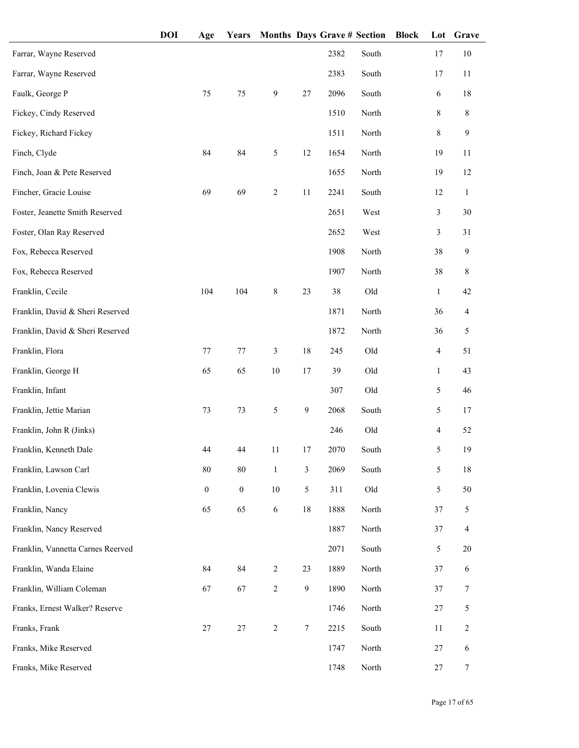|                                   | <b>DOI</b> | Age              | Years            |                |                  | <b>Months Days Grave # Section</b> |                | <b>Block</b> |              | Lot Grave      |
|-----------------------------------|------------|------------------|------------------|----------------|------------------|------------------------------------|----------------|--------------|--------------|----------------|
| Farrar, Wayne Reserved            |            |                  |                  |                |                  | 2382                               | South          |              | 17           | $10\,$         |
| Farrar, Wayne Reserved            |            |                  |                  |                |                  | 2383                               | South          |              | 17           | 11             |
| Faulk, George P                   |            | 75               | 75               | $\overline{9}$ | $27\,$           | 2096                               | South          |              | 6            | 18             |
| Fickey, Cindy Reserved            |            |                  |                  |                |                  | 1510                               | North          |              | 8            | $\,8\,$        |
| Fickey, Richard Fickey            |            |                  |                  |                |                  | 1511                               | North          |              | 8            | $\mathbf{9}$   |
| Finch, Clyde                      |            | 84               | 84               | 5              | 12               | 1654                               | North          |              | 19           | 11             |
| Finch, Joan & Pete Reserved       |            |                  |                  |                |                  | 1655                               | North          |              | 19           | 12             |
| Fincher, Gracie Louise            |            | 69               | 69               | $\overline{c}$ | 11               | 2241                               | South          |              | 12           | $\mathbf{1}$   |
| Foster, Jeanette Smith Reserved   |            |                  |                  |                |                  | 2651                               | West           |              | 3            | $30\,$         |
| Foster, Olan Ray Reserved         |            |                  |                  |                |                  | 2652                               | West           |              | 3            | 31             |
| Fox, Rebecca Reserved             |            |                  |                  |                |                  | 1908                               | North          |              | 38           | $\mathbf{9}$   |
| Fox, Rebecca Reserved             |            |                  |                  |                |                  | 1907                               | North          |              | 38           | $\,8\,$        |
| Franklin, Cecile                  |            | 104              | 104              | 8              | 23               | $38\,$                             | Old            |              | $\mathbf{1}$ | 42             |
| Franklin, David & Sheri Reserved  |            |                  |                  |                |                  | 1871                               | North          |              | 36           | $\overline{4}$ |
| Franklin, David & Sheri Reserved  |            |                  |                  |                |                  | 1872                               | North          |              | 36           | 5              |
| Franklin, Flora                   |            | $77\,$           | $77\,$           | $\mathfrak{Z}$ | 18               | 245                                | $\mathrm{Old}$ |              | 4            | 51             |
| Franklin, George H                |            | 65               | 65               | $10\,$         | 17               | 39                                 | $\mathrm{Old}$ |              | $\mathbf{1}$ | 43             |
| Franklin, Infant                  |            |                  |                  |                |                  | 307                                | $\mathrm{Old}$ |              | 5            | 46             |
| Franklin, Jettie Marian           |            | 73               | 73               | $\mathfrak{H}$ | $\boldsymbol{9}$ | 2068                               | South          |              | 5            | 17             |
| Franklin, John R (Jinks)          |            |                  |                  |                |                  | 246                                | $\mathrm{Old}$ |              | 4            | 52             |
| Franklin, Kenneth Dale            |            | 44               | 44               | 11             | 17               | 2070                               | South          |              | 5            | 19             |
| Franklin, Lawson Carl             |            | $80\,$           | $80\,$           | $\mathbf{1}$   | 3                | 2069                               | South          |              | 5            | 18             |
| Franklin, Lovenia Clewis          |            | $\boldsymbol{0}$ | $\boldsymbol{0}$ | $10\,$         | 5                | 311                                | Old            |              | 5            | $50\,$         |
| Franklin, Nancy                   |            | 65               | 65               | 6              | $18\,$           | 1888                               | North          |              | 37           | 5              |
| Franklin, Nancy Reserved          |            |                  |                  |                |                  | 1887                               | North          |              | 37           | $\overline{4}$ |
| Franklin, Vannetta Carnes Reerved |            |                  |                  |                |                  | 2071                               | South          |              | 5            | $20\,$         |
| Franklin, Wanda Elaine            |            | 84               | $\bf 84$         | $\overline{c}$ | 23               | 1889                               | North          |              | 37           | 6              |
| Franklin, William Coleman         |            | 67               | 67               | $\overline{c}$ | $\overline{9}$   | 1890                               | North          |              | 37           | $\tau$         |
| Franks, Ernest Walker? Reserve    |            |                  |                  |                |                  | 1746                               | North          |              | 27           | 5              |
| Franks, Frank                     |            | $27\,$           | $27\,$           | $\overline{c}$ | $\boldsymbol{7}$ | 2215                               | South          |              | 11           | $\overline{c}$ |
| Franks, Mike Reserved             |            |                  |                  |                |                  | 1747                               | North          |              | 27           | $\sqrt{6}$     |
| Franks, Mike Reserved             |            |                  |                  |                |                  | 1748                               | North          |              | 27           | $\tau$         |
|                                   |            |                  |                  |                |                  |                                    |                |              |              |                |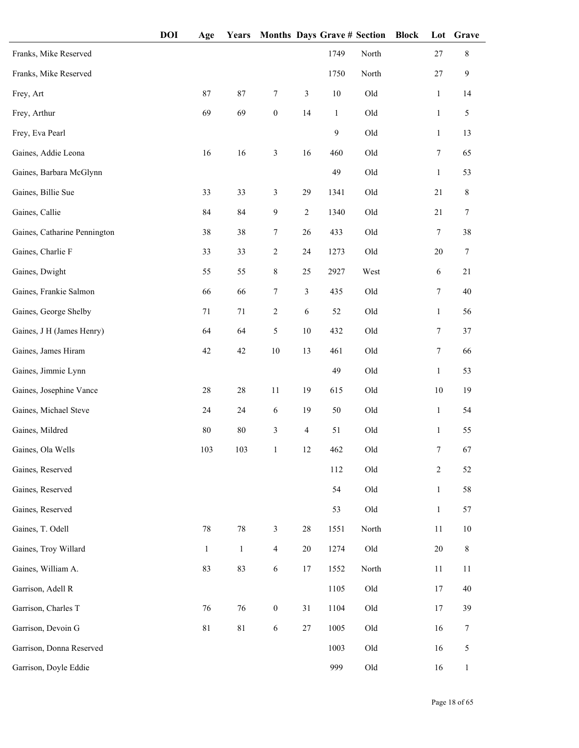|                              | <b>DOI</b> | Age    | Years        |                  |                |              | <b>Months Days Grave # Section</b> | <b>Block</b> |                  | Lot Grave    |
|------------------------------|------------|--------|--------------|------------------|----------------|--------------|------------------------------------|--------------|------------------|--------------|
| Franks, Mike Reserved        |            |        |              |                  |                | 1749         | North                              |              | $27\,$           | $\,$ $\,$    |
| Franks, Mike Reserved        |            |        |              |                  |                | 1750         | North                              |              | 27               | 9            |
| Frey, Art                    |            | 87     | 87           | 7                | 3              | $10\,$       | Old                                |              | $\mathbf{1}$     | 14           |
| Frey, Arthur                 |            | 69     | 69           | $\boldsymbol{0}$ | 14             | $\mathbf{1}$ | Old                                |              | $\mathbf{1}$     | 5            |
| Frey, Eva Pearl              |            |        |              |                  |                | 9            | Old                                |              | $\mathbf{1}$     | 13           |
| Gaines, Addie Leona          |            | 16     | 16           | 3                | 16             | 460          | Old                                |              | $\boldsymbol{7}$ | 65           |
| Gaines, Barbara McGlynn      |            |        |              |                  |                | 49           | Old                                |              | $\mathbf{1}$     | 53           |
| Gaines, Billie Sue           |            | 33     | 33           | 3                | 29             | 1341         | Old                                |              | 21               | $\,$ $\,$    |
| Gaines, Callie               |            | 84     | 84           | 9                | $\overline{c}$ | 1340         | Old                                |              | $21\,$           | 7            |
| Gaines, Catharine Pennington |            | $38\,$ | 38           | 7                | 26             | 433          | Old                                |              | $\boldsymbol{7}$ | 38           |
| Gaines, Charlie F            |            | 33     | 33           | $\overline{c}$   | 24             | 1273         | Old                                |              | $20\,$           | $\tau$       |
| Gaines, Dwight               |            | 55     | 55           | $\,8\,$          | 25             | 2927         | West                               |              | 6                | $21\,$       |
| Gaines, Frankie Salmon       |            | 66     | 66           | $\tau$           | 3              | 435          | Old                                |              | $\boldsymbol{7}$ | $40\,$       |
| Gaines, George Shelby        |            | $71\,$ | $71\,$       | $\overline{c}$   | 6              | 52           | Old                                |              | $\mathbf{1}$     | 56           |
| Gaines, J H (James Henry)    |            | 64     | 64           | 5                | $10\,$         | 432          | Old                                |              | $\boldsymbol{7}$ | 37           |
| Gaines, James Hiram          |            | $42\,$ | 42           | $10\,$           | 13             | 461          | Old                                |              | $\boldsymbol{7}$ | 66           |
| Gaines, Jimmie Lynn          |            |        |              |                  |                | 49           | Old                                |              | $\,1$            | 53           |
| Gaines, Josephine Vance      |            | $28\,$ | $28\,$       | 11               | 19             | 615          | Old                                |              | $10\,$           | 19           |
| Gaines, Michael Steve        |            | 24     | 24           | $\sqrt{6}$       | 19             | $50\,$       | Old                                |              | $\mathbf{1}$     | 54           |
| Gaines, Mildred              |            | $80\,$ | 80           | 3                | $\overline{4}$ | 51           | Old                                |              | $\mathbf{1}$     | 55           |
| Gaines, Ola Wells            |            | 103    | 103          | $\mathbf{1}$     | 12             | 462          | Old                                |              | 7                | 67           |
| Gaines, Reserved             |            |        |              |                  |                | 112          | Old                                |              | $\overline{c}$   | 52           |
| Gaines, Reserved             |            |        |              |                  |                | 54           | Old                                |              | $1\,$            | 58           |
| Gaines, Reserved             |            |        |              |                  |                | 53           | Old                                |              | $\mathbf{1}$     | 57           |
| Gaines, T. Odell             |            | $78\,$ | $78\,$       | $\mathfrak{Z}$   | 28             | 1551         | North                              |              | 11               | 10           |
| Gaines, Troy Willard         |            | $1\,$  | $\mathbf{1}$ | 4                | 20             | 1274         | $\rm Old$                          |              | $20\,$           | $\,$ 8 $\,$  |
| Gaines, William A.           |            | 83     | 83           | 6                | 17             | 1552         | North                              |              | $11\,$           | $11\,$       |
| Garrison, Adell R            |            |        |              |                  |                | 1105         | $\rm Old$                          |              | 17               | 40           |
| Garrison, Charles T          |            | 76     | 76           | $\boldsymbol{0}$ | 31             | 1104         | Old                                |              | 17               | 39           |
| Garrison, Devoin G           |            | $81\,$ | $81\,$       | 6                | $27\,$         | 1005         | Old                                |              | 16               | $\tau$       |
| Garrison, Donna Reserved     |            |        |              |                  |                | 1003         | Old                                |              | 16               | 5            |
| Garrison, Doyle Eddie        |            |        |              |                  |                | 999          | Old                                |              | 16               | $\mathbf{1}$ |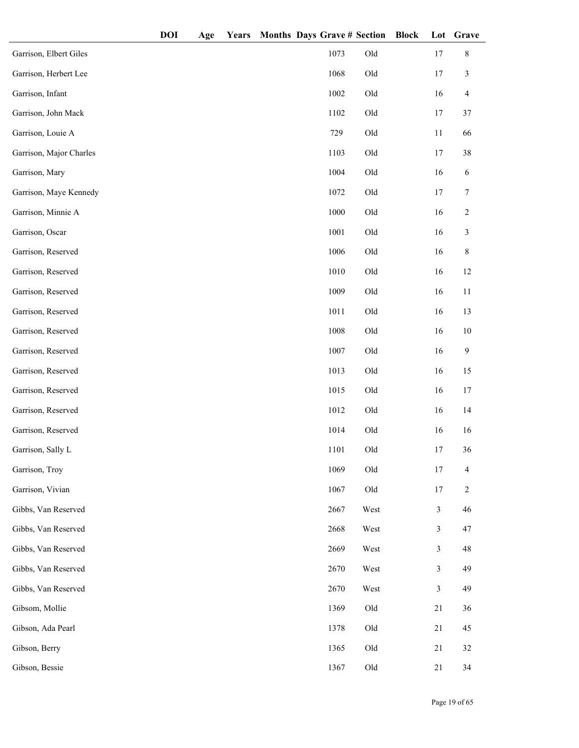|                         | <b>DOI</b> | Age | Years | Months Days Grave # Section |                | <b>Block</b> |                | Lot Grave        |
|-------------------------|------------|-----|-------|-----------------------------|----------------|--------------|----------------|------------------|
| Garrison, Elbert Giles  |            |     |       | 1073                        | $\mathrm{Old}$ |              | $17\,$         | $\,8\,$          |
| Garrison, Herbert Lee   |            |     |       | 1068                        | Old            |              | 17             | 3                |
| Garrison, Infant        |            |     |       | 1002                        | Old            |              | 16             | $\overline{4}$   |
| Garrison, John Mack     |            |     |       | 1102                        | Old            |              | 17             | 37               |
| Garrison, Louie A       |            |     |       | 729                         | $\mathrm{Old}$ |              | 11             | 66               |
| Garrison, Major Charles |            |     |       | 1103                        | Old            |              | 17             | 38               |
| Garrison, Mary          |            |     |       | 1004                        | Old            |              | 16             | $\sqrt{6}$       |
| Garrison, Maye Kennedy  |            |     |       | 1072                        | Old            |              | 17             | $\tau$           |
| Garrison, Minnie A      |            |     |       | 1000                        | Old            |              | 16             | $\sqrt{2}$       |
| Garrison, Oscar         |            |     |       | 1001                        | Old            |              | 16             | $\mathfrak{Z}$   |
| Garrison, Reserved      |            |     |       | 1006                        | Old            |              | 16             | $\,8\,$          |
| Garrison, Reserved      |            |     |       | 1010                        | Old            |              | 16             | 12               |
| Garrison, Reserved      |            |     |       | 1009                        | Old            |              | 16             | 11               |
| Garrison, Reserved      |            |     |       | 1011                        | Old            |              | 16             | 13               |
| Garrison, Reserved      |            |     |       | 1008                        | Old            |              | 16             | 10               |
| Garrison, Reserved      |            |     |       | 1007                        | Old            |              | 16             | $\boldsymbol{9}$ |
| Garrison, Reserved      |            |     |       | 1013                        | Old            |              | 16             | 15               |
| Garrison, Reserved      |            |     |       | 1015                        | Old            |              | 16             | 17               |
| Garrison, Reserved      |            |     |       | 1012                        | Old            |              | 16             | 14               |
| Garrison, Reserved      |            |     |       | 1014                        | Old            |              | 16             | 16               |
| Garrison, Sally L       |            |     |       | 1101                        | Old            |              | 17             | 36               |
| Garrison, Troy          |            |     |       | 1069                        | Old            |              | $17\,$         | 4                |
| Garrison, Vivian        |            |     |       | 1067                        | $\rm Old$      |              | 17             | $\sqrt{2}$       |
| Gibbs, Van Reserved     |            |     |       | 2667                        | West           |              | 3              | 46               |
| Gibbs, Van Reserved     |            |     |       | 2668                        | West           |              | 3              | 47               |
| Gibbs, Van Reserved     |            |     |       | 2669                        | West           |              | $\mathfrak{Z}$ | 48               |
| Gibbs, Van Reserved     |            |     |       | 2670                        | West           |              | 3              | 49               |
| Gibbs, Van Reserved     |            |     |       | 2670                        | West           |              | 3              | 49               |
| Gibsom, Mollie          |            |     |       | 1369                        | Old            |              | 21             | 36               |
| Gibson, Ada Pearl       |            |     |       | 1378                        | Old            |              | 21             | 45               |
| Gibson, Berry           |            |     |       | 1365                        | Old            |              | 21             | 32               |
| Gibson, Bessie          |            |     |       | 1367                        | Old            |              | 21             | 34               |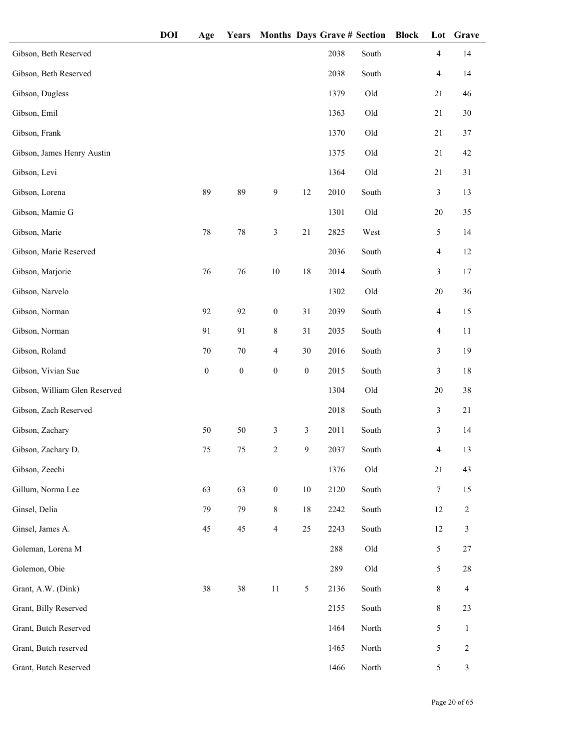|                               | <b>DOI</b> | Age              | Years            |                  |                  | <b>Months Days Grave # Section</b> |                | <b>Block</b> |                  | Lot Grave      |
|-------------------------------|------------|------------------|------------------|------------------|------------------|------------------------------------|----------------|--------------|------------------|----------------|
| Gibson, Beth Reserved         |            |                  |                  |                  |                  | 2038                               | South          |              | 4                | 14             |
| Gibson, Beth Reserved         |            |                  |                  |                  |                  | 2038                               | South          |              | 4                | 14             |
| Gibson, Dugless               |            |                  |                  |                  |                  | 1379                               | Old            |              | 21               | 46             |
| Gibson, Emil                  |            |                  |                  |                  |                  | 1363                               | Old            |              | 21               | 30             |
| Gibson, Frank                 |            |                  |                  |                  |                  | 1370                               | Old            |              | 21               | 37             |
| Gibson, James Henry Austin    |            |                  |                  |                  |                  | 1375                               | Old            |              | 21               | 42             |
| Gibson, Levi                  |            |                  |                  |                  |                  | 1364                               | Old            |              | 21               | $31\,$         |
| Gibson, Lorena                |            | 89               | 89               | $\boldsymbol{9}$ | $12\,$           | 2010                               | South          |              | 3                | 13             |
| Gibson, Mamie G               |            |                  |                  |                  |                  | 1301                               | $\mathrm{Old}$ |              | $20\,$           | 35             |
| Gibson, Marie                 |            | $78\,$           | $78\,$           | $\mathfrak{Z}$   | 21               | 2825                               | West           |              | 5                | 14             |
| Gibson, Marie Reserved        |            |                  |                  |                  |                  | 2036                               | South          |              | 4                | 12             |
| Gibson, Marjorie              |            | 76               | 76               | $10\,$           | $18\,$           | 2014                               | South          |              | 3                | 17             |
| Gibson, Narvelo               |            |                  |                  |                  |                  | 1302                               | $\mathrm{Old}$ |              | $20\,$           | 36             |
| Gibson, Norman                |            | 92               | 92               | $\boldsymbol{0}$ | 31               | 2039                               | South          |              | 4                | 15             |
| Gibson, Norman                |            | 91               | 91               | 8                | 31               | 2035                               | South          |              | 4                | 11             |
| Gibson, Roland                |            | $70\,$           | $70\,$           | 4                | 30               | 2016                               | South          |              | 3                | 19             |
| Gibson, Vivian Sue            |            | $\boldsymbol{0}$ | $\boldsymbol{0}$ | $\boldsymbol{0}$ | $\boldsymbol{0}$ | 2015                               | South          |              | 3                | 18             |
| Gibson, William Glen Reserved |            |                  |                  |                  |                  | 1304                               | $\mathrm{Old}$ |              | $20\,$           | 38             |
| Gibson, Zach Reserved         |            |                  |                  |                  |                  | 2018                               | South          |              | 3                | 21             |
| Gibson, Zachary               |            | 50               | 50               | $\mathfrak{Z}$   | $\mathfrak{Z}$   | 2011                               | South          |              | 3                | 14             |
| Gibson, Zachary D.            |            | 75               | 75               | $\overline{c}$   | 9                | 2037                               | South          |              | 4                | 13             |
| Gibson, Zeechi                |            |                  |                  |                  |                  | 1376                               | $\mathrm{Old}$ |              | 21               | 43             |
| Gillum, Norma Lee             |            | 63               | 63               | $\boldsymbol{0}$ | $10\,$           | 2120                               | South          |              | $\boldsymbol{7}$ | 15             |
| Ginsel, Delia                 |            | 79               | 79               | 8                | $18\,$           | 2242                               | South          |              | 12               | $\sqrt{2}$     |
| Ginsel, James A.              |            | 45               | 45               | $\overline{4}$   | 25               | 2243                               | South          |              | 12               | 3              |
| Goleman, Lorena M             |            |                  |                  |                  |                  | 288                                | $\mathrm{Old}$ |              | 5                | $27\,$         |
| Golemon, Obie                 |            |                  |                  |                  |                  | 289                                | Old            |              | 5                | $28\,$         |
| Grant, A.W. (Dink)            |            | 38               | $38\,$           | $11\,$           | 5                | 2136                               | South          |              | 8                | $\overline{4}$ |
| Grant, Billy Reserved         |            |                  |                  |                  |                  | 2155                               | South          |              | 8                | 23             |
| Grant, Butch Reserved         |            |                  |                  |                  |                  | 1464                               | North          |              | 5                | $\mathbf{1}$   |
| Grant, Butch reserved         |            |                  |                  |                  |                  | 1465                               | North          |              | 5                | $\sqrt{2}$     |
| Grant, Butch Reserved         |            |                  |                  |                  |                  | 1466                               | North          |              | 5                | 3              |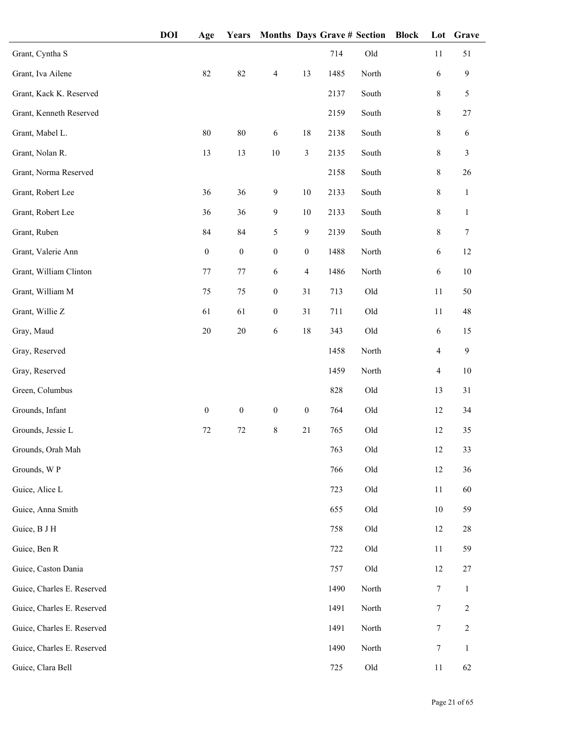|                            | <b>DOI</b> | Age              | Years            |                  |                  |      | Months Days Grave # Section | <b>Block</b> |                | Lot Grave      |
|----------------------------|------------|------------------|------------------|------------------|------------------|------|-----------------------------|--------------|----------------|----------------|
| Grant, Cyntha S            |            |                  |                  |                  |                  | 714  | $\rm Old$                   |              | $11\,$         | 51             |
| Grant, Iva Ailene          |            | $82\,$           | $82\,$           | $\overline{4}$   | 13               | 1485 | North                       |              | 6              | 9              |
| Grant, Kack K. Reserved    |            |                  |                  |                  |                  | 2137 | South                       |              | $\,8\,$        | 5              |
| Grant, Kenneth Reserved    |            |                  |                  |                  |                  | 2159 | South                       |              | 8              | 27             |
| Grant, Mabel L.            |            | $80\,$           | $80\,$           | $\sqrt{6}$       | $18\,$           | 2138 | South                       |              | $\,8\,$        | 6              |
| Grant, Nolan R.            |            | 13               | 13               | $10\,$           | $\mathfrak{Z}$   | 2135 | South                       |              | $\,8\,$        | $\mathfrak{Z}$ |
| Grant, Norma Reserved      |            |                  |                  |                  |                  | 2158 | South                       |              | 8              | $26\,$         |
| Grant, Robert Lee          |            | 36               | 36               | 9                | $10\,$           | 2133 | South                       |              | $\,8\,$        | $\mathbf{1}$   |
| Grant, Robert Lee          |            | 36               | 36               | 9                | $10\,$           | 2133 | South                       |              | $8\,$          | $\mathbf{1}$   |
| Grant, Ruben               |            | 84               | $\bf 84$         | 5                | 9                | 2139 | South                       |              | 8              | $\tau$         |
| Grant, Valerie Ann         |            | $\boldsymbol{0}$ | $\boldsymbol{0}$ | $\boldsymbol{0}$ | $\boldsymbol{0}$ | 1488 | North                       |              | 6              | 12             |
| Grant, William Clinton     |            | $77 \,$          | $77\,$           | $\sqrt{6}$       | $\overline{4}$   | 1486 | North                       |              | 6              | $10\,$         |
| Grant, William M           |            | $75\,$           | $75\,$           | $\boldsymbol{0}$ | 31               | 713  | $\rm Old$                   |              | $11\,$         | 50             |
| Grant, Willie Z            |            | 61               | 61               | $\boldsymbol{0}$ | 31               | 711  | Old                         |              | $11\,$         | 48             |
| Gray, Maud                 |            | $20\,$           | $20\,$           | $\boldsymbol{6}$ | $18\,$           | 343  | Old                         |              | 6              | 15             |
| Gray, Reserved             |            |                  |                  |                  |                  | 1458 | North                       |              | $\overline{4}$ | 9              |
| Gray, Reserved             |            |                  |                  |                  |                  | 1459 | North                       |              | $\overline{4}$ | $10\,$         |
| Green, Columbus            |            |                  |                  |                  |                  | 828  | Old                         |              | 13             | $31\,$         |
| Grounds, Infant            |            | $\boldsymbol{0}$ | $\boldsymbol{0}$ | $\boldsymbol{0}$ | $\boldsymbol{0}$ | 764  | Old                         |              | 12             | 34             |
| Grounds, Jessie L          |            | $72\,$           | $72\,$           | $\,$ 8 $\,$      | 21               | 765  | Old                         |              | 12             | 35             |
| Grounds, Orah Mah          |            |                  |                  |                  |                  | 763  | Old                         |              | 12             | 33             |
| Grounds, WP                |            |                  |                  |                  |                  | 766  | Old                         |              | 12             | 36             |
| Guice, Alice L             |            |                  |                  |                  |                  | 723  | Old                         |              | $11\,$         | 60             |
| Guice, Anna Smith          |            |                  |                  |                  |                  | 655  | Old                         |              | 10             | 59             |
| Guice, B J H               |            |                  |                  |                  |                  | 758  | Old                         |              | 12             | $28\,$         |
| Guice, Ben R               |            |                  |                  |                  |                  | 722  | Old                         |              | 11             | 59             |
| Guice, Caston Dania        |            |                  |                  |                  |                  | 757  | Old                         |              | 12             | $27\,$         |
| Guice, Charles E. Reserved |            |                  |                  |                  |                  | 1490 | North                       |              | 7              | $\mathbf{1}$   |
| Guice, Charles E. Reserved |            |                  |                  |                  |                  | 1491 | North                       |              | 7              | $\overline{c}$ |
| Guice, Charles E. Reserved |            |                  |                  |                  |                  | 1491 | North                       |              | 7              | $\overline{c}$ |
| Guice, Charles E. Reserved |            |                  |                  |                  |                  | 1490 | North                       |              | $\tau$         | $\mathbf{1}$   |
| Guice, Clara Bell          |            |                  |                  |                  |                  | 725  | Old                         |              | 11             | 62             |
|                            |            |                  |                  |                  |                  |      |                             |              |                |                |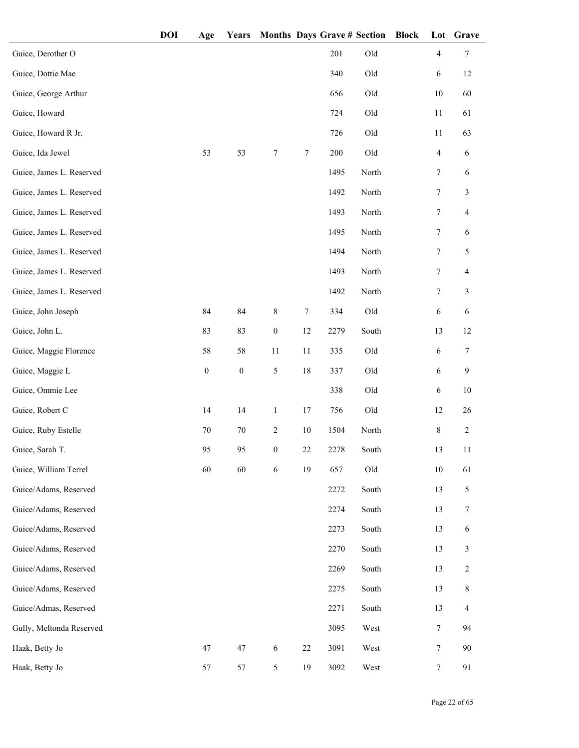|                          | <b>DOI</b> | Age              | Years            |                  |                  |      | Months Days Grave # Section | <b>Block</b> |                  | Lot Grave        |
|--------------------------|------------|------------------|------------------|------------------|------------------|------|-----------------------------|--------------|------------------|------------------|
| Guice, Derother O        |            |                  |                  |                  |                  | 201  | Old                         |              | $\overline{4}$   | $\boldsymbol{7}$ |
| Guice, Dottie Mae        |            |                  |                  |                  |                  | 340  | Old                         |              | 6                | 12               |
| Guice, George Arthur     |            |                  |                  |                  |                  | 656  | Old                         |              | $10\,$           | 60               |
| Guice, Howard            |            |                  |                  |                  |                  | 724  | Old                         |              | 11               | 61               |
| Guice, Howard R Jr.      |            |                  |                  |                  |                  | 726  | Old                         |              | $11\,$           | 63               |
| Guice, Ida Jewel         |            | 53               | 53               | $\boldsymbol{7}$ | $\boldsymbol{7}$ | 200  | Old                         |              | $\overline{4}$   | 6                |
| Guice, James L. Reserved |            |                  |                  |                  |                  | 1495 | North                       |              | $\boldsymbol{7}$ | 6                |
| Guice, James L. Reserved |            |                  |                  |                  |                  | 1492 | North                       |              | $\boldsymbol{7}$ | $\mathfrak{Z}$   |
| Guice, James L. Reserved |            |                  |                  |                  |                  | 1493 | North                       |              | $\boldsymbol{7}$ | $\overline{4}$   |
| Guice, James L. Reserved |            |                  |                  |                  |                  | 1495 | North                       |              | $\boldsymbol{7}$ | 6                |
| Guice, James L. Reserved |            |                  |                  |                  |                  | 1494 | North                       |              | $\boldsymbol{7}$ | 5                |
| Guice, James L. Reserved |            |                  |                  |                  |                  | 1493 | North                       |              | $\boldsymbol{7}$ | $\overline{4}$   |
| Guice, James L. Reserved |            |                  |                  |                  |                  | 1492 | North                       |              | $\boldsymbol{7}$ | 3                |
| Guice, John Joseph       |            | 84               | $\bf 84$         | $\,$ 8 $\,$      | $\boldsymbol{7}$ | 334  | $\mathrm{Old}$              |              | 6                | 6                |
| Guice, John L.           |            | 83               | 83               | $\boldsymbol{0}$ | 12               | 2279 | South                       |              | 13               | 12               |
| Guice, Maggie Florence   |            | 58               | $58\,$           | $11\,$           | 11               | 335  | $\mathrm{Old}$              |              | 6                | $\tau$           |
| Guice, Maggie L          |            | $\boldsymbol{0}$ | $\boldsymbol{0}$ | 5                | $18\,$           | 337  | Old                         |              | 6                | $\boldsymbol{9}$ |
| Guice, Ommie Lee         |            |                  |                  |                  |                  | 338  | Old                         |              | $\sqrt{6}$       | 10               |
| Guice, Robert C          |            | 14               | 14               | $\mathbf{1}$     | 17               | 756  | Old                         |              | 12               | 26               |
| Guice, Ruby Estelle      |            | $70\,$           | $70\,$           | $\boldsymbol{2}$ | $10\,$           | 1504 | North                       |              | $\,$ 8 $\,$      | $\overline{c}$   |
| Guice, Sarah T.          |            | 95               | 95               | $\boldsymbol{0}$ | $22\,$           | 2278 | South                       |              | 13               | 11               |
| Guice, William Terrel    |            | 60               | 60               | $\sqrt{6}$       | 19               | 657  | Old                         |              | $10\,$           | 61               |
| Guice/Adams, Reserved    |            |                  |                  |                  |                  | 2272 | South                       |              | 13               | 5                |
| Guice/Adams, Reserved    |            |                  |                  |                  |                  | 2274 | South                       |              | 13               | 7                |
| Guice/Adams, Reserved    |            |                  |                  |                  |                  | 2273 | South                       |              | 13               | 6                |
| Guice/Adams, Reserved    |            |                  |                  |                  |                  | 2270 | South                       |              | 13               | 3                |
| Guice/Adams, Reserved    |            |                  |                  |                  |                  | 2269 | South                       |              | 13               | $\overline{c}$   |
| Guice/Adams, Reserved    |            |                  |                  |                  |                  | 2275 | South                       |              | 13               | 8                |
| Guice/Admas, Reserved    |            |                  |                  |                  |                  | 2271 | South                       |              | 13               | 4                |
| Gully, Meltonda Reserved |            |                  |                  |                  |                  | 3095 | West                        |              | $\boldsymbol{7}$ | 94               |
| Haak, Betty Jo           |            | $47\,$           | $47\,$           | $\sqrt{6}$       | $22\,$           | 3091 | West                        |              | $\tau$           | 90               |
| Haak, Betty Jo           |            | 57               | 57               | 5                | 19               | 3092 | West                        |              | $\boldsymbol{7}$ | 91               |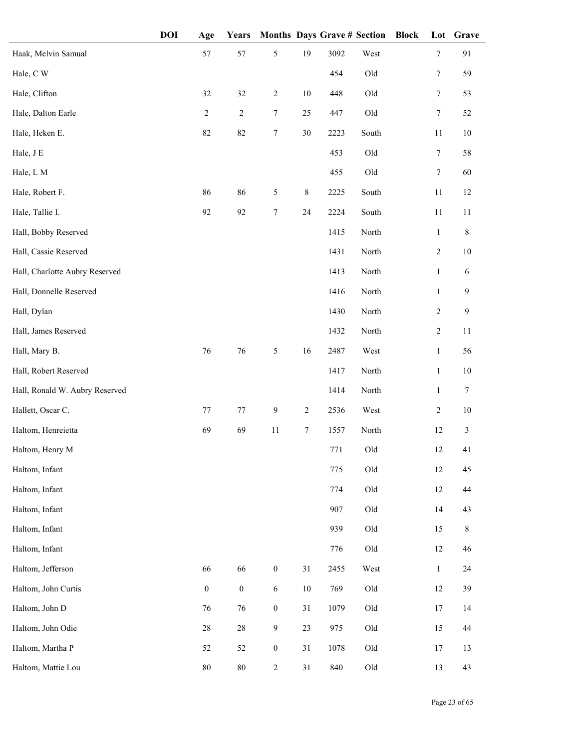|                                | <b>DOI</b> | Age              | Years            |                  |                  | <b>Months Days Grave # Section</b> |                | <b>Block</b> |                  | Lot Grave        |  |
|--------------------------------|------------|------------------|------------------|------------------|------------------|------------------------------------|----------------|--------------|------------------|------------------|--|
| Haak, Melvin Samual            |            | 57               | 57               | $\mathfrak{S}$   | 19               | 3092                               | West           |              | $\boldsymbol{7}$ | 91               |  |
| Hale, C W                      |            |                  |                  |                  |                  | 454                                | $\mathrm{Old}$ |              | $\tau$           | 59               |  |
| Hale, Clifton                  |            | 32               | 32               | $\sqrt{2}$       | $10\,$           | 448                                | Old            |              | $\tau$           | 53               |  |
| Hale, Dalton Earle             |            | $\mathbf{2}$     | $\sqrt{2}$       | $\tau$           | 25               | 447                                | Old            |              | $\boldsymbol{7}$ | 52               |  |
| Hale, Heken E.                 |            | 82               | 82               | $\boldsymbol{7}$ | $30\,$           | 2223                               | South          |              | $11\,$           | $10\,$           |  |
| Hale, J E                      |            |                  |                  |                  |                  | 453                                | $\mathrm{Old}$ |              | 7                | 58               |  |
| Hale, L M                      |            |                  |                  |                  |                  | 455                                | $\mathrm{Old}$ |              | $\tau$           | 60               |  |
| Hale, Robert F.                |            | 86               | 86               | 5                | $\,8\,$          | 2225                               | South          |              | 11               | $12\,$           |  |
| Hale, Tallie I.                |            | 92               | 92               | $\boldsymbol{7}$ | 24               | 2224                               | South          |              | 11               | $11\,$           |  |
| Hall, Bobby Reserved           |            |                  |                  |                  |                  | 1415                               | North          |              | $\mathbf{1}$     | $\,8\,$          |  |
| Hall, Cassie Reserved          |            |                  |                  |                  |                  | 1431                               | North          |              | $\overline{c}$   | $10\,$           |  |
| Hall, Charlotte Aubry Reserved |            |                  |                  |                  |                  | 1413                               | North          |              | $\mathbf{1}$     | $\sqrt{6}$       |  |
| Hall, Donnelle Reserved        |            |                  |                  |                  |                  | 1416                               | North          |              | $\mathbf{1}$     | $\mathbf{9}$     |  |
| Hall, Dylan                    |            |                  |                  |                  |                  | 1430                               | North          |              | $\overline{c}$   | $\mathbf{9}$     |  |
| Hall, James Reserved           |            |                  |                  |                  |                  | 1432                               | North          |              | $\overline{c}$   | 11               |  |
| Hall, Mary B.                  |            | $76\,$           | 76               | 5                | 16               | 2487                               | West           |              | $\mathbf{1}$     | 56               |  |
| Hall, Robert Reserved          |            |                  |                  |                  |                  | 1417                               | North          |              | $\mathbf{1}$     | $10\,$           |  |
| Hall, Ronald W. Aubry Reserved |            |                  |                  |                  |                  | 1414                               | North          |              | $\mathbf{1}$     | $\boldsymbol{7}$ |  |
| Hallett, Oscar C.              |            | $77\,$           | $77\,$           | $\overline{9}$   | $\sqrt{2}$       | 2536                               | West           |              | $\overline{c}$   | $10\,$           |  |
| Haltom, Henreietta             |            | 69               | 69               | $11\,$           | $\boldsymbol{7}$ | 1557                               | North          |              | 12               | $\mathfrak{Z}$   |  |
| Haltom, Henry M                |            |                  |                  |                  |                  | 771                                | Old            |              | 12               | 41               |  |
| Haltom, Infant                 |            |                  |                  |                  |                  | 775                                | Old            |              | 12               | 45               |  |
| Haltom, Infant                 |            |                  |                  |                  |                  | 774                                | $\mathrm{Old}$ |              | 12               | $44\,$           |  |
| Haltom, Infant                 |            |                  |                  |                  |                  | 907                                | Old            |              | 14               | 43               |  |
| Haltom, Infant                 |            |                  |                  |                  |                  | 939                                | Old            |              | 15               | $\,8\,$          |  |
| Haltom, Infant                 |            |                  |                  |                  |                  | 776                                | Old            |              | 12               | 46               |  |
| Haltom, Jefferson              |            | 66               | 66               | $\boldsymbol{0}$ | 31               | 2455                               | West           |              | $\mathbf{1}$     | 24               |  |
| Haltom, John Curtis            |            | $\boldsymbol{0}$ | $\boldsymbol{0}$ | $\sqrt{6}$       | $10\,$           | 769                                | Old            |              | 12               | 39               |  |
| Haltom, John D                 |            | 76               | $76\,$           | $\boldsymbol{0}$ | 31               | 1079                               | Old            |              | $17$             | 14               |  |
| Haltom, John Odie              |            | $28\,$           | $28\,$           | $\overline{9}$   | 23               | 975                                | Old            |              | 15               | $44\,$           |  |
| Haltom, Martha P               |            | 52               | 52               | $\boldsymbol{0}$ | 31               | 1078                               | $\mathrm{Old}$ |              | 17               | 13               |  |
| Haltom, Mattie Lou             |            | $80\,$           | $80\,$           | $\overline{c}$   | 31               | 840                                | $\rm Old$      |              | 13               | 43               |  |
|                                |            |                  |                  |                  |                  |                                    |                |              |                  |                  |  |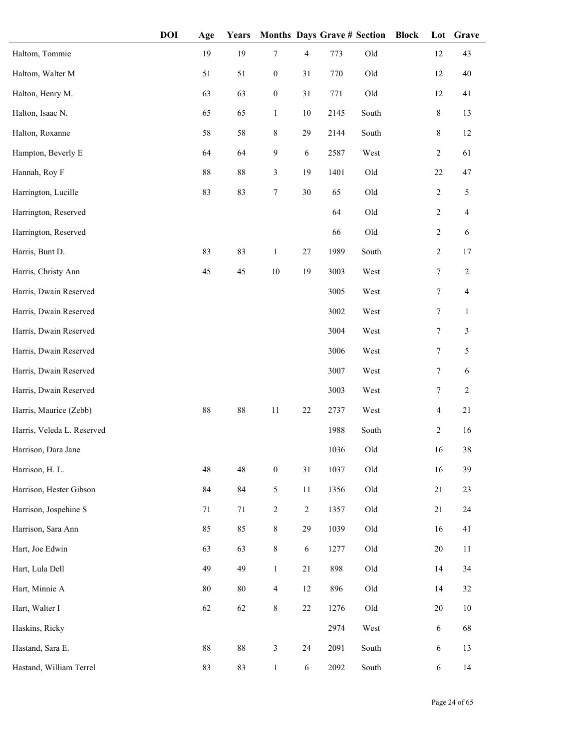|                            | <b>DOI</b> | Age      | Years    |                  |                | Months Days Grave # Section |                | <b>Block</b> |                  | Lot Grave      |
|----------------------------|------------|----------|----------|------------------|----------------|-----------------------------|----------------|--------------|------------------|----------------|
| Haltom, Tommie             |            | 19       | 19       | $\boldsymbol{7}$ | $\overline{4}$ | 773                         | $\mathrm{Old}$ |              | 12               | 43             |
| Haltom, Walter M           |            | 51       | 51       | $\boldsymbol{0}$ | 31             | 770                         | Old            |              | 12               | $40\,$         |
| Halton, Henry M.           |            | 63       | 63       | $\boldsymbol{0}$ | 31             | 771                         | $\mathrm{Old}$ |              | 12               | 41             |
| Halton, Isaac N.           |            | 65       | 65       | $\mathbf{1}$     | $10\,$         | 2145                        | South          |              | $\,$ 8 $\,$      | 13             |
| Halton, Roxanne            |            | 58       | 58       | $\,$ $\,$        | 29             | 2144                        | South          |              | 8                | 12             |
| Hampton, Beverly E         |            | 64       | 64       | 9                | $\sqrt{6}$     | 2587                        | West           |              | $\overline{c}$   | 61             |
| Hannah, Roy F              |            | $88\,$   | $\bf 88$ | $\mathfrak{Z}$   | 19             | 1401                        | $\mathrm{Old}$ |              | 22               | $47\,$         |
| Harrington, Lucille        |            | 83       | 83       | $\boldsymbol{7}$ | $30\,$         | 65                          | Old            |              | $\overline{c}$   | 5              |
| Harrington, Reserved       |            |          |          |                  |                | 64                          | $\mathrm{Old}$ |              | $\overline{c}$   | $\overline{4}$ |
| Harrington, Reserved       |            |          |          |                  |                | 66                          | $\mathrm{Old}$ |              | $\overline{c}$   | 6              |
| Harris, Bunt D.            |            | 83       | 83       | $\mathbf{1}$     | $27\,$         | 1989                        | South          |              | $\overline{c}$   | 17             |
| Harris, Christy Ann        |            | 45       | 45       | $10\,$           | 19             | 3003                        | West           |              | 7                | $\sqrt{2}$     |
| Harris, Dwain Reserved     |            |          |          |                  |                | 3005                        | West           |              | 7                | $\overline{4}$ |
| Harris, Dwain Reserved     |            |          |          |                  |                | 3002                        | West           |              | $\tau$           | $\mathbf{1}$   |
| Harris, Dwain Reserved     |            |          |          |                  |                | 3004                        | West           |              | $\tau$           | 3              |
| Harris, Dwain Reserved     |            |          |          |                  |                | 3006                        | West           |              | 7                | 5              |
| Harris, Dwain Reserved     |            |          |          |                  |                | 3007                        | West           |              | 7                | $\sqrt{6}$     |
| Harris, Dwain Reserved     |            |          |          |                  |                | 3003                        | West           |              | $\tau$           | $\sqrt{2}$     |
| Harris, Maurice (Zebb)     |            | $88\,$   | $88\,$   | 11               | $22\,$         | 2737                        | West           |              | $\overline{4}$   | $21\,$         |
| Harris, Veleda L. Reserved |            |          |          |                  |                | 1988                        | South          |              | $\overline{c}$   | 16             |
| Harrison, Dara Jane        |            |          |          |                  |                | 1036                        | $\mathrm{Old}$ |              | 16               | 38             |
| Harrison, H. L.            |            | 48       | $48\,$   | $\boldsymbol{0}$ | 31             | 1037                        | Old            |              | 16               | 39             |
| Harrison, Hester Gibson    |            | $\bf 84$ | $\bf 84$ | 5                | 11             | 1356                        | $\mathrm{Old}$ |              | 21               | 23             |
| Harrison, Jospehine S      |            | 71       | 71       | $\boldsymbol{2}$ | $\sqrt{2}$     | 1357                        | Old            |              | 21               | 24             |
| Harrison, Sara Ann         |            | 85       | 85       | $\,$ $\,$        | 29             | 1039                        | $\mathrm{Old}$ |              | 16               | 41             |
| Hart, Joe Edwin            |            | 63       | 63       | $\,$ $\,$        | $\sqrt{6}$     | 1277                        | $\mathrm{Old}$ |              | $20\,$           | $11\,$         |
| Hart, Lula Dell            |            | 49       | 49       | $\,1$            | $21\,$         | 898                         | $\mathrm{Old}$ |              | 14               | 34             |
| Hart, Minnie A             |            | $80\,$   | $80\,$   | $\overline{4}$   | 12             | 896                         | $\mathrm{Old}$ |              | 14               | $32\,$         |
| Hart, Walter I             |            | 62       | 62       | $\,$ $\,$        | $22\,$         | 1276                        | $\mathrm{Old}$ |              | $20\,$           | $10\,$         |
| Haskins, Ricky             |            |          |          |                  |                | 2974                        | West           |              | 6                | 68             |
| Hastand, Sara E.           |            | $88\,$   | $88\,$   | $\mathfrak{Z}$   | $24\,$         | 2091                        | South          |              | $\boldsymbol{6}$ | 13             |
| Hastand, William Terrel    |            | 83       | 83       | $\mathbf{1}$     | $\sqrt{6}$     | 2092                        | South          |              | 6                | 14             |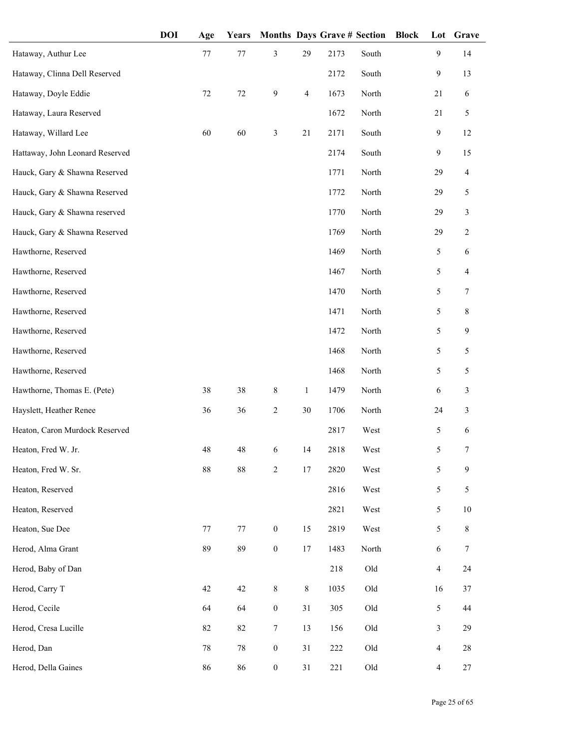|                                 | <b>DOI</b> | Age    | Years  |                  |                | Months Days Grave # Section |                | <b>Block</b> |    | Lot Grave        |
|---------------------------------|------------|--------|--------|------------------|----------------|-----------------------------|----------------|--------------|----|------------------|
| Hataway, Authur Lee             |            | $77\,$ | $77\,$ | $\mathfrak{Z}$   | $29\,$         | 2173                        | South          |              | 9  | 14               |
| Hataway, Clinna Dell Reserved   |            |        |        |                  |                | 2172                        | South          |              | 9  | 13               |
| Hataway, Doyle Eddie            |            | $72\,$ | $72\,$ | $\boldsymbol{9}$ | $\overline{4}$ | 1673                        | North          |              | 21 | $\sqrt{6}$       |
| Hataway, Laura Reserved         |            |        |        |                  |                | 1672                        | North          |              | 21 | $\mathfrak s$    |
| Hataway, Willard Lee            |            | 60     | 60     | $\mathfrak{Z}$   | $21\,$         | 2171                        | South          |              | 9  | $12\,$           |
| Hattaway, John Leonard Reserved |            |        |        |                  |                | 2174                        | South          |              | 9  | 15               |
| Hauck, Gary & Shawna Reserved   |            |        |        |                  |                | 1771                        | North          |              | 29 | $\overline{4}$   |
| Hauck, Gary & Shawna Reserved   |            |        |        |                  |                | 1772                        | North          |              | 29 | 5                |
| Hauck, Gary & Shawna reserved   |            |        |        |                  |                | 1770                        | North          |              | 29 | $\mathfrak{Z}$   |
| Hauck, Gary & Shawna Reserved   |            |        |        |                  |                | 1769                        | North          |              | 29 | $\sqrt{2}$       |
| Hawthorne, Reserved             |            |        |        |                  |                | 1469                        | North          |              | 5  | 6                |
| Hawthorne, Reserved             |            |        |        |                  |                | 1467                        | North          |              | 5  | $\overline{4}$   |
| Hawthorne, Reserved             |            |        |        |                  |                | 1470                        | North          |              | 5  | $\boldsymbol{7}$ |
| Hawthorne, Reserved             |            |        |        |                  |                | 1471                        | North          |              | 5  | $\,8\,$          |
| Hawthorne, Reserved             |            |        |        |                  |                | 1472                        | North          |              | 5  | $\mathbf{9}$     |
| Hawthorne, Reserved             |            |        |        |                  |                | 1468                        | North          |              | 5  | 5                |
| Hawthorne, Reserved             |            |        |        |                  |                | 1468                        | North          |              | 5  | 5                |
| Hawthorne, Thomas E. (Pete)     |            | 38     | 38     | $\,8\,$          | $\mathbf{1}$   | 1479                        | North          |              | 6  | 3                |
| Hayslett, Heather Renee         |            | 36     | 36     | $\overline{c}$   | $30\,$         | 1706                        | North          |              | 24 | $\mathfrak{Z}$   |
| Heaton, Caron Murdock Reserved  |            |        |        |                  |                | 2817                        | West           |              | 5  | $\sqrt{6}$       |
| Heaton, Fred W. Jr.             |            | 48     | 48     | $\sqrt{6}$       | 14             | 2818                        | West           |              | 5  | $\boldsymbol{7}$ |
| Heaton, Fred W. Sr.             |            | $88\,$ | $88\,$ | $\overline{2}$   | 17             | 2820                        | West           |              | 5  | 9                |
| Heaton, Reserved                |            |        |        |                  |                | 2816                        | West           |              | 5  | 5                |
| Heaton, Reserved                |            |        |        |                  |                | 2821                        | West           |              | 5  | $10\,$           |
| Heaton, Sue Dee                 |            | $77\,$ | $77\,$ | $\boldsymbol{0}$ | 15             | 2819                        | West           |              | 5  | $\,$ 8 $\,$      |
| Herod, Alma Grant               |            | 89     | 89     | $\boldsymbol{0}$ | $17\,$         | 1483                        | North          |              | 6  | $\boldsymbol{7}$ |
| Herod, Baby of Dan              |            |        |        |                  |                | 218                         | Old            |              | 4  | 24               |
| Herod, Carry T                  |            | 42     | 42     | 8                | $\,8\,$        | 1035                        | Old            |              | 16 | 37               |
| Herod, Cecile                   |            | 64     | 64     | $\boldsymbol{0}$ | 31             | 305                         | Old            |              | 5  | $44\,$           |
| Herod, Cresa Lucille            |            | 82     | 82     | $\tau$           | 13             | 156                         | Old            |              | 3  | 29               |
| Herod, Dan                      |            | $78\,$ | $78\,$ | $\boldsymbol{0}$ | 31             | 222                         | Old            |              | 4  | $28\,$           |
| Herod, Della Gaines             |            | 86     | 86     | $\boldsymbol{0}$ | 31             | 221                         | $\mathrm{Old}$ |              | 4  | $27\,$           |
|                                 |            |        |        |                  |                |                             |                |              |    |                  |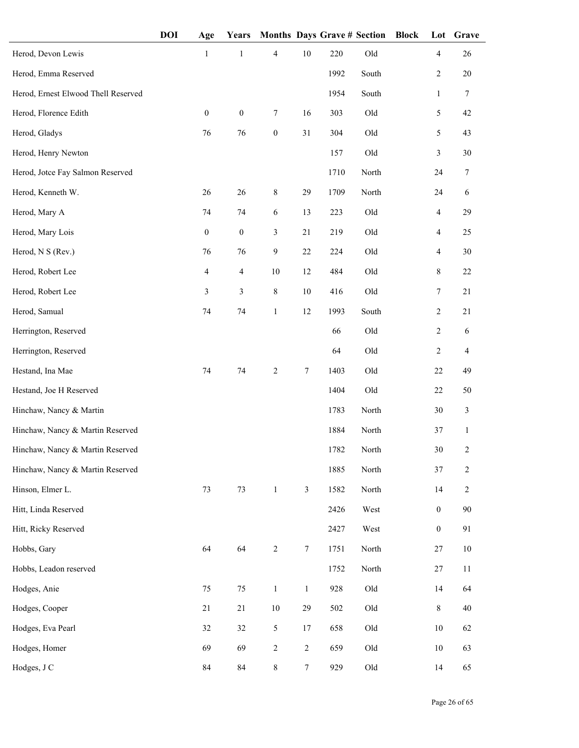|                                     | <b>DOI</b> | Age              | Years            |                  |                  |      | <b>Months Days Grave # Section</b> | <b>Block</b> |                         | Lot Grave        |  |
|-------------------------------------|------------|------------------|------------------|------------------|------------------|------|------------------------------------|--------------|-------------------------|------------------|--|
| Herod, Devon Lewis                  |            | $\mathbf 1$      | $\mathbf{1}$     | $\overline{4}$   | $10\,$           | 220  | Old                                |              | $\overline{\mathbf{4}}$ | 26               |  |
| Herod, Emma Reserved                |            |                  |                  |                  |                  | 1992 | South                              |              | $\overline{2}$          | 20               |  |
| Herod, Ernest Elwood Thell Reserved |            |                  |                  |                  |                  | 1954 | South                              |              | $\mathbf{1}$            | $\boldsymbol{7}$ |  |
| Herod, Florence Edith               |            | $\boldsymbol{0}$ | $\boldsymbol{0}$ | $\tau$           | 16               | 303  | Old                                |              | 5                       | 42               |  |
| Herod, Gladys                       |            | 76               | 76               | $\boldsymbol{0}$ | 31               | 304  | Old                                |              | 5                       | 43               |  |
| Herod, Henry Newton                 |            |                  |                  |                  |                  | 157  | Old                                |              | $\mathfrak{Z}$          | 30               |  |
| Herod, Jotce Fay Salmon Reserved    |            |                  |                  |                  |                  | 1710 | North                              |              | 24                      | 7                |  |
| Herod, Kenneth W.                   |            | $26\,$           | $26\,$           | $\,$ 8 $\,$      | 29               | 1709 | North                              |              | 24                      | 6                |  |
| Herod, Mary A                       |            | 74               | 74               | 6                | 13               | 223  | Old                                |              | $\overline{4}$          | 29               |  |
| Herod, Mary Lois                    |            | $\boldsymbol{0}$ | $\boldsymbol{0}$ | 3                | 21               | 219  | Old                                |              | $\overline{4}$          | 25               |  |
| Herod, N S (Rev.)                   |            | 76               | 76               | 9                | $22\,$           | 224  | Old                                |              | $\overline{4}$          | $30\,$           |  |
| Herod, Robert Lee                   |            | 4                | $\overline{4}$   | $10\,$           | 12               | 484  | Old                                |              | $\,$ 8 $\,$             | 22               |  |
| Herod, Robert Lee                   |            | 3                | 3                | 8                | $10\,$           | 416  | Old                                |              | $\boldsymbol{7}$        | 21               |  |
| Herod, Samual                       |            | 74               | 74               | $\mathbf{1}$     | 12               | 1993 | South                              |              | $\overline{2}$          | 21               |  |
| Herrington, Reserved                |            |                  |                  |                  |                  | 66   | Old                                |              | $\overline{2}$          | 6                |  |
| Herrington, Reserved                |            |                  |                  |                  |                  | 64   | Old                                |              | $\sqrt{2}$              | $\overline{4}$   |  |
| Hestand, Ina Mae                    |            | 74               | 74               | $\overline{c}$   | $\tau$           | 1403 | Old                                |              | $22\,$                  | 49               |  |
| Hestand, Joe H Reserved             |            |                  |                  |                  |                  | 1404 | Old                                |              | $22\,$                  | 50               |  |
| Hinchaw, Nancy & Martin             |            |                  |                  |                  |                  | 1783 | North                              |              | $30\,$                  | $\mathfrak{Z}$   |  |
| Hinchaw, Nancy & Martin Reserved    |            |                  |                  |                  |                  | 1884 | North                              |              | 37                      | $\mathbf{1}$     |  |
| Hinchaw, Nancy & Martin Reserved    |            |                  |                  |                  |                  | 1782 | North                              |              | $30\,$                  | $\overline{c}$   |  |
| Hinchaw, Nancy & Martin Reserved    |            |                  |                  |                  |                  | 1885 | North                              |              | 37                      | $\overline{c}$   |  |
| Hinson, Elmer L.                    |            | 73               | 73               | $\mathbf{1}$     | $\mathfrak{Z}$   | 1582 | North                              |              | 14                      | $\overline{2}$   |  |
| Hitt, Linda Reserved                |            |                  |                  |                  |                  | 2426 | West                               |              | $\mathbf{0}$            | $90\,$           |  |
| Hitt, Ricky Reserved                |            |                  |                  |                  |                  | 2427 | West                               |              | $\boldsymbol{0}$        | 91               |  |
| Hobbs, Gary                         |            | 64               | 64               | $\overline{c}$   | $\boldsymbol{7}$ | 1751 | North                              |              | $27\,$                  | $10\,$           |  |
| Hobbs, Leadon reserved              |            |                  |                  |                  |                  | 1752 | North                              |              | 27                      | $11\,$           |  |
| Hodges, Anie                        |            | 75               | 75               | $\mathbf{1}$     | $\mathbf{1}$     | 928  | Old                                |              | 14                      | 64               |  |
| Hodges, Cooper                      |            | $21\,$           | 21               | $10\,$           | 29               | 502  | Old                                |              | $8\,$                   | $40\,$           |  |
| Hodges, Eva Pearl                   |            | 32               | $32\,$           | 5                | 17               | 658  | Old                                |              | $10\,$                  | 62               |  |
| Hodges, Homer                       |            | 69               | 69               | $\overline{c}$   | $\overline{2}$   | 659  | Old                                |              | $10\,$                  | 63               |  |
| Hodges, J C                         |            | $\rm 84$         | $\rm 84$         | 8                | $\tau$           | 929  | $\mathrm{Old}$                     |              | 14                      | 65               |  |
|                                     |            |                  |                  |                  |                  |      |                                    |              |                         |                  |  |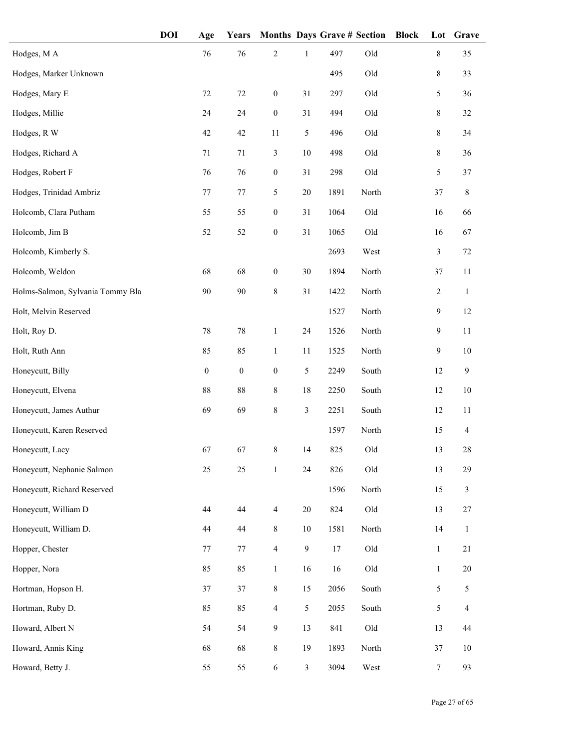|                                  | <b>DOI</b> | Age              | Years            |                  |                  | Months Days Grave # Section |                | <b>Block</b> |                | Lot Grave      |
|----------------------------------|------------|------------------|------------------|------------------|------------------|-----------------------------|----------------|--------------|----------------|----------------|
| Hodges, MA                       |            | $76\,$           | 76               | $\boldsymbol{2}$ | $\,1$            | 497                         | $\mathrm{Old}$ |              | $\,$ $\,$      | 35             |
| Hodges, Marker Unknown           |            |                  |                  |                  |                  | 495                         | Old            |              | 8              | 33             |
| Hodges, Mary E                   |            | 72               | $72\,$           | $\boldsymbol{0}$ | 31               | 297                         | Old            |              | 5              | 36             |
| Hodges, Millie                   |            | 24               | 24               | $\boldsymbol{0}$ | 31               | 494                         | Old            |              | 8              | $32\,$         |
| Hodges, R W                      |            | 42               | 42               | 11               | $\mathfrak s$    | 496                         | Old            |              | 8              | 34             |
| Hodges, Richard A                |            | 71               | $71\,$           | $\mathfrak{Z}$   | $10\,$           | 498                         | Old            |              | 8              | 36             |
| Hodges, Robert F                 |            | 76               | 76               | $\boldsymbol{0}$ | 31               | 298                         | Old            |              | 5              | 37             |
| Hodges, Trinidad Ambriz          |            | $77\,$           | $77\,$           | 5                | $20\,$           | 1891                        | North          |              | 37             | $\,8\,$        |
| Holcomb, Clara Putham            |            | 55               | 55               | $\boldsymbol{0}$ | 31               | 1064                        | $\mathrm{Old}$ |              | 16             | 66             |
| Holcomb, Jim B                   |            | 52               | 52               | $\boldsymbol{0}$ | 31               | 1065                        | $\mathrm{Old}$ |              | 16             | 67             |
| Holcomb, Kimberly S.             |            |                  |                  |                  |                  | 2693                        | West           |              | 3              | $72\,$         |
| Holcomb, Weldon                  |            | 68               | 68               | $\boldsymbol{0}$ | $30\,$           | 1894                        | North          |              | 37             | $11\,$         |
| Holms-Salmon, Sylvania Tommy Bla |            | 90               | 90               | $\,$ $\,$        | 31               | 1422                        | North          |              | $\overline{c}$ | $\mathbf{1}$   |
| Holt, Melvin Reserved            |            |                  |                  |                  |                  | 1527                        | North          |              | 9              | $12\,$         |
| Holt, Roy D.                     |            | $78\,$           | $78\,$           | $\mathbf{1}$     | 24               | 1526                        | North          |              | 9              | $11\,$         |
| Holt, Ruth Ann                   |            | 85               | 85               | $\mathbf{1}$     | 11               | 1525                        | North          |              | 9              | $10\,$         |
| Honeycutt, Billy                 |            | $\boldsymbol{0}$ | $\boldsymbol{0}$ | $\boldsymbol{0}$ | $\mathfrak s$    | 2249                        | South          |              | 12             | $\overline{9}$ |
| Honeycutt, Elvena                |            | $88\,$           | $88\,$           | $\,$ $\,$        | $18\,$           | 2250                        | South          |              | 12             | $10\,$         |
| Honeycutt, James Authur          |            | 69               | 69               | $\,$ $\,$        | $\mathfrak{Z}$   | 2251                        | South          |              | 12             | 11             |
| Honeycutt, Karen Reserved        |            |                  |                  |                  |                  | 1597                        | North          |              | 15             | $\overline{4}$ |
| Honeycutt, Lacy                  |            | 67               | 67               | $\,$ 8 $\,$      | 14               | 825                         | Old            |              | 13             | 28             |
| Honeycutt, Nephanie Salmon       |            | 25               | $25\,$           | $\,1$            | 24               | 826                         | Old            |              | 13             | 29             |
| Honeycutt, Richard Reserved      |            |                  |                  |                  |                  | 1596                        | North          |              | 15             | 3              |
| Honeycutt, William D             |            | 44               | 44               | $\overline{4}$   | $20\,$           | 824                         | $\rm Old$      |              | 13             | $27\,$         |
| Honeycutt, William D.            |            | 44               | 44               | $\,$ 8 $\,$      | $10\,$           | 1581                        | North          |              | 14             | $\mathbf{1}$   |
| Hopper, Chester                  |            | $77\,$           | 77               | $\overline{4}$   | $\boldsymbol{9}$ | 17                          | Old            |              | $\mathbf{1}$   | $21\,$         |
| Hopper, Nora                     |            | 85               | 85               | $\,1$            | 16               | 16                          | $\rm Old$      |              | $\mathbf{1}$   | $20\,$         |
| Hortman, Hopson H.               |            | 37               | $37\,$           | $\,$ 8 $\,$      | 15               | 2056                        | South          |              | 5              | 5              |
| Hortman, Ruby D.                 |            | 85               | 85               | 4                | $\mathfrak s$    | 2055                        | South          |              | 5              | $\overline{4}$ |
| Howard, Albert N                 |            | 54               | 54               | 9                | 13               | 841                         | $\rm Old$      |              | 13             | 44             |
| Howard, Annis King               |            | 68               | 68               | $\,$ 8 $\,$      | 19               | 1893                        | North          |              | 37             | $10\,$         |
| Howard, Betty J.                 |            | 55               | 55               | $\sqrt{6}$       | $\mathfrak{Z}$   | 3094                        | West           |              | $\tau$         | 93             |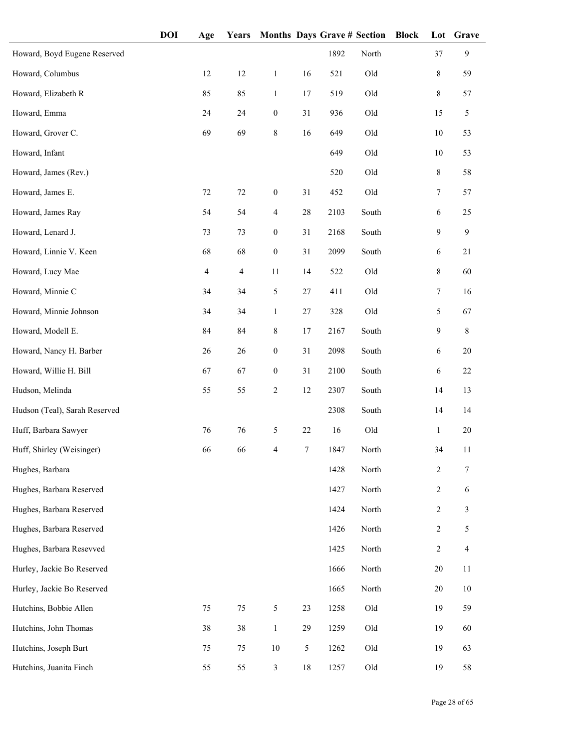|                               | <b>DOI</b> | Age    | Years  |                  |                  | Months Days Grave # Section |                | <b>Block</b> |                | Lot Grave        |
|-------------------------------|------------|--------|--------|------------------|------------------|-----------------------------|----------------|--------------|----------------|------------------|
| Howard, Boyd Eugene Reserved  |            |        |        |                  |                  | 1892                        | North          |              | 37             | $\boldsymbol{9}$ |
| Howard, Columbus              |            | $12\,$ | 12     | $\,1$            | 16               | 521                         | Old            |              | 8              | 59               |
| Howard, Elizabeth R           |            | 85     | 85     | $\mathbf{1}$     | 17               | 519                         | Old            |              | $\,$ $\,$      | 57               |
| Howard, Emma                  |            | 24     | 24     | $\boldsymbol{0}$ | 31               | 936                         | Old            |              | 15             | 5                |
| Howard, Grover C.             |            | 69     | 69     | $\,$ $\,$        | 16               | 649                         | Old            |              | $10\,$         | 53               |
| Howard, Infant                |            |        |        |                  |                  | 649                         | Old            |              | $10\,$         | 53               |
| Howard, James (Rev.)          |            |        |        |                  |                  | 520                         | Old            |              | $\,$ 8 $\,$    | 58               |
| Howard, James E.              |            | $72\,$ | $72\,$ | $\boldsymbol{0}$ | 31               | 452                         | Old            |              | 7              | 57               |
| Howard, James Ray             |            | 54     | 54     | 4                | $28\,$           | 2103                        | South          |              | 6              | $25\,$           |
| Howard, Lenard J.             |            | 73     | 73     | $\boldsymbol{0}$ | 31               | 2168                        | South          |              | 9              | 9                |
| Howard, Linnie V. Keen        |            | 68     | 68     | $\boldsymbol{0}$ | 31               | 2099                        | South          |              | 6              | 21               |
| Howard, Lucy Mae              |            | 4      | 4      | 11               | 14               | 522                         | $\mathrm{Old}$ |              | 8              | 60               |
| Howard, Minnie C              |            | 34     | 34     | 5                | $27\,$           | 411                         | Old            |              | 7              | 16               |
| Howard, Minnie Johnson        |            | 34     | 34     | $\mathbf{1}$     | 27               | 328                         | $\mathrm{Old}$ |              | 5              | 67               |
| Howard, Modell E.             |            | 84     | 84     | 8                | 17               | 2167                        | South          |              | 9              | $\,8\,$          |
| Howard, Nancy H. Barber       |            | 26     | $26\,$ | $\boldsymbol{0}$ | 31               | 2098                        | South          |              | 6              | $20\,$           |
| Howard, Willie H. Bill        |            | 67     | 67     | $\boldsymbol{0}$ | 31               | 2100                        | South          |              | 6              | 22               |
| Hudson, Melinda               |            | 55     | 55     | $\overline{c}$   | 12               | 2307                        | South          |              | 14             | 13               |
| Hudson (Teal), Sarah Reserved |            |        |        |                  |                  | 2308                        | South          |              | 14             | 14               |
| Huff, Barbara Sawyer          |            | 76     | 76     | 5                | $22\,$           | 16                          | $\mathrm{Old}$ |              | $\mathbf{1}$   | $20\,$           |
| Huff, Shirley (Weisinger)     |            | 66     | 66     | 4                | $\boldsymbol{7}$ | 1847                        | North          |              | 34             | 11               |
| Hughes, Barbara               |            |        |        |                  |                  | 1428                        | North          |              | $\overline{2}$ | 7                |
| Hughes, Barbara Reserved      |            |        |        |                  |                  | 1427                        | North          |              | 2              | 6                |
| Hughes, Barbara Reserved      |            |        |        |                  |                  | 1424                        | North          |              | 2              | 3                |
| Hughes, Barbara Reserved      |            |        |        |                  |                  | 1426                        | North          |              | 2              | 5                |
| Hughes, Barbara Resevved      |            |        |        |                  |                  | 1425                        | North          |              | $\overline{c}$ | $\overline{4}$   |
| Hurley, Jackie Bo Reserved    |            |        |        |                  |                  | 1666                        | North          |              | 20             | 11               |
| Hurley, Jackie Bo Reserved    |            |        |        |                  |                  | 1665                        | North          |              | 20             | 10               |
| Hutchins, Bobbie Allen        |            | 75     | 75     | 5                | 23               | 1258                        | $\mathrm{Old}$ |              | 19             | 59               |
| Hutchins, John Thomas         |            | 38     | 38     | $\mathbf{1}$     | 29               | 1259                        | Old            |              | 19             | 60               |
| Hutchins, Joseph Burt         |            | 75     | 75     | $10\,$           | 5                | 1262                        | Old            |              | 19             | 63               |
| Hutchins, Juanita Finch       |            | 55     | 55     | 3                | $18\,$           | 1257                        | Old            |              | 19             | 58               |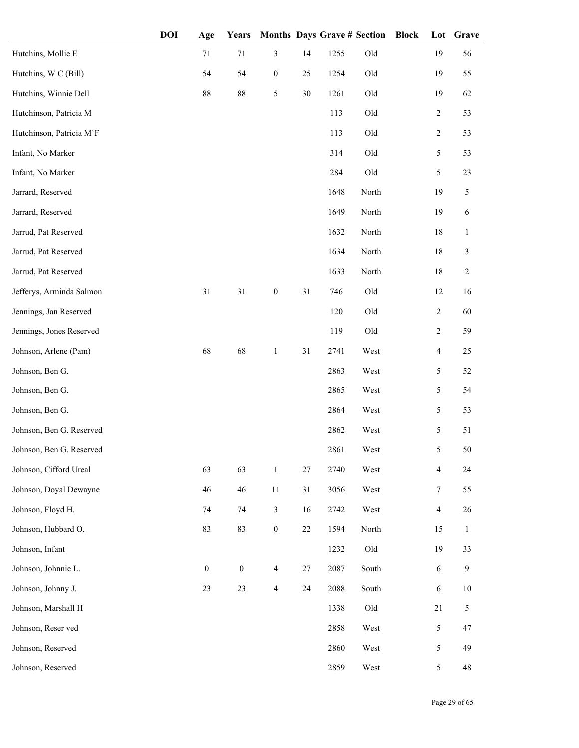| <b>DOI</b> | Age              | Years            |                  |        |      |           | <b>Block</b>                |                          | Lot Grave      |
|------------|------------------|------------------|------------------|--------|------|-----------|-----------------------------|--------------------------|----------------|
|            | $71\,$           | $71\,$           | 3                | 14     | 1255 | Old       |                             | 19                       | 56             |
|            | 54               | 54               | $\boldsymbol{0}$ | 25     | 1254 | Old       |                             | 19                       | 55             |
|            | $88\,$           | $88\,$           | 5                | 30     | 1261 | Old       |                             | 19                       | 62             |
|            |                  |                  |                  |        | 113  | Old       |                             | $\sqrt{2}$               | 53             |
|            |                  |                  |                  |        | 113  | Old       |                             | $\sqrt{2}$               | 53             |
|            |                  |                  |                  |        | 314  | Old       |                             | 5                        | 53             |
|            |                  |                  |                  |        | 284  | Old       |                             | $\mathfrak s$            | 23             |
|            |                  |                  |                  |        | 1648 | North     |                             | 19                       | 5              |
|            |                  |                  |                  |        | 1649 | North     |                             | 19                       | 6              |
|            |                  |                  |                  |        | 1632 | North     |                             | 18                       | $\mathbf{1}$   |
|            |                  |                  |                  |        | 1634 | North     |                             | 18                       | $\mathfrak{Z}$ |
|            |                  |                  |                  |        | 1633 | North     |                             | $18\,$                   | $\overline{c}$ |
|            | 31               | $31\,$           | $\boldsymbol{0}$ | 31     | 746  | Old       |                             | 12                       | 16             |
|            |                  |                  |                  |        | 120  | Old       |                             | $\overline{2}$           | 60             |
|            |                  |                  |                  |        | 119  | Old       |                             | $\sqrt{2}$               | 59             |
|            | 68               | 68               | $\mathbf{1}$     | 31     | 2741 | West      |                             | $\overline{\mathcal{A}}$ | $25\,$         |
|            |                  |                  |                  |        | 2863 | West      |                             | $\mathfrak s$            | 52             |
|            |                  |                  |                  |        | 2865 | West      |                             | 5                        | 54             |
|            |                  |                  |                  |        | 2864 | West      |                             | $\mathfrak s$            | 53             |
|            |                  |                  |                  |        | 2862 | West      |                             | $\mathfrak s$            | 51             |
|            |                  |                  |                  |        | 2861 | West      |                             | 5                        | 50             |
|            | 63               | 63               | $\mathbf{1}$     | $27\,$ | 2740 | West      |                             | $\overline{4}$           | 24             |
|            | 46               | 46               | $11\,$           | 31     | 3056 | West      |                             | $\boldsymbol{7}$         | 55             |
|            | 74               | 74               | 3                | 16     | 2742 | West      |                             | $\overline{4}$           | 26             |
|            | 83               | 83               | $\boldsymbol{0}$ | $22\,$ | 1594 | North     |                             | 15                       | $\,1\,$        |
|            |                  |                  |                  |        | 1232 | $\rm Old$ |                             | 19                       | 33             |
|            | $\boldsymbol{0}$ | $\boldsymbol{0}$ | $\overline{4}$   | $27\,$ | 2087 | South     |                             | $\sqrt{6}$               | 9              |
|            | 23               | $23\,$           | $\overline{4}$   | 24     | 2088 | South     |                             | $\sqrt{6}$               | 10             |
|            |                  |                  |                  |        | 1338 | Old       |                             | 21                       | $\sqrt{5}$     |
|            |                  |                  |                  |        | 2858 | West      |                             | $\mathfrak s$            | 47             |
|            |                  |                  |                  |        | 2860 | West      |                             | 5                        | 49             |
|            |                  |                  |                  |        | 2859 | West      |                             | $\mathfrak{S}$           | 48             |
|            |                  |                  |                  |        |      |           | Months Days Grave # Section |                          |                |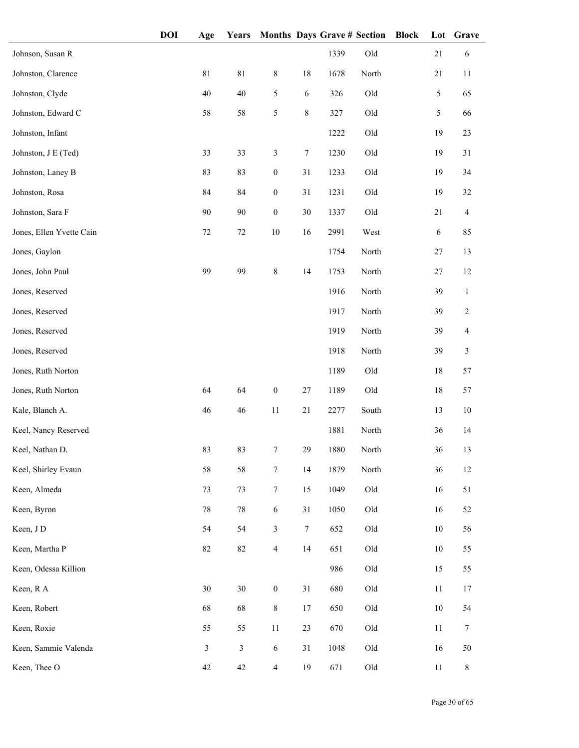|                          | <b>DOI</b> | Age            | Years          |                  |                  | Months Days Grave # Section |                | <b>Block</b> |        | Lot Grave        |
|--------------------------|------------|----------------|----------------|------------------|------------------|-----------------------------|----------------|--------------|--------|------------------|
| Johnson, Susan R         |            |                |                |                  |                  | 1339                        | Old            |              | $21\,$ | $\epsilon$       |
| Johnston, Clarence       |            | $8\sqrt{1}$    | $8\sqrt{1}$    | $\,8\,$          | $18\,$           | 1678                        | North          |              | 21     | 11               |
| Johnston, Clyde          |            | $40\,$         | $40\,$         | 5                | $\sqrt{6}$       | 326                         | Old            |              | 5      | 65               |
| Johnston, Edward C       |            | 58             | 58             | 5                | 8                | 327                         | Old            |              | 5      | 66               |
| Johnston, Infant         |            |                |                |                  |                  | 1222                        | Old            |              | 19     | $23\,$           |
| Johnston, J E (Ted)      |            | 33             | 33             | $\mathfrak{Z}$   | $\boldsymbol{7}$ | 1230                        | Old            |              | 19     | 31               |
| Johnston, Laney B        |            | 83             | 83             | $\boldsymbol{0}$ | 31               | 1233                        | Old            |              | 19     | 34               |
| Johnston, Rosa           |            | 84             | 84             | $\boldsymbol{0}$ | 31               | 1231                        | Old            |              | 19     | $32\,$           |
| Johnston, Sara F         |            | 90             | $90\,$         | $\boldsymbol{0}$ | $30\,$           | 1337                        | $\mathrm{Old}$ |              | 21     | $\overline{4}$   |
| Jones, Ellen Yvette Cain |            | $72\,$         | $72\,$         | $10\,$           | 16               | 2991                        | West           |              | 6      | 85               |
| Jones, Gaylon            |            |                |                |                  |                  | 1754                        | North          |              | $27\,$ | 13               |
| Jones, John Paul         |            | 99             | 99             | $\,8\,$          | 14               | 1753                        | North          |              | $27\,$ | $12\,$           |
| Jones, Reserved          |            |                |                |                  |                  | 1916                        | North          |              | 39     | $\mathbf{1}$     |
| Jones, Reserved          |            |                |                |                  |                  | 1917                        | North          |              | 39     | $\sqrt{2}$       |
| Jones, Reserved          |            |                |                |                  |                  | 1919                        | North          |              | 39     | $\overline{4}$   |
| Jones, Reserved          |            |                |                |                  |                  | 1918                        | North          |              | 39     | $\mathfrak{Z}$   |
| Jones, Ruth Norton       |            |                |                |                  |                  | 1189                        | Old            |              | 18     | 57               |
| Jones, Ruth Norton       |            | 64             | 64             | $\boldsymbol{0}$ | $27\,$           | 1189                        | $\mathrm{Old}$ |              | $18\,$ | 57               |
| Kale, Blanch A.          |            | 46             | 46             | 11               | 21               | 2277                        | South          |              | 13     | $10\,$           |
| Keel, Nancy Reserved     |            |                |                |                  |                  | 1881                        | North          |              | 36     | $14$             |
| Keel, Nathan D.          |            | 83             | 83             | $\boldsymbol{7}$ | 29               | 1880                        | North          |              | 36     | 13               |
| Keel, Shirley Evaun      |            | 58             | 58             | 7                | 14               | 1879                        | North          |              | 36     | $12\,$           |
| Keen, Almeda             |            | 73             | $73\,$         | $\boldsymbol{7}$ | 15               | 1049                        | Old            |              | 16     | 51               |
| Keen, Byron              |            | $78\,$         | $78\,$         | 6                | 31               | 1050                        | $\mathrm{Old}$ |              | 16     | 52               |
| Keen, JD                 |            | 54             | 54             | $\mathfrak{Z}$   | $\boldsymbol{7}$ | 652                         | $\mathrm{Old}$ |              | $10\,$ | 56               |
| Keen, Martha P           |            | 82             | $82\,$         | $\overline{4}$   | 14               | 651                         | Old            |              | $10\,$ | 55               |
| Keen, Odessa Killion     |            |                |                |                  |                  | 986                         | Old            |              | 15     | 55               |
| Keen, R A                |            | 30             | $30\,$         | $\boldsymbol{0}$ | $31\,$           | 680                         | Old            |              | $11\,$ | 17               |
| Keen, Robert             |            | 68             | 68             | $\,8\,$          | 17               | 650                         | Old            |              | $10\,$ | 54               |
| Keen, Roxie              |            | 55             | 55             | 11               | 23               | 670                         | $\mathrm{Old}$ |              | 11     | $\boldsymbol{7}$ |
| Keen, Sammie Valenda     |            | $\mathfrak{Z}$ | $\mathfrak{Z}$ | $\sqrt{6}$       | 31               | 1048                        | $\mathrm{Old}$ |              | 16     | $50\,$           |
| Keen, Thee O             |            | 42             | $42\,$         | $\overline{4}$   | 19               | 671                         | $\mathrm{Old}$ |              | 11     | $\,8\,$          |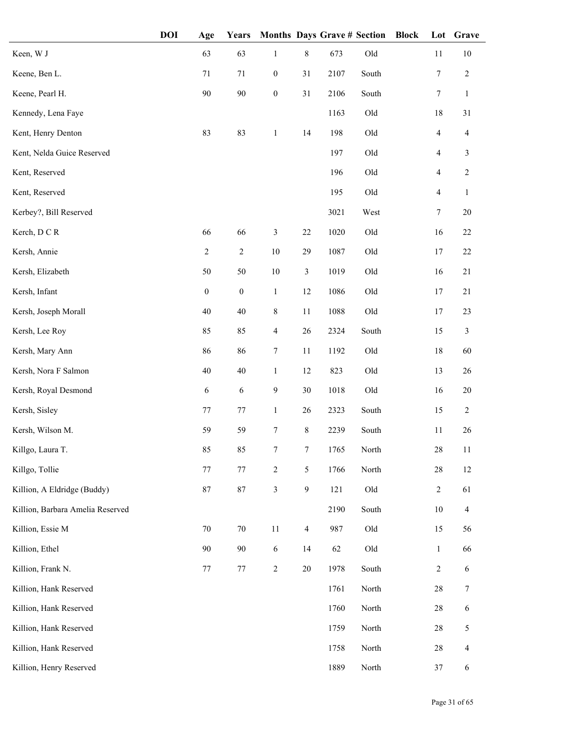|                                  | <b>DOI</b> | Age              | Years            |                  |                 | <b>Months Days Grave # Section</b> |                | <b>Block</b> |                         | Lot Grave      |
|----------------------------------|------------|------------------|------------------|------------------|-----------------|------------------------------------|----------------|--------------|-------------------------|----------------|
| Keen, W J                        |            | 63               | 63               | $\mathbf{1}$     | 8               | 673                                | Old            |              | $11\,$                  | $10\,$         |
| Keene, Ben L.                    |            | 71               | 71               | $\boldsymbol{0}$ | 31              | 2107                               | South          |              | $\tau$                  | $\sqrt{2}$     |
| Keene, Pearl H.                  |            | $90\,$           | $90\,$           | $\boldsymbol{0}$ | 31              | 2106                               | South          |              | 7                       | $\mathbf{1}$   |
| Kennedy, Lena Faye               |            |                  |                  |                  |                 | 1163                               | $\mathrm{Old}$ |              | $18\,$                  | 31             |
| Kent, Henry Denton               |            | 83               | 83               | $\mathbf{1}$     | 14              | 198                                | $\mathrm{Old}$ |              | $\overline{\mathbf{4}}$ | $\overline{4}$ |
| Kent, Nelda Guice Reserved       |            |                  |                  |                  |                 | 197                                | $\mathrm{Old}$ |              | 4                       | $\mathfrak{Z}$ |
| Kent, Reserved                   |            |                  |                  |                  |                 | 196                                | $\mathrm{Old}$ |              | 4                       | $\sqrt{2}$     |
| Kent, Reserved                   |            |                  |                  |                  |                 | 195                                | $\mathrm{Old}$ |              | 4                       | $\,1$          |
| Kerbey?, Bill Reserved           |            |                  |                  |                  |                 | 3021                               | West           |              | 7                       | $20\,$         |
| Kerch, DCR                       |            | 66               | 66               | $\mathfrak{Z}$   | $22\,$          | 1020                               | $\mathrm{Old}$ |              | 16                      | 22             |
| Kersh, Annie                     |            | $\overline{c}$   | $\sqrt{2}$       | $10\,$           | 29              | 1087                               | $\mathrm{Old}$ |              | 17                      | 22             |
| Kersh, Elizabeth                 |            | 50               | $50\,$           | $10\,$           | 3               | 1019                               | Old            |              | 16                      | 21             |
| Kersh, Infant                    |            | $\boldsymbol{0}$ | $\boldsymbol{0}$ | $\mathbf{1}$     | 12              | 1086                               | $\mathrm{Old}$ |              | 17                      | 21             |
| Kersh, Joseph Morall             |            | 40               | $40\,$           | $8\,$            | 11              | 1088                               | $\mathrm{Old}$ |              | 17                      | $23\,$         |
| Kersh, Lee Roy                   |            | 85               | 85               | $\overline{4}$   | $26\,$          | 2324                               | South          |              | 15                      | $\mathfrak{Z}$ |
| Kersh, Mary Ann                  |            | 86               | 86               | $\boldsymbol{7}$ | 11              | 1192                               | Old            |              | $18\,$                  | 60             |
| Kersh, Nora F Salmon             |            | 40               | $40\,$           | $\mathbf{1}$     | 12              | 823                                | $\mathrm{Old}$ |              | 13                      | $26\,$         |
| Kersh, Royal Desmond             |            | 6                | $\sqrt{6}$       | 9                | $30\,$          | 1018                               | $\mathrm{Old}$ |              | 16                      | $20\,$         |
| Kersh, Sisley                    |            | $77\,$           | 77               | $\mathbf{1}$     | 26              | 2323                               | South          |              | 15                      | $\sqrt{2}$     |
| Kersh, Wilson M.                 |            | 59               | 59               | $\boldsymbol{7}$ | 8               | 2239                               | South          |              | 11                      | $26\,$         |
| Killgo, Laura T.                 |            | 85               | 85               | 7                | $7\phantom{.0}$ | 1765                               | North          |              | $28\,$                  | 11             |
| Killgo, Tollie                   |            | $77\,$           | 77               | $\overline{c}$   | 5               | 1766                               | North          |              | $28\,$                  | 12             |
| Killion, A Eldridge (Buddy)      |            | 87               | 87               | $\mathfrak{Z}$   | $\overline{9}$  | 121                                | Old            |              | 2                       | 61             |
| Killion, Barbara Amelia Reserved |            |                  |                  |                  |                 | 2190                               | South          |              | 10                      | $\overline{4}$ |
| Killion, Essie M                 |            | $70\,$           | $70\,$           | 11               | $\overline{4}$  | 987                                | Old            |              | 15                      | 56             |
| Killion, Ethel                   |            | 90               | $90\,$           | $\sqrt{6}$       | 14              | 62                                 | $\mathrm{Old}$ |              | $\mathbf{1}$            | 66             |
| Killion, Frank N.                |            | $77\,$           | $77\,$           | $\overline{2}$   | $20\,$          | 1978                               | South          |              | 2                       | $\sqrt{6}$     |
| Killion, Hank Reserved           |            |                  |                  |                  |                 | 1761                               | North          |              | $28\,$                  | 7              |
| Killion, Hank Reserved           |            |                  |                  |                  |                 | 1760                               | North          |              | $28\,$                  | 6              |
| Killion, Hank Reserved           |            |                  |                  |                  |                 | 1759                               | North          |              | $28\,$                  | 5              |
| Killion, Hank Reserved           |            |                  |                  |                  |                 | 1758                               | North          |              | 28                      | $\overline{4}$ |
| Killion, Henry Reserved          |            |                  |                  |                  |                 | 1889                               | North          |              | 37                      | 6              |
|                                  |            |                  |                  |                  |                 |                                    |                |              |                         |                |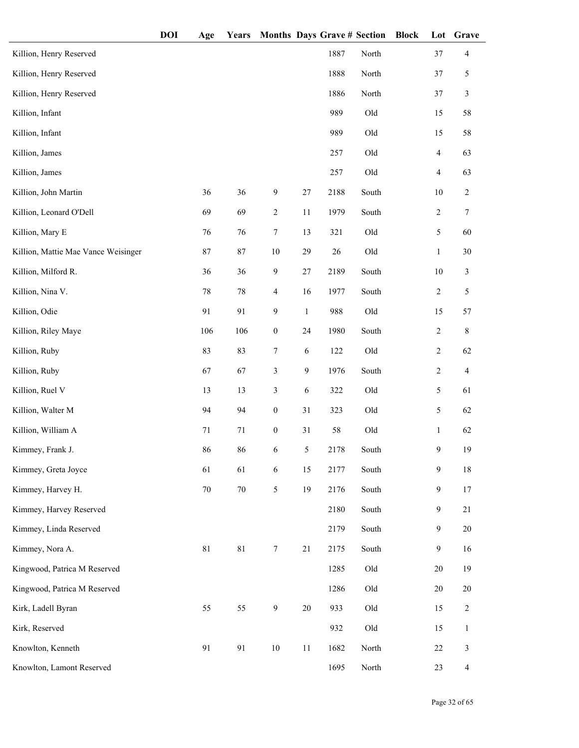|                                     | <b>DOI</b> | Age         | Years  |                  |              | Months Days Grave # Section |                | <b>Block</b> |                | Lot Grave        |
|-------------------------------------|------------|-------------|--------|------------------|--------------|-----------------------------|----------------|--------------|----------------|------------------|
| Killion, Henry Reserved             |            |             |        |                  |              | 1887                        | North          |              | 37             | $\overline{4}$   |
| Killion, Henry Reserved             |            |             |        |                  |              | 1888                        | North          |              | 37             | 5                |
| Killion, Henry Reserved             |            |             |        |                  |              | 1886                        | North          |              | 37             | 3                |
| Killion, Infant                     |            |             |        |                  |              | 989                         | Old            |              | 15             | 58               |
| Killion, Infant                     |            |             |        |                  |              | 989                         | Old            |              | 15             | 58               |
| Killion, James                      |            |             |        |                  |              | 257                         | Old            |              | $\overline{4}$ | 63               |
| Killion, James                      |            |             |        |                  |              | 257                         | Old            |              | 4              | 63               |
| Killion, John Martin                |            | 36          | 36     | $\boldsymbol{9}$ | $27\,$       | 2188                        | South          |              | $10\,$         | $\sqrt{2}$       |
| Killion, Leonard O'Dell             |            | 69          | 69     | $\overline{c}$   | 11           | 1979                        | South          |              | $\overline{c}$ | $\boldsymbol{7}$ |
| Killion, Mary E                     |            | 76          | 76     | $\tau$           | 13           | 321                         | $\mathrm{Old}$ |              | 5              | 60               |
| Killion, Mattie Mae Vance Weisinger |            | 87          | $87\,$ | $10\,$           | 29           | $26\,$                      | Old            |              | $\mathbf{1}$   | 30               |
| Killion, Milford R.                 |            | 36          | 36     | 9                | $27\,$       | 2189                        | South          |              | $10\,$         | 3                |
| Killion, Nina V.                    |            | $78\,$      | $78\,$ | 4                | 16           | 1977                        | South          |              | $\overline{c}$ | $\sqrt{5}$       |
| Killion, Odie                       |            | 91          | 91     | 9                | $\mathbf{1}$ | 988                         | $\mathrm{Old}$ |              | 15             | 57               |
| Killion, Riley Maye                 |            | 106         | 106    | $\boldsymbol{0}$ | 24           | 1980                        | South          |              | 2              | $\,8\,$          |
| Killion, Ruby                       |            | 83          | 83     | $\tau$           | $\sqrt{6}$   | 122                         | Old            |              | $\overline{c}$ | 62               |
| Killion, Ruby                       |            | 67          | 67     | 3                | 9            | 1976                        | South          |              | 2              | $\overline{4}$   |
| Killion, Ruel V                     |            | 13          | 13     | 3                | 6            | 322                         | Old            |              | 5              | 61               |
| Killion, Walter M                   |            | 94          | 94     | $\boldsymbol{0}$ | 31           | 323                         | Old            |              | 5              | 62               |
| Killion, William A                  |            | $71\,$      | 71     | $\boldsymbol{0}$ | 31           | $58\,$                      | $\mathrm{Old}$ |              | $\mathbf{1}$   | 62               |
| Kimmey, Frank J.                    |            | 86          | 86     | 6                | 5            | 2178                        | South          |              | 9              | 19               |
| Kimmey, Greta Joyce                 |            | 61          | 61     | 6                | 15           | 2177                        | South          |              | $\mathbf{9}$   | 18               |
| Kimmey, Harvey H.                   |            | $70\,$      | $70\,$ | 5                | 19           | 2176                        | South          |              | $\mathbf{9}$   | 17               |
| Kimmey, Harvey Reserved             |            |             |        |                  |              | 2180                        | South          |              | 9              | $21\,$           |
| Kimmey, Linda Reserved              |            |             |        |                  |              | 2179                        | South          |              | 9              | $20\,$           |
| Kimmey, Nora A.                     |            | $8\sqrt{1}$ | $81\,$ | $\boldsymbol{7}$ | $21\,$       | 2175                        | South          |              | $\mathbf{9}$   | 16               |
| Kingwood, Patrica M Reserved        |            |             |        |                  |              | 1285                        | $\mathrm{Old}$ |              | 20             | 19               |
| Kingwood, Patrica M Reserved        |            |             |        |                  |              | 1286                        | $\mathrm{Old}$ |              | 20             | $20\,$           |
| Kirk, Ladell Byran                  |            | 55          | 55     | $\overline{9}$   | $20\,$       | 933                         | Old            |              | 15             | $\sqrt{2}$       |
| Kirk, Reserved                      |            |             |        |                  |              | 932                         | $\mathrm{Old}$ |              | 15             | $\mathbf{1}$     |
| Knowlton, Kenneth                   |            | 91          | 91     | $10\,$           | 11           | 1682                        | North          |              | $22\,$         | $\mathfrak{Z}$   |
| Knowlton, Lamont Reserved           |            |             |        |                  |              | 1695                        | North          |              | 23             | $\overline{4}$   |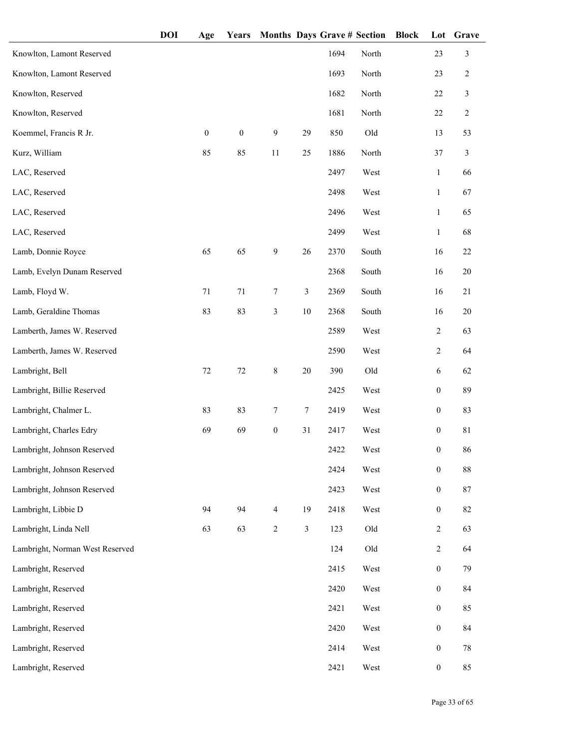|                                 | <b>DOI</b> | Age              | Years            |                  |                |      | Months Days Grave # Section | <b>Block</b> |                  | Lot Grave      |
|---------------------------------|------------|------------------|------------------|------------------|----------------|------|-----------------------------|--------------|------------------|----------------|
| Knowlton, Lamont Reserved       |            |                  |                  |                  |                | 1694 | North                       |              | 23               | $\mathfrak{Z}$ |
| Knowlton, Lamont Reserved       |            |                  |                  |                  |                | 1693 | North                       |              | 23               | $\sqrt{2}$     |
| Knowlton, Reserved              |            |                  |                  |                  |                | 1682 | North                       |              | $22\,$           | $\mathfrak{Z}$ |
| Knowlton, Reserved              |            |                  |                  |                  |                | 1681 | North                       |              | $22\,$           | $\sqrt{2}$     |
| Koemmel, Francis R Jr.          |            | $\boldsymbol{0}$ | $\boldsymbol{0}$ | 9                | 29             | 850  | Old                         |              | 13               | 53             |
| Kurz, William                   |            | 85               | 85               | 11               | $25\,$         | 1886 | North                       |              | 37               | $\mathfrak{Z}$ |
| LAC, Reserved                   |            |                  |                  |                  |                | 2497 | West                        |              | $\mathbf{1}$     | 66             |
| LAC, Reserved                   |            |                  |                  |                  |                | 2498 | West                        |              | $\mathbf{1}$     | 67             |
| LAC, Reserved                   |            |                  |                  |                  |                | 2496 | West                        |              | $\mathbf{1}$     | 65             |
| LAC, Reserved                   |            |                  |                  |                  |                | 2499 | West                        |              | $\mathbf{1}$     | 68             |
| Lamb, Donnie Royce              |            | 65               | 65               | $\overline{9}$   | 26             | 2370 | South                       |              | 16               | $22\,$         |
| Lamb, Evelyn Dunam Reserved     |            |                  |                  |                  |                | 2368 | South                       |              | 16               | $20\,$         |
| Lamb, Floyd W.                  |            | 71               | 71               | 7                | 3              | 2369 | South                       |              | 16               | 21             |
| Lamb, Geraldine Thomas          |            | 83               | 83               | 3                | $10\,$         | 2368 | South                       |              | 16               | $20\,$         |
| Lamberth, James W. Reserved     |            |                  |                  |                  |                | 2589 | West                        |              | 2                | 63             |
| Lamberth, James W. Reserved     |            |                  |                  |                  |                | 2590 | West                        |              | 2                | 64             |
| Lambright, Bell                 |            | $72\,$           | $72\,$           | $8\,$            | $20\,$         | 390  | Old                         |              | 6                | 62             |
| Lambright, Billie Reserved      |            |                  |                  |                  |                | 2425 | West                        |              | $\boldsymbol{0}$ | 89             |
| Lambright, Chalmer L.           |            | 83               | 83               | 7                | 7              | 2419 | West                        |              | $\mathbf{0}$     | 83             |
| Lambright, Charles Edry         |            | 69               | 69               | $\boldsymbol{0}$ | 31             | 2417 | West                        |              | $\boldsymbol{0}$ | $81\,$         |
| Lambright, Johnson Reserved     |            |                  |                  |                  |                | 2422 | West                        |              | $\boldsymbol{0}$ | 86             |
| Lambright, Johnson Reserved     |            |                  |                  |                  |                | 2424 | West                        |              | $\boldsymbol{0}$ | 88             |
| Lambright, Johnson Reserved     |            |                  |                  |                  |                | 2423 | West                        |              | $\boldsymbol{0}$ | $87\,$         |
| Lambright, Libbie D             |            | 94               | 94               | $\overline{4}$   | 19             | 2418 | West                        |              | $\boldsymbol{0}$ | 82             |
| Lambright, Linda Nell           |            | 63               | 63               | $\overline{c}$   | $\mathfrak{Z}$ | 123  | Old                         |              | 2                | 63             |
| Lambright, Norman West Reserved |            |                  |                  |                  |                | 124  | Old                         |              | $\sqrt{2}$       | 64             |
| Lambright, Reserved             |            |                  |                  |                  |                | 2415 | West                        |              | $\boldsymbol{0}$ | 79             |
| Lambright, Reserved             |            |                  |                  |                  |                | 2420 | West                        |              | $\boldsymbol{0}$ | 84             |
| Lambright, Reserved             |            |                  |                  |                  |                | 2421 | West                        |              | $\boldsymbol{0}$ | 85             |
| Lambright, Reserved             |            |                  |                  |                  |                | 2420 | West                        |              | $\boldsymbol{0}$ | 84             |
| Lambright, Reserved             |            |                  |                  |                  |                | 2414 | West                        |              | $\boldsymbol{0}$ | $78\,$         |
| Lambright, Reserved             |            |                  |                  |                  |                | 2421 | West                        |              | $\boldsymbol{0}$ | 85             |
|                                 |            |                  |                  |                  |                |      |                             |              |                  |                |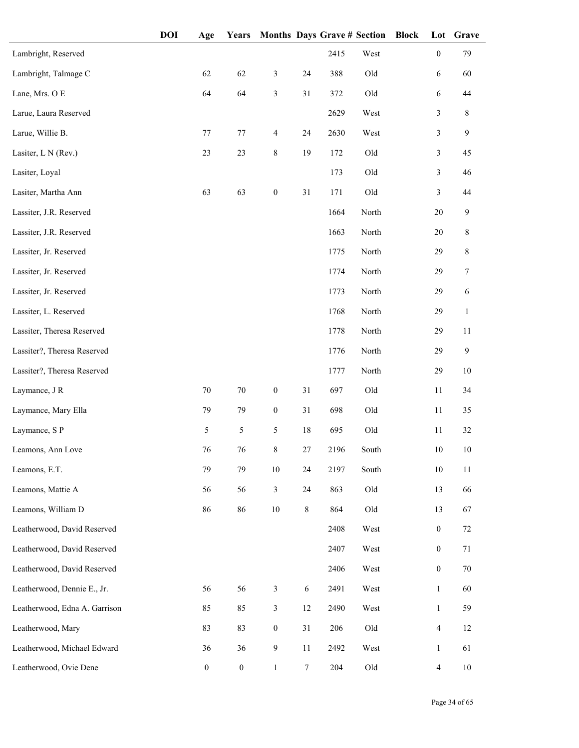|                               | <b>DOI</b> | Age              | Years            |                  |                  | <b>Months Days Grave # Section</b> |                | <b>Block</b> |                  | Lot Grave        |
|-------------------------------|------------|------------------|------------------|------------------|------------------|------------------------------------|----------------|--------------|------------------|------------------|
| Lambright, Reserved           |            |                  |                  |                  |                  | 2415                               | West           |              | $\boldsymbol{0}$ | 79               |
| Lambright, Talmage C          |            | 62               | 62               | $\mathfrak{Z}$   | 24               | 388                                | Old            |              | 6                | 60               |
| Lane, Mrs. O E                |            | 64               | 64               | $\mathfrak{Z}$   | 31               | 372                                | Old            |              | 6                | $44\,$           |
| Larue, Laura Reserved         |            |                  |                  |                  |                  | 2629                               | West           |              | 3                | $\,8\,$          |
| Larue, Willie B.              |            | $77\,$           | 77               | $\overline{4}$   | 24               | 2630                               | West           |              | 3                | 9                |
| Lasiter, L N (Rev.)           |            | 23               | 23               | 8                | 19               | 172                                | Old            |              | 3                | 45               |
| Lasiter, Loyal                |            |                  |                  |                  |                  | 173                                | Old            |              | 3                | 46               |
| Lasiter, Martha Ann           |            | 63               | 63               | $\boldsymbol{0}$ | $31\,$           | 171                                | $\mathrm{Old}$ |              | 3                | $44\,$           |
| Lassiter, J.R. Reserved       |            |                  |                  |                  |                  | 1664                               | North          |              | $20\,$           | $\overline{9}$   |
| Lassiter, J.R. Reserved       |            |                  |                  |                  |                  | 1663                               | North          |              | 20               | $8\,$            |
| Lassiter, Jr. Reserved        |            |                  |                  |                  |                  | 1775                               | North          |              | 29               | $8\,$            |
| Lassiter, Jr. Reserved        |            |                  |                  |                  |                  | 1774                               | North          |              | 29               | $\boldsymbol{7}$ |
| Lassiter, Jr. Reserved        |            |                  |                  |                  |                  | 1773                               | North          |              | 29               | $\sqrt{6}$       |
| Lassiter, L. Reserved         |            |                  |                  |                  |                  | 1768                               | North          |              | 29               | $\mathbf{1}$     |
| Lassiter, Theresa Reserved    |            |                  |                  |                  |                  | 1778                               | North          |              | 29               | 11               |
| Lassiter?, Theresa Reserved   |            |                  |                  |                  |                  | 1776                               | North          |              | 29               | 9                |
| Lassiter?, Theresa Reserved   |            |                  |                  |                  |                  | 1777                               | North          |              | 29               | $10\,$           |
| Laymance, J R                 |            | $70\,$           | $70\,$           | $\boldsymbol{0}$ | 31               | 697                                | Old            |              | 11               | 34               |
| Laymance, Mary Ella           |            | 79               | 79               | $\boldsymbol{0}$ | 31               | 698                                | Old            |              | 11               | 35               |
| Laymance, SP                  |            | 5                | $\mathfrak{S}$   | 5                | 18               | 695                                | Old            |              | 11               | 32               |
| Leamons, Ann Love             |            | 76               | 76               | 8                | 27               | 2196                               | South          |              | 10               | $10\,$           |
| Leamons, E.T.                 |            | 79               | 79               | 10               | 24               | 2197                               | South          |              | $10\,$           | 11               |
| Leamons, Mattie A             |            | 56               | 56               | $\mathfrak{Z}$   | 24               | 863                                | Old            |              | 13               | 66               |
| Leamons, William D            |            | 86               | 86               | $10\,$           | 8                | 864                                | Old            |              | 13               | 67               |
| Leatherwood, David Reserved   |            |                  |                  |                  |                  | 2408                               | West           |              | $\boldsymbol{0}$ | $72\,$           |
| Leatherwood, David Reserved   |            |                  |                  |                  |                  | 2407                               | West           |              | $\boldsymbol{0}$ | 71               |
| Leatherwood, David Reserved   |            |                  |                  |                  |                  | 2406                               | West           |              | $\boldsymbol{0}$ | $70\,$           |
| Leatherwood, Dennie E., Jr.   |            | 56               | 56               | $\mathfrak{Z}$   | 6                | 2491                               | West           |              | $\mathbf{1}$     | 60               |
| Leatherwood, Edna A. Garrison |            | 85               | 85               | $\mathfrak{Z}$   | 12               | 2490                               | West           |              | $\mathbf{1}$     | 59               |
| Leatherwood, Mary             |            | 83               | 83               | $\boldsymbol{0}$ | 31               | 206                                | Old            |              | 4                | 12               |
| Leatherwood, Michael Edward   |            | 36               | 36               | 9                | 11               | 2492                               | West           |              | $\mathbf{1}$     | 61               |
| Leatherwood, Ovie Dene        |            | $\boldsymbol{0}$ | $\boldsymbol{0}$ | $\mathbf{1}$     | $\boldsymbol{7}$ | 204                                | Old            |              | 4                | $10\,$           |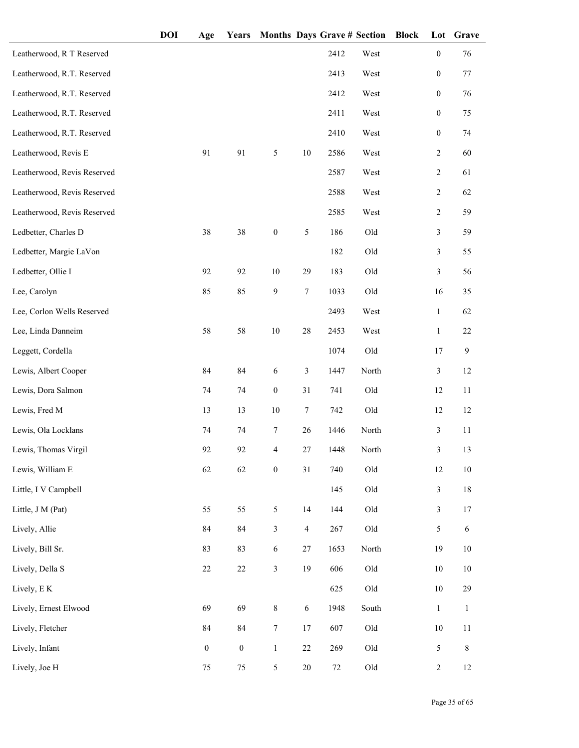|                             | <b>DOI</b> | Age              | Years            |                  |                  | Months Days Grave # Section |                | <b>Block</b> |                  | Lot Grave    |
|-----------------------------|------------|------------------|------------------|------------------|------------------|-----------------------------|----------------|--------------|------------------|--------------|
| Leatherwood, R T Reserved   |            |                  |                  |                  |                  | 2412                        | West           |              | $\boldsymbol{0}$ | $76\,$       |
| Leatherwood, R.T. Reserved  |            |                  |                  |                  |                  | 2413                        | West           |              | $\boldsymbol{0}$ | 77           |
| Leatherwood, R.T. Reserved  |            |                  |                  |                  |                  | 2412                        | West           |              | $\boldsymbol{0}$ | 76           |
| Leatherwood, R.T. Reserved  |            |                  |                  |                  |                  | 2411                        | West           |              | $\boldsymbol{0}$ | $75\,$       |
| Leatherwood, R.T. Reserved  |            |                  |                  |                  |                  | 2410                        | West           |              | $\boldsymbol{0}$ | 74           |
| Leatherwood, Revis E        |            | 91               | 91               | 5                | $10\,$           | 2586                        | West           |              | $\overline{2}$   | 60           |
| Leatherwood, Revis Reserved |            |                  |                  |                  |                  | 2587                        | West           |              | $\overline{2}$   | 61           |
| Leatherwood, Revis Reserved |            |                  |                  |                  |                  | 2588                        | West           |              | 2                | 62           |
| Leatherwood, Revis Reserved |            |                  |                  |                  |                  | 2585                        | West           |              | $\overline{c}$   | 59           |
| Ledbetter, Charles D        |            | 38               | $38\,$           | $\boldsymbol{0}$ | 5                | 186                         | $\mathrm{Old}$ |              | 3                | 59           |
| Ledbetter, Margie LaVon     |            |                  |                  |                  |                  | 182                         | $\mathrm{Old}$ |              | 3                | 55           |
| Ledbetter, Ollie I          |            | 92               | 92               | $10\,$           | 29               | 183                         | Old            |              | 3                | 56           |
| Lee, Carolyn                |            | 85               | 85               | 9                | $\boldsymbol{7}$ | 1033                        | $\mathrm{Old}$ |              | 16               | 35           |
| Lee, Corlon Wells Reserved  |            |                  |                  |                  |                  | 2493                        | West           |              | $\mathbf{1}$     | 62           |
| Lee, Linda Danneim          |            | 58               | 58               | $10\,$           | $28\,$           | 2453                        | West           |              | $\mathbf{1}$     | $22\,$       |
| Leggett, Cordella           |            |                  |                  |                  |                  | 1074                        | Old            |              | 17               | $\mathbf{9}$ |
| Lewis, Albert Cooper        |            | 84               | 84               | $\sqrt{6}$       | $\mathfrak{Z}$   | 1447                        | North          |              | 3                | 12           |
| Lewis, Dora Salmon          |            | 74               | 74               | $\boldsymbol{0}$ | 31               | 741                         | Old            |              | 12               | 11           |
| Lewis, Fred M               |            | 13               | 13               | $10\,$           | $\boldsymbol{7}$ | 742                         | Old            |              | 12               | 12           |
| Lewis, Ola Locklans         |            | 74               | 74               | $\tau$           | 26               | 1446                        | North          |              | 3                | $11\,$       |
| Lewis, Thomas Virgil        |            | 92               | 92               | $\overline{4}$   | 27               | 1448                        | North          |              | 3                | 13           |
| Lewis, William E            |            | 62               | 62               | $\boldsymbol{0}$ | $31\,$           | 740                         | Old            |              | 12               | $10\,$       |
| Little, I V Campbell        |            |                  |                  |                  |                  | 145                         | $\mathrm{Old}$ |              | $\mathfrak{Z}$   | $18\,$       |
| Little, J M (Pat)           |            | 55               | 55               | 5                | 14               | 144                         | Old            |              | 3                | $17\,$       |
| Lively, Allie               |            | 84               | $\bf 84$         | $\mathfrak{Z}$   | $\overline{4}$   | 267                         | Old            |              | 5                | $\sqrt{6}$   |
| Lively, Bill Sr.            |            | 83               | 83               | 6                | $27\,$           | 1653                        | North          |              | 19               | $10\,$       |
| Lively, Della S             |            | 22               | $22\,$           | $\mathfrak{Z}$   | 19               | 606                         | $\mathrm{Old}$ |              | $10\,$           | $10\,$       |
| Lively, EK                  |            |                  |                  |                  |                  | 625                         | $\mathrm{Old}$ |              | $10\,$           | 29           |
| Lively, Ernest Elwood       |            | 69               | 69               | $8\,$            | $\sqrt{6}$       | 1948                        | South          |              | $\mathbf{1}$     | $\,1\,$      |
| Lively, Fletcher            |            | 84               | $\bf 84$         | 7                | 17               | 607                         | Old            |              | $10\,$           | $11\,$       |
| Lively, Infant              |            | $\boldsymbol{0}$ | $\boldsymbol{0}$ | $\mathbf{1}$     | 22               | 269                         | $\mathrm{Old}$ |              | 5                | $\,$ 8 $\,$  |
| Lively, Joe H               |            | 75               | $75\,$           | $\mathfrak{S}$   | $20\,$           | 72                          | $\rm Old$      |              | $\overline{c}$   | $12\,$       |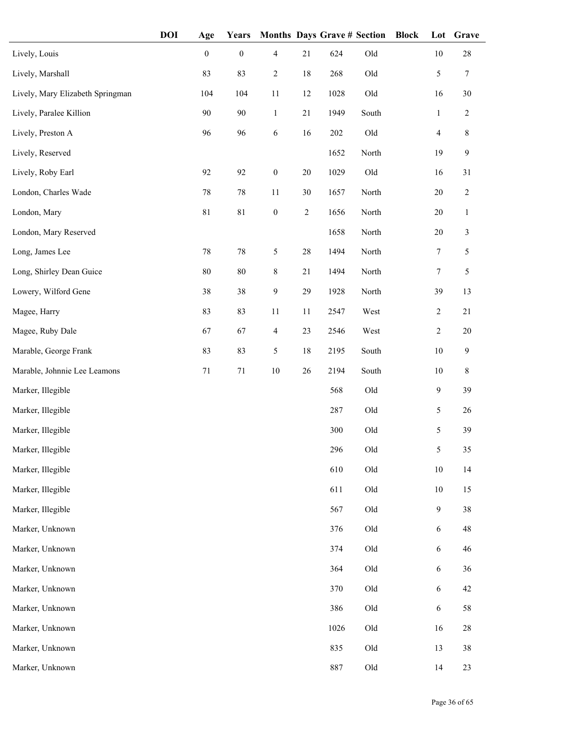|                                  | <b>DOI</b> | Age              | Years            |                  |            | <b>Months Days Grave # Section</b> |                | <b>Block</b> |                  | Lot Grave      |
|----------------------------------|------------|------------------|------------------|------------------|------------|------------------------------------|----------------|--------------|------------------|----------------|
| Lively, Louis                    |            | $\boldsymbol{0}$ | $\boldsymbol{0}$ | $\overline{4}$   | $21\,$     | 624                                | Old            |              | $10\,$           | $28\,$         |
| Lively, Marshall                 |            | 83               | 83               | $\sqrt{2}$       | $18\,$     | 268                                | Old            |              | $\mathfrak s$    | $\tau$         |
| Lively, Mary Elizabeth Springman |            | 104              | 104              | 11               | 12         | 1028                               | Old            |              | 16               | 30             |
| Lively, Paralee Killion          |            | $90\,$           | $90\,$           | $\,1$            | $21\,$     | 1949                               | South          |              | $\mathbf{1}$     | $\overline{c}$ |
| Lively, Preston A                |            | 96               | 96               | $\sqrt{6}$       | 16         | $202\,$                            | Old            |              | $\overline{4}$   | 8              |
| Lively, Reserved                 |            |                  |                  |                  |            | 1652                               | North          |              | 19               | 9              |
| Lively, Roby Earl                |            | 92               | 92               | $\boldsymbol{0}$ | $20\,$     | 1029                               | $\rm Old$      |              | 16               | $31\,$         |
| London, Charles Wade             |            | $78\,$           | $78\,$           | $11\,$           | $30\,$     | 1657                               | North          |              | 20               | $\overline{c}$ |
| London, Mary                     |            | $81\,$           | $81\,$           | $\boldsymbol{0}$ | $\sqrt{2}$ | 1656                               | North          |              | $20\,$           | $\mathbf{1}$   |
| London, Mary Reserved            |            |                  |                  |                  |            | 1658                               | North          |              | $20\,$           | 3              |
| Long, James Lee                  |            | $78\,$           | $78\,$           | 5                | $28\,$     | 1494                               | North          |              | $\tau$           | 5              |
| Long, Shirley Dean Guice         |            | $80\,$           | $80\,$           | 8                | 21         | 1494                               | North          |              | $\tau$           | 5              |
| Lowery, Wilford Gene             |            | 38               | $38\,$           | $\boldsymbol{9}$ | 29         | 1928                               | North          |              | 39               | 13             |
| Magee, Harry                     |            | 83               | 83               | 11               | 11         | 2547                               | West           |              | $\overline{c}$   | 21             |
| Magee, Ruby Dale                 |            | 67               | 67               | $\overline{4}$   | 23         | 2546                               | West           |              | $\overline{c}$   | $20\,$         |
| Marable, George Frank            |            | 83               | 83               | 5                | $18\,$     | 2195                               | South          |              | 10               | 9              |
| Marable, Johnnie Lee Leamons     |            | 71               | $71\,$           | $10\,$           | 26         | 2194                               | South          |              | $10\,$           | 8              |
| Marker, Illegible                |            |                  |                  |                  |            | 568                                | Old            |              | 9                | 39             |
| Marker, Illegible                |            |                  |                  |                  |            | 287                                | Old            |              | 5                | 26             |
| Marker, Illegible                |            |                  |                  |                  |            | 300                                | Old            |              | 5                | 39             |
| Marker, Illegible                |            |                  |                  |                  |            | 296                                | Old            |              | 5                | 35             |
| Marker, Illegible                |            |                  |                  |                  |            | 610                                | Old            |              | 10               | 14             |
| Marker, Illegible                |            |                  |                  |                  |            | 611                                | Old            |              | $10\,$           | 15             |
| Marker, Illegible                |            |                  |                  |                  |            | 567                                | Old            |              | 9                | $38\,$         |
| Marker, Unknown                  |            |                  |                  |                  |            | 376                                | Old            |              | $\boldsymbol{6}$ | $48\,$         |
| Marker, Unknown                  |            |                  |                  |                  |            | 374                                | Old            |              | 6                | 46             |
| Marker, Unknown                  |            |                  |                  |                  |            | 364                                | $\rm Old$      |              | 6                | 36             |
| Marker, Unknown                  |            |                  |                  |                  |            | 370                                | Old            |              | 6                | $42\,$         |
| Marker, Unknown                  |            |                  |                  |                  |            | 386                                | $\mathrm{Old}$ |              | 6                | 58             |
| Marker, Unknown                  |            |                  |                  |                  |            | 1026                               | Old            |              | 16               | $28\,$         |
| Marker, Unknown                  |            |                  |                  |                  |            | 835                                | Old            |              | 13               | $38\,$         |
| Marker, Unknown                  |            |                  |                  |                  |            | 887                                | Old            |              | 14               | 23             |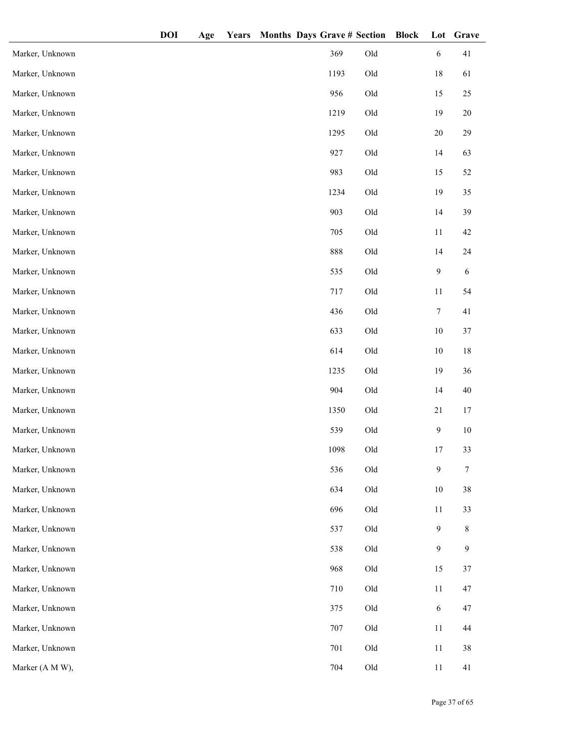|                 | <b>DOI</b> | Age | Years | Months Days Grave # Section |                | <b>Block</b> | Lot              | Grave            |
|-----------------|------------|-----|-------|-----------------------------|----------------|--------------|------------------|------------------|
| Marker, Unknown |            |     |       | 369                         | Old            |              | $\sqrt{6}$       | 41               |
| Marker, Unknown |            |     |       | 1193                        | Old            |              | 18               | 61               |
| Marker, Unknown |            |     |       | 956                         | Old            |              | 15               | 25               |
| Marker, Unknown |            |     |       | 1219                        | Old            |              | 19               | $20\,$           |
| Marker, Unknown |            |     |       | 1295                        | Old            |              | $20\,$           | 29               |
| Marker, Unknown |            |     |       | 927                         | $\rm Old$      |              | 14               | 63               |
| Marker, Unknown |            |     |       | 983                         | Old            |              | 15               | 52               |
| Marker, Unknown |            |     |       | 1234                        | Old            |              | 19               | 35               |
| Marker, Unknown |            |     |       | 903                         | $\mathrm{Old}$ |              | 14               | 39               |
| Marker, Unknown |            |     |       | 705                         | $\rm Old$      |              | $11\,$           | 42               |
| Marker, Unknown |            |     |       | 888                         | Old            |              | 14               | 24               |
| Marker, Unknown |            |     |       | 535                         | Old            |              | $\boldsymbol{9}$ | $\sqrt{6}$       |
| Marker, Unknown |            |     |       | 717                         | $\mathrm{Old}$ |              | 11               | 54               |
| Marker, Unknown |            |     |       | 436                         | $\rm Old$      |              | $\tau$           | 41               |
| Marker, Unknown |            |     |       | 633                         | Old            |              | 10               | 37               |
| Marker, Unknown |            |     |       | 614                         | Old            |              | 10               | $18\,$           |
| Marker, Unknown |            |     |       | 1235                        | $\mathrm{Old}$ |              | 19               | 36               |
| Marker, Unknown |            |     |       | 904                         | $\rm Old$      |              | 14               | 40               |
| Marker, Unknown |            |     |       | 1350                        | Old            |              | 21               | 17               |
| Marker, Unknown |            |     |       | 539                         | Old            |              | $\boldsymbol{9}$ | $10\,$           |
| Marker, Unknown |            |     |       | 1098                        | Old            |              | 17               | 33               |
| Marker, Unknown |            |     |       | 536                         | $\rm Old$      |              | 9                | $\tau$           |
| Marker, Unknown |            |     |       | 634                         | $\rm Old$      |              | 10               | $38\,$           |
| Marker, Unknown |            |     |       | 696                         | Old            |              | $11\,$           | 33               |
| Marker, Unknown |            |     |       | 537                         | Old            |              | 9                | $\,8\,$          |
| Marker, Unknown |            |     |       | 538                         | $\rm Old$      |              | 9                | $\boldsymbol{9}$ |
| Marker, Unknown |            |     |       | 968                         | $\rm Old$      |              | 15               | 37               |
| Marker, Unknown |            |     |       | 710                         | Old            |              | $11\,$           | $47\,$           |
| Marker, Unknown |            |     |       | 375                         | Old            |              | 6                | $47\,$           |
| Marker, Unknown |            |     |       | 707                         | $\rm Old$      |              | $11\,$           | $44\,$           |
| Marker, Unknown |            |     |       | 701                         | Old            |              | 11               | $38\,$           |
| Marker (A M W), |            |     |       | 704                         | $\rm Old$      |              | $11\,$           | 41               |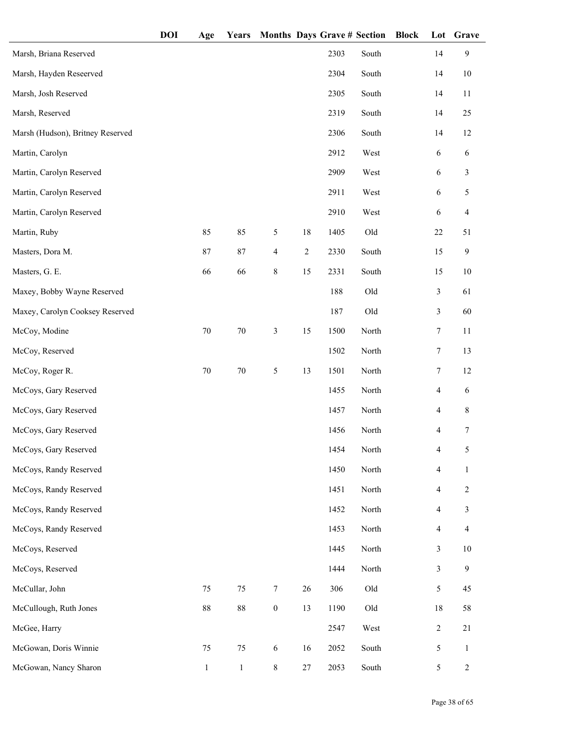|                                  | <b>DOI</b> | Age    | Years        |                  |            | Months Days Grave # Section |                | <b>Block</b> |                  | Lot Grave        |
|----------------------------------|------------|--------|--------------|------------------|------------|-----------------------------|----------------|--------------|------------------|------------------|
| Marsh, Briana Reserved           |            |        |              |                  |            | 2303                        | South          |              | 14               | 9                |
| Marsh, Hayden Reseerved          |            |        |              |                  |            | 2304                        | South          |              | 14               | 10               |
| Marsh, Josh Reserved             |            |        |              |                  |            | 2305                        | South          |              | 14               | 11               |
| Marsh, Reserved                  |            |        |              |                  |            | 2319                        | South          |              | 14               | $25\,$           |
| Marsh (Hudson), Britney Reserved |            |        |              |                  |            | 2306                        | South          |              | 14               | 12               |
| Martin, Carolyn                  |            |        |              |                  |            | 2912                        | West           |              | 6                | $\sqrt{6}$       |
| Martin, Carolyn Reserved         |            |        |              |                  |            | 2909                        | West           |              | 6                | 3                |
| Martin, Carolyn Reserved         |            |        |              |                  |            | 2911                        | West           |              | 6                | 5                |
| Martin, Carolyn Reserved         |            |        |              |                  |            | 2910                        | West           |              | 6                | $\overline{4}$   |
| Martin, Ruby                     |            | 85     | 85           | 5                | $18\,$     | 1405                        | $\mathrm{Old}$ |              | $22\,$           | 51               |
| Masters, Dora M.                 |            | 87     | 87           | 4                | $\sqrt{2}$ | 2330                        | South          |              | 15               | $\overline{9}$   |
| Masters, G. E.                   |            | 66     | 66           | $8\,$            | 15         | 2331                        | South          |              | 15               | 10               |
| Maxey, Bobby Wayne Reserved      |            |        |              |                  |            | 188                         | $\mathrm{Old}$ |              | 3                | 61               |
| Maxey, Carolyn Cooksey Reserved  |            |        |              |                  |            | 187                         | Old            |              | 3                | 60               |
| McCoy, Modine                    |            | $70\,$ | $70\,$       | $\mathfrak{Z}$   | 15         | 1500                        | North          |              | 7                | $11\,$           |
| McCoy, Reserved                  |            |        |              |                  |            | 1502                        | North          |              | $\boldsymbol{7}$ | 13               |
| McCoy, Roger R.                  |            | $70\,$ | $70\,$       | 5                | 13         | 1501                        | North          |              | 7                | 12               |
| McCoys, Gary Reserved            |            |        |              |                  |            | 1455                        | North          |              | 4                | $\sqrt{6}$       |
| McCoys, Gary Reserved            |            |        |              |                  |            | 1457                        | North          |              | 4                | 8                |
| McCoys, Gary Reserved            |            |        |              |                  |            | 1456                        | North          |              | 4                | $\boldsymbol{7}$ |
| McCoys, Gary Reserved            |            |        |              |                  |            | 1454                        | North          |              | 4                | 5                |
| McCoys, Randy Reserved           |            |        |              |                  |            | 1450                        | North          |              | $\overline{4}$   | $\mathbf{1}$     |
| McCoys, Randy Reserved           |            |        |              |                  |            | 1451                        | North          |              | 4                | $\sqrt{2}$       |
| McCoys, Randy Reserved           |            |        |              |                  |            | 1452                        | North          |              | 4                | 3                |
| McCoys, Randy Reserved           |            |        |              |                  |            | 1453                        | North          |              | 4                | $\overline{4}$   |
| McCoys, Reserved                 |            |        |              |                  |            | 1445                        | North          |              | 3                | 10               |
| McCoys, Reserved                 |            |        |              |                  |            | 1444                        | North          |              | 3                | $\boldsymbol{9}$ |
| McCullar, John                   |            | 75     | $75\,$       | $\tau$           | $26\,$     | 306                         | $\mathrm{Old}$ |              | 5                | 45               |
| McCullough, Ruth Jones           |            | $88\,$ | $88\,$       | $\boldsymbol{0}$ | 13         | 1190                        | Old            |              | 18               | 58               |
| McGee, Harry                     |            |        |              |                  |            | 2547                        | West           |              | $\overline{c}$   | $21\,$           |
| McGowan, Doris Winnie            |            | 75     | 75           | 6                | 16         | 2052                        | South          |              | 5                | $\mathbf{1}$     |
| McGowan, Nancy Sharon            |            | $1\,$  | $\mathbf{1}$ | $8\,$            | $27\,$     | 2053                        | South          |              | 5                | $\sqrt{2}$       |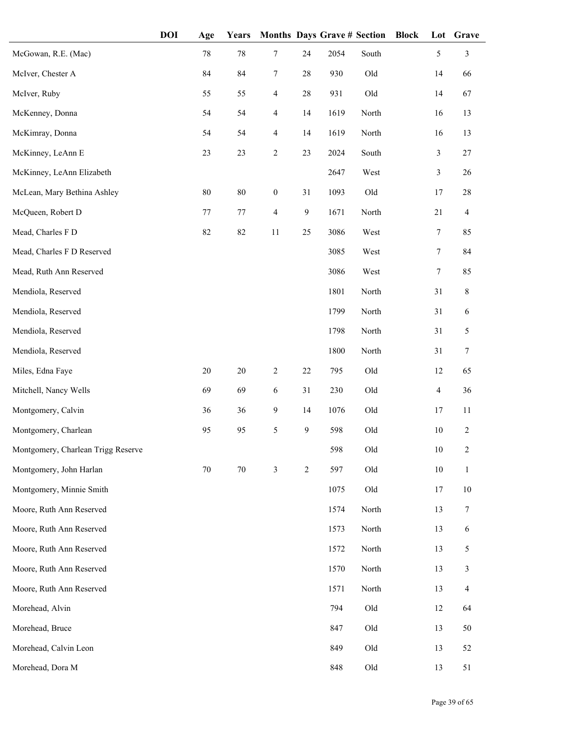|                                    | <b>DOI</b> | Age    | Years    |                  |                  | Months Days Grave # Section |           | <b>Block</b> |                  | Lot Grave        |  |
|------------------------------------|------------|--------|----------|------------------|------------------|-----------------------------|-----------|--------------|------------------|------------------|--|
| McGowan, R.E. (Mac)                |            | $78\,$ | $78\,$   | $\boldsymbol{7}$ | 24               | 2054                        | South     |              | 5                | $\mathfrak{Z}$   |  |
| McIver, Chester A                  |            | 84     | $\bf 84$ | $\boldsymbol{7}$ | $28\,$           | 930                         | Old       |              | 14               | 66               |  |
| McIver, Ruby                       |            | 55     | 55       | $\overline{4}$   | $28\,$           | 931                         | Old       |              | 14               | 67               |  |
| McKenney, Donna                    |            | 54     | 54       | $\overline{4}$   | 14               | 1619                        | North     |              | 16               | 13               |  |
| McKimray, Donna                    |            | 54     | 54       | $\overline{4}$   | 14               | 1619                        | North     |              | 16               | 13               |  |
| McKinney, LeAnn E                  |            | 23     | 23       | $\overline{c}$   | 23               | 2024                        | South     |              | $\mathfrak{Z}$   | 27               |  |
| McKinney, LeAnn Elizabeth          |            |        |          |                  |                  | 2647                        | West      |              | 3                | 26               |  |
| McLean, Mary Bethina Ashley        |            | $80\,$ | $80\,$   | $\boldsymbol{0}$ | 31               | 1093                        | $\rm Old$ |              | 17               | $28\,$           |  |
| McQueen, Robert D                  |            | $77\,$ | $77\,$   | $\overline{4}$   | $\overline{9}$   | 1671                        | North     |              | 21               | $\overline{4}$   |  |
| Mead, Charles F D                  |            | $82\,$ | $82\,$   | 11               | 25               | 3086                        | West      |              | $\boldsymbol{7}$ | 85               |  |
| Mead, Charles F D Reserved         |            |        |          |                  |                  | 3085                        | West      |              | $\tau$           | 84               |  |
| Mead, Ruth Ann Reserved            |            |        |          |                  |                  | 3086                        | West      |              | $\boldsymbol{7}$ | 85               |  |
| Mendiola, Reserved                 |            |        |          |                  |                  | 1801                        | North     |              | 31               | $\,8\,$          |  |
| Mendiola, Reserved                 |            |        |          |                  |                  | 1799                        | North     |              | 31               | 6                |  |
| Mendiola, Reserved                 |            |        |          |                  |                  | 1798                        | North     |              | 31               | 5                |  |
| Mendiola, Reserved                 |            |        |          |                  |                  | 1800                        | North     |              | 31               | $\boldsymbol{7}$ |  |
| Miles, Edna Faye                   |            | $20\,$ | $20\,$   | $\overline{c}$   | 22               | 795                         | Old       |              | 12               | 65               |  |
| Mitchell, Nancy Wells              |            | 69     | 69       | $\boldsymbol{6}$ | 31               | 230                         | Old       |              | $\overline{4}$   | 36               |  |
| Montgomery, Calvin                 |            | 36     | 36       | 9                | 14               | 1076                        | Old       |              | 17               | $11\,$           |  |
| Montgomery, Charlean               |            | 95     | 95       | 5                | $\boldsymbol{9}$ | 598                         | Old       |              | $10\,$           | $\boldsymbol{2}$ |  |
| Montgomery, Charlean Trigg Reserve |            |        |          |                  |                  | 598                         | Old       |              | 10               | $\overline{c}$   |  |
| Montgomery, John Harlan            |            | $70\,$ | 70       | 3                | $\sqrt{2}$       | 597                         | Old       |              | $10\,$           | $\mathbf{1}$     |  |
| Montgomery, Minnie Smith           |            |        |          |                  |                  | 1075                        | Old       |              | 17               | 10               |  |
| Moore, Ruth Ann Reserved           |            |        |          |                  |                  | 1574                        | North     |              | 13               | 7                |  |
| Moore, Ruth Ann Reserved           |            |        |          |                  |                  | 1573                        | North     |              | 13               | 6                |  |
| Moore, Ruth Ann Reserved           |            |        |          |                  |                  | 1572                        | North     |              | 13               | 5                |  |
| Moore, Ruth Ann Reserved           |            |        |          |                  |                  | 1570                        | North     |              | 13               | 3                |  |
| Moore, Ruth Ann Reserved           |            |        |          |                  |                  | 1571                        | North     |              | 13               | $\overline{4}$   |  |
| Morehead, Alvin                    |            |        |          |                  |                  | 794                         | Old       |              | 12               | 64               |  |
| Morehead, Bruce                    |            |        |          |                  |                  | 847                         | Old       |              | 13               | 50               |  |
| Morehead, Calvin Leon              |            |        |          |                  |                  | 849                         | Old       |              | 13               | 52               |  |
| Morehead, Dora M                   |            |        |          |                  |                  | 848                         | Old       |              | 13               | 51               |  |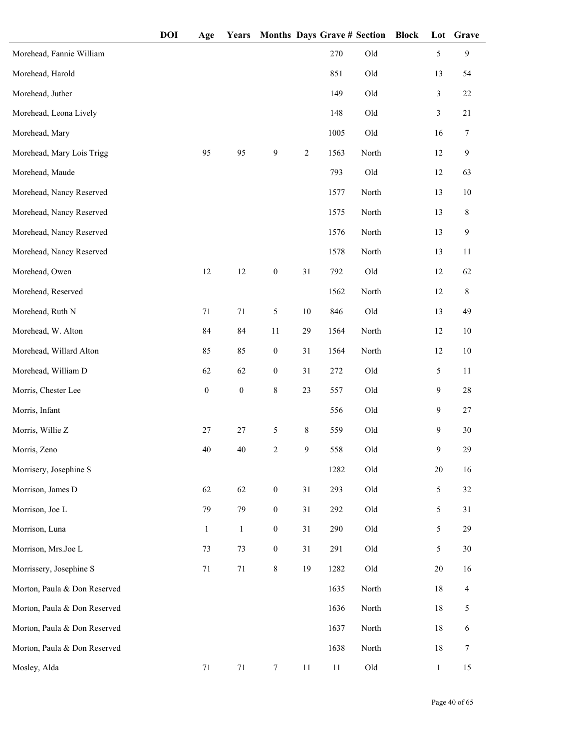|                              | <b>DOI</b> | Age              | Years            |                  |            | <b>Months Days Grave # Section</b> |                | <b>Block</b> |                | Lot Grave      |
|------------------------------|------------|------------------|------------------|------------------|------------|------------------------------------|----------------|--------------|----------------|----------------|
| Morehead, Fannie William     |            |                  |                  |                  |            | 270                                | Old            |              | 5              | 9              |
| Morehead, Harold             |            |                  |                  |                  |            | 851                                | Old            |              | 13             | 54             |
| Morehead, Juther             |            |                  |                  |                  |            | 149                                | Old            |              | 3              | $22\,$         |
| Morehead, Leona Lively       |            |                  |                  |                  |            | 148                                | Old            |              | $\mathfrak{Z}$ | 21             |
| Morehead, Mary               |            |                  |                  |                  |            | 1005                               | $\mathrm{Old}$ |              | 16             | 7              |
| Morehead, Mary Lois Trigg    |            | 95               | 95               | $\mathbf{9}$     | $\sqrt{2}$ | 1563                               | North          |              | 12             | 9              |
| Morehead, Maude              |            |                  |                  |                  |            | 793                                | Old            |              | 12             | 63             |
| Morehead, Nancy Reserved     |            |                  |                  |                  |            | 1577                               | North          |              | 13             | 10             |
| Morehead, Nancy Reserved     |            |                  |                  |                  |            | 1575                               | North          |              | 13             | 8              |
| Morehead, Nancy Reserved     |            |                  |                  |                  |            | 1576                               | North          |              | 13             | 9              |
| Morehead, Nancy Reserved     |            |                  |                  |                  |            | 1578                               | North          |              | 13             | 11             |
| Morehead, Owen               |            | $12\,$           | $12\,$           | $\boldsymbol{0}$ | 31         | 792                                | $\mathrm{Old}$ |              | 12             | 62             |
| Morehead, Reserved           |            |                  |                  |                  |            | 1562                               | North          |              | 12             | $\,$ 8 $\,$    |
| Morehead, Ruth N             |            | 71               | $71\,$           | $\sqrt{5}$       | $10\,$     | 846                                | $\mathrm{Old}$ |              | 13             | 49             |
| Morehead, W. Alton           |            | 84               | $\bf 84$         | 11               | 29         | 1564                               | North          |              | 12             | 10             |
| Morehead, Willard Alton      |            | 85               | 85               | $\boldsymbol{0}$ | 31         | 1564                               | North          |              | 12             | 10             |
| Morehead, William D          |            | 62               | 62               | $\boldsymbol{0}$ | 31         | 272                                | $\mathrm{Old}$ |              | 5              | 11             |
| Morris, Chester Lee          |            | $\boldsymbol{0}$ | $\boldsymbol{0}$ | $\,8\,$          | 23         | 557                                | Old            |              | 9              | 28             |
| Morris, Infant               |            |                  |                  |                  |            | 556                                | Old            |              | 9              | $27\,$         |
| Morris, Willie Z             |            | $27\,$           | $27\,$           | $\mathfrak s$    | $\,8\,$    | 559                                | Old            |              | 9              | 30             |
| Morris, Zeno                 |            | 40               | 40               | $\sqrt{2}$       | 9          | 558                                | Old            |              | 9              | 29             |
| Morrisery, Josephine S       |            |                  |                  |                  |            | 1282                               | Old            |              | $20\,$         | 16             |
| Morrison, James D            |            | 62               | 62               | $\boldsymbol{0}$ | 31         | 293                                | Old            |              | 5              | 32             |
| Morrison, Joe L              |            | 79               | 79               | $\boldsymbol{0}$ | 31         | 292                                | Old            |              | 5              | 31             |
| Morrison, Luna               |            | $\mathbf{1}$     | $\mathbf{1}$     | $\boldsymbol{0}$ | 31         | 290                                | Old            |              | 5              | 29             |
| Morrison, Mrs.Joe L          |            | 73               | 73               | $\boldsymbol{0}$ | 31         | 291                                | Old            |              | 5              | $30\,$         |
| Morrissery, Josephine S      |            | $71\,$           | $71\,$           | $\,$ 8 $\,$      | 19         | 1282                               | $\mathrm{Old}$ |              | $20\,$         | 16             |
| Morton, Paula & Don Reserved |            |                  |                  |                  |            | 1635                               | North          |              | $18\,$         | $\overline{4}$ |
| Morton, Paula & Don Reserved |            |                  |                  |                  |            | 1636                               | North          |              | $18\,$         | 5              |
| Morton, Paula & Don Reserved |            |                  |                  |                  |            | 1637                               | North          |              | $18\,$         | 6              |
| Morton, Paula & Don Reserved |            |                  |                  |                  |            | 1638                               | North          |              | 18             | 7              |
| Mosley, Alda                 |            | 71               | 71               | $\boldsymbol{7}$ | 11         | 11                                 | Old            |              | $\mathbf{1}$   | 15             |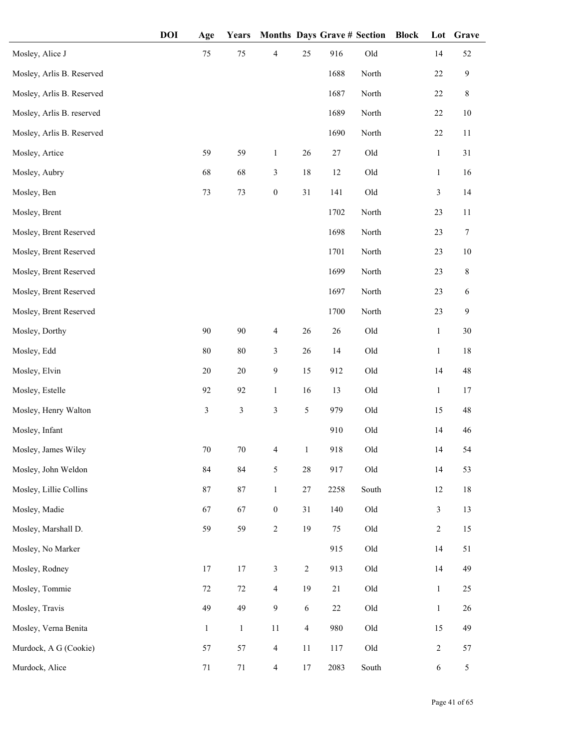|                           | <b>DOI</b> | Age            | Years          |                  |                | <b>Months Days Grave # Section</b> |                | <b>Block</b> |                | Lot Grave        |
|---------------------------|------------|----------------|----------------|------------------|----------------|------------------------------------|----------------|--------------|----------------|------------------|
| Mosley, Alice J           |            | 75             | $75\,$         | $\overline{4}$   | $25\,$         | 916                                | Old            |              | 14             | 52               |
| Mosley, Arlis B. Reserved |            |                |                |                  |                | 1688                               | North          |              | $22\,$         | $\mathbf{9}$     |
| Mosley, Arlis B. Reserved |            |                |                |                  |                | 1687                               | North          |              | $22\,$         | $\,$ 8 $\,$      |
| Mosley, Arlis B. reserved |            |                |                |                  |                | 1689                               | North          |              | $22\,$         | $10\,$           |
| Mosley, Arlis B. Reserved |            |                |                |                  |                | 1690                               | North          |              | $22\,$         | $11\,$           |
| Mosley, Artice            |            | 59             | 59             | $\mathbf{1}$     | $26\,$         | $27\,$                             | Old            |              | $\mathbf{1}$   | 31               |
| Mosley, Aubry             |            | 68             | 68             | $\mathfrak{Z}$   | $18\,$         | 12                                 | Old            |              | $\mathbf{1}$   | 16               |
| Mosley, Ben               |            | $73\,$         | $73\,$         | $\boldsymbol{0}$ | $31\,$         | 141                                | Old            |              | 3              | $14$             |
| Mosley, Brent             |            |                |                |                  |                | 1702                               | North          |              | 23             | $11\,$           |
| Mosley, Brent Reserved    |            |                |                |                  |                | 1698                               | North          |              | 23             | $\boldsymbol{7}$ |
| Mosley, Brent Reserved    |            |                |                |                  |                | 1701                               | North          |              | 23             | $10\,$           |
| Mosley, Brent Reserved    |            |                |                |                  |                | 1699                               | North          |              | 23             | $\,$ 8 $\,$      |
| Mosley, Brent Reserved    |            |                |                |                  |                | 1697                               | North          |              | 23             | $\sqrt{6}$       |
| Mosley, Brent Reserved    |            |                |                |                  |                | 1700                               | North          |              | 23             | 9                |
| Mosley, Dorthy            |            | 90             | $90\,$         | $\overline{4}$   | $26\,$         | $26\,$                             | Old            |              | $\mathbf{1}$   | $30\,$           |
| Mosley, Edd               |            | $80\,$         | $80\,$         | 3                | $26\,$         | $14$                               | Old            |              | $\mathbf{1}$   | $18\,$           |
| Mosley, Elvin             |            | $20\,$         | $20\,$         | $\overline{9}$   | 15             | 912                                | Old            |              | 14             | $48\,$           |
| Mosley, Estelle           |            | 92             | 92             | $\mathbf{1}$     | 16             | 13                                 | $\mathrm{Old}$ |              | $\mathbf{1}$   | $17\,$           |
| Mosley, Henry Walton      |            | $\mathfrak{Z}$ | $\mathfrak{Z}$ | $\mathfrak{Z}$   | $\sqrt{5}$     | 979                                | Old            |              | 15             | $\sqrt{48}$      |
| Mosley, Infant            |            |                |                |                  |                | 910                                | Old            |              | 14             | $46\,$           |
| Mosley, James Wiley       |            | $70\,$         | $70\,$         | $\overline{4}$   | $\mathbf{1}$   | 918                                | Old            |              | 14             | 54               |
| Mosley, John Weldon       |            | 84             | $\bf 84$       | 5                | $28\,$         | 917                                | $\mathrm{Old}$ |              | 14             | 53               |
| Mosley, Lillie Collins    |            | $87\,$         | $87\,$         | $\mathbf{1}$     | $27\,$         | 2258                               | South          |              | 12             | $18\,$           |
| Mosley, Madie             |            | 67             | 67             | $\boldsymbol{0}$ | 31             | 140                                | $\mathrm{Old}$ |              | 3              | 13               |
| Mosley, Marshall D.       |            | 59             | 59             | $\sqrt{2}$       | 19             | 75                                 | $\mathrm{Old}$ |              | $\overline{c}$ | 15               |
| Mosley, No Marker         |            |                |                |                  |                | 915                                | $\mathrm{Old}$ |              | 14             | 51               |
| Mosley, Rodney            |            | $17\,$         | $17\,$         | $\mathfrak{Z}$   | $\sqrt{2}$     | 913                                | Old            |              | 14             | 49               |
| Mosley, Tommie            |            | $72\,$         | $72\,$         | $\overline{4}$   | 19             | $21\,$                             | $\mathrm{Old}$ |              | $\mathbf{1}$   | 25               |
| Mosley, Travis            |            | 49             | 49             | $\boldsymbol{9}$ | $\sqrt{6}$     | $22\,$                             | $\mathrm{Old}$ |              | $\mathbf{1}$   | $26\,$           |
| Mosley, Verna Benita      |            | $\mathbf{1}$   | $\mathbf{1}$   | 11               | $\overline{4}$ | 980                                | $\mathrm{Old}$ |              | 15             | 49               |
| Murdock, A G (Cookie)     |            | 57             | 57             | $\overline{4}$   | 11             | 117                                | Old            |              | $\overline{c}$ | 57               |
| Murdock, Alice            |            | 71             | 71             | $\overline{4}$   | 17             | 2083                               | South          |              | 6              | $\mathfrak s$    |
|                           |            |                |                |                  |                |                                    |                |              |                |                  |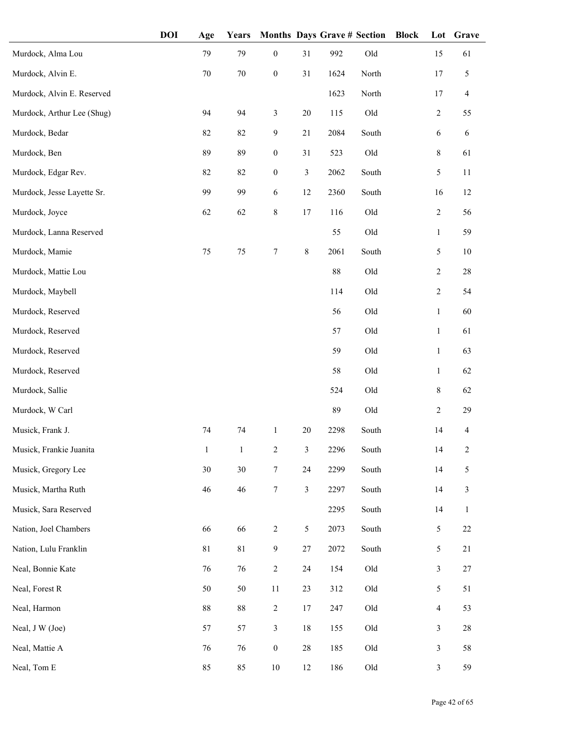|                            | <b>DOI</b> | Age          | Years        |                  |                | Months Days Grave # Section |                | <b>Block</b> |                | Lot Grave      |  |
|----------------------------|------------|--------------|--------------|------------------|----------------|-----------------------------|----------------|--------------|----------------|----------------|--|
| Murdock, Alma Lou          |            | 79           | 79           | $\boldsymbol{0}$ | 31             | 992                         | $\mathrm{Old}$ |              | 15             | 61             |  |
| Murdock, Alvin E.          |            | $70\,$       | $70\,$       | $\boldsymbol{0}$ | 31             | 1624                        | North          |              | 17             | 5              |  |
| Murdock, Alvin E. Reserved |            |              |              |                  |                | 1623                        | North          |              | 17             | $\overline{4}$ |  |
| Murdock, Arthur Lee (Shug) |            | 94           | 94           | 3                | $20\,$         | 115                         | $\mathrm{Old}$ |              | $\overline{c}$ | 55             |  |
| Murdock, Bedar             |            | 82           | 82           | 9                | 21             | 2084                        | South          |              | 6              | 6              |  |
| Murdock, Ben               |            | 89           | 89           | $\boldsymbol{0}$ | 31             | 523                         | Old            |              | $8\,$          | 61             |  |
| Murdock, Edgar Rev.        |            | 82           | 82           | $\boldsymbol{0}$ | $\mathfrak{Z}$ | 2062                        | South          |              | 5              | $11\,$         |  |
| Murdock, Jesse Layette Sr. |            | 99           | 99           | 6                | 12             | 2360                        | South          |              | 16             | $12\,$         |  |
| Murdock, Joyce             |            | 62           | 62           | $8\,$            | $17\,$         | 116                         | Old            |              | $\overline{c}$ | 56             |  |
| Murdock, Lanna Reserved    |            |              |              |                  |                | 55                          | $\rm Old$      |              | $\mathbf{1}$   | 59             |  |
| Murdock, Mamie             |            | 75           | $75\,$       | $\boldsymbol{7}$ | $\,8\,$        | 2061                        | South          |              | 5              | $10\,$         |  |
| Murdock, Mattie Lou        |            |              |              |                  |                | $88\,$                      | $\rm Old$      |              | $\overline{2}$ | $28\,$         |  |
| Murdock, Maybell           |            |              |              |                  |                | 114                         | Old            |              | $\overline{2}$ | 54             |  |
| Murdock, Reserved          |            |              |              |                  |                | 56                          | Old            |              | $\mathbf{1}$   | 60             |  |
| Murdock, Reserved          |            |              |              |                  |                | 57                          | Old            |              | $\mathbf{1}$   | 61             |  |
| Murdock, Reserved          |            |              |              |                  |                | 59                          | $\mathrm{Old}$ |              | $\mathbf{1}$   | 63             |  |
| Murdock, Reserved          |            |              |              |                  |                | $58\,$                      | Old            |              | $\mathbf{1}$   | 62             |  |
| Murdock, Sallie            |            |              |              |                  |                | 524                         | Old            |              | $\,8\,$        | 62             |  |
| Murdock, W Carl            |            |              |              |                  |                | 89                          | Old            |              | $\overline{2}$ | 29             |  |
| Musick, Frank J.           |            | $74\,$       | $74\,$       | $\mathbf{1}$     | $20\,$         | 2298                        | South          |              | 14             | $\overline{4}$ |  |
| Musick, Frankie Juanita    |            | $\mathbf{1}$ | $\mathbf{1}$ | $\overline{c}$   | $\mathfrak{Z}$ | 2296                        | South          |              | 14             | $\overline{c}$ |  |
| Musick, Gregory Lee        |            | 30           | $30\,$       | 7                | 24             | 2299                        | South          |              | 14             | 5              |  |
| Musick, Martha Ruth        |            | 46           | $46\,$       | $\boldsymbol{7}$ | $\mathfrak{Z}$ | 2297                        | South          |              | 14             | $\mathfrak{Z}$ |  |
| Musick, Sara Reserved      |            |              |              |                  |                | 2295                        | South          |              | 14             | $\mathbf{1}$   |  |
| Nation, Joel Chambers      |            | 66           | 66           | $\overline{c}$   | $\sqrt{5}$     | 2073                        | South          |              | 5              | $22\,$         |  |
| Nation, Lulu Franklin      |            | $8\sqrt{1}$  | $8\sqrt{1}$  | 9                | $27\,$         | 2072                        | South          |              | $\mathfrak{S}$ | $21\,$         |  |
| Neal, Bonnie Kate          |            | $76\,$       | $76\,$       | $\overline{c}$   | 24             | 154                         | $\rm Old$      |              | 3              | $27\,$         |  |
| Neal, Forest R             |            | 50           | $50\,$       | $11\,$           | 23             | 312                         | $\rm Old$      |              | 5              | 51             |  |
| Neal, Harmon               |            | $88\,$       | $88\,$       | $\overline{c}$   | $17\,$         | 247                         | Old            |              | $\overline{4}$ | 53             |  |
| Neal, J W (Joe)            |            | 57           | 57           | $\mathfrak{Z}$   | $18\,$         | 155                         | $\rm Old$      |              | 3              | $28\,$         |  |
| Neal, Mattie A             |            | $76\,$       | $76\,$       | $\boldsymbol{0}$ | $28\,$         | 185                         | Old            |              | 3              | 58             |  |
| Neal, Tom E                |            | 85           | 85           | $10\,$           | 12             | 186                         | $\rm Old$      |              | 3              | 59             |  |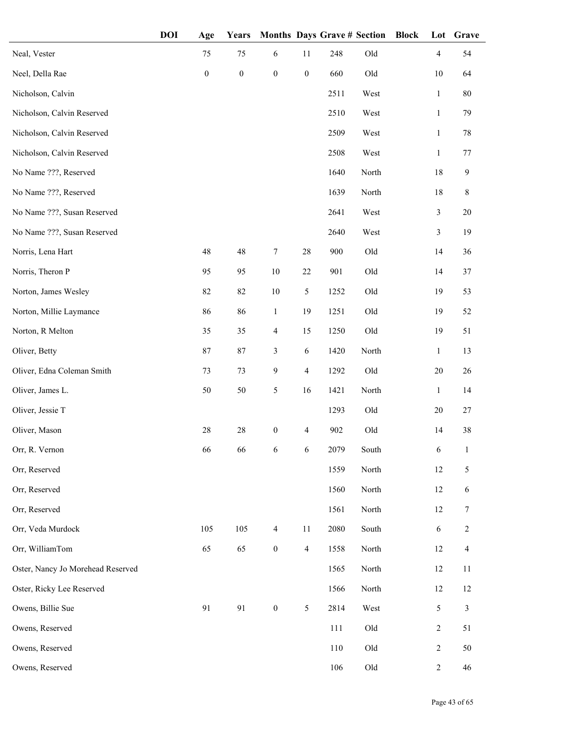|                                   | <b>DOI</b> | Age              | Years            |                  |                  | <b>Months Days Grave # Section</b> |                | <b>Block</b> |                         | Lot Grave        |
|-----------------------------------|------------|------------------|------------------|------------------|------------------|------------------------------------|----------------|--------------|-------------------------|------------------|
| Neal, Vester                      |            | 75               | $75\,$           | $\sqrt{6}$       | 11               | 248                                | Old            |              | $\overline{\mathbf{4}}$ | 54               |
| Neel, Della Rae                   |            | $\boldsymbol{0}$ | $\boldsymbol{0}$ | $\boldsymbol{0}$ | $\boldsymbol{0}$ | 660                                | $\mathrm{Old}$ |              | 10                      | 64               |
| Nicholson, Calvin                 |            |                  |                  |                  |                  | 2511                               | West           |              | $\mathbf{1}$            | $80\,$           |
| Nicholson, Calvin Reserved        |            |                  |                  |                  |                  | 2510                               | West           |              | $\mathbf{1}$            | 79               |
| Nicholson, Calvin Reserved        |            |                  |                  |                  |                  | 2509                               | West           |              | $\mathbf{1}$            | $78\,$           |
| Nicholson, Calvin Reserved        |            |                  |                  |                  |                  | 2508                               | West           |              | $\mathbf{1}$            | $77\,$           |
| No Name ???, Reserved             |            |                  |                  |                  |                  | 1640                               | North          |              | 18                      | $\boldsymbol{9}$ |
| No Name ???, Reserved             |            |                  |                  |                  |                  | 1639                               | North          |              | $18\,$                  | $\,8\,$          |
| No Name ???, Susan Reserved       |            |                  |                  |                  |                  | 2641                               | West           |              | 3                       | $20\,$           |
| No Name ???, Susan Reserved       |            |                  |                  |                  |                  | 2640                               | West           |              | 3                       | 19               |
| Norris, Lena Hart                 |            | $48\,$           | $\sqrt{48}$      | $\boldsymbol{7}$ | $28\,$           | 900                                | Old            |              | 14                      | 36               |
| Norris, Theron P                  |            | 95               | 95               | $10\,$           | $22\,$           | 901                                | $\mathrm{Old}$ |              | 14                      | 37               |
| Norton, James Wesley              |            | 82               | 82               | $10\,$           | 5                | 1252                               | $\mathrm{Old}$ |              | 19                      | 53               |
| Norton, Millie Laymance           |            | 86               | 86               | $\mathbf{1}$     | 19               | 1251                               | $\mathrm{Old}$ |              | 19                      | 52               |
| Norton, R Melton                  |            | 35               | 35               | $\overline{4}$   | 15               | 1250                               | $\mathrm{Old}$ |              | 19                      | 51               |
| Oliver, Betty                     |            | $87\,$           | $87\,$           | 3                | $\sqrt{6}$       | 1420                               | North          |              | $\mathbf{1}$            | 13               |
| Oliver, Edna Coleman Smith        |            | 73               | $73\,$           | 9                | $\overline{4}$   | 1292                               | $\mathrm{Old}$ |              | 20                      | $26\,$           |
| Oliver, James L.                  |            | 50               | $50\,$           | 5                | 16               | 1421                               | North          |              | $\mathbf{1}$            | 14               |
| Oliver, Jessie T                  |            |                  |                  |                  |                  | 1293                               | $\mathrm{Old}$ |              | $20\,$                  | $27\,$           |
| Oliver, Mason                     |            | $28\,$           | $28\,$           | $\boldsymbol{0}$ | $\overline{4}$   | 902                                | $\mathrm{Old}$ |              | 14                      | $38\,$           |
| Orr, R. Vernon                    |            | 66               | 66               | $\sqrt{6}$       | $\sqrt{6}$       | 2079                               | South          |              | 6                       | $\mathbf{1}$     |
| Orr, Reserved                     |            |                  |                  |                  |                  | 1559                               | North          |              | 12                      | 5                |
| Orr, Reserved                     |            |                  |                  |                  |                  | 1560                               | North          |              | 12                      | $\sqrt{6}$       |
| Orr, Reserved                     |            |                  |                  |                  |                  | 1561                               | North          |              | 12                      | 7                |
| Orr, Veda Murdock                 |            | 105              | 105              | $\overline{4}$   | 11               | 2080                               | South          |              | 6                       | $\overline{c}$   |
| Orr, WilliamTom                   |            | 65               | 65               | $\boldsymbol{0}$ | $\overline{4}$   | 1558                               | North          |              | 12                      | $\overline{4}$   |
| Oster, Nancy Jo Morehead Reserved |            |                  |                  |                  |                  | 1565                               | North          |              | 12                      | 11               |
| Oster, Ricky Lee Reserved         |            |                  |                  |                  |                  | 1566                               | North          |              | 12                      | 12               |
| Owens, Billie Sue                 |            | 91               | 91               | $\boldsymbol{0}$ | $\mathfrak{H}$   | 2814                               | West           |              | 5                       | $\mathfrak{Z}$   |
| Owens, Reserved                   |            |                  |                  |                  |                  | 111                                | $\mathrm{Old}$ |              | 2                       | 51               |
| Owens, Reserved                   |            |                  |                  |                  |                  | 110                                | Old            |              | 2                       | 50               |
| Owens, Reserved                   |            |                  |                  |                  |                  | 106                                | $\mathrm{Old}$ |              | 2                       | $46\,$           |
|                                   |            |                  |                  |                  |                  |                                    |                |              |                         |                  |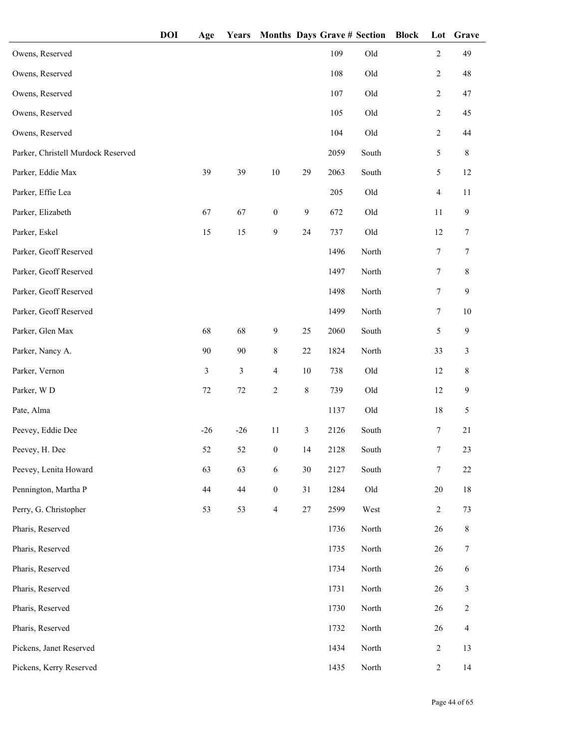|                                    | <b>DOI</b> | Age    | Years  |                  |                | Months Days Grave # Section |       | <b>Block</b> |                  | Lot Grave        |
|------------------------------------|------------|--------|--------|------------------|----------------|-----------------------------|-------|--------------|------------------|------------------|
| Owens, Reserved                    |            |        |        |                  |                | 109                         | Old   |              | $\overline{c}$   | 49               |
| Owens, Reserved                    |            |        |        |                  |                | 108                         | Old   |              | 2                | 48               |
| Owens, Reserved                    |            |        |        |                  |                | 107                         | Old   |              | 2                | $47\,$           |
| Owens, Reserved                    |            |        |        |                  |                | 105                         | Old   |              | $\overline{c}$   | 45               |
| Owens, Reserved                    |            |        |        |                  |                | 104                         | Old   |              | 2                | $44\,$           |
| Parker, Christell Murdock Reserved |            |        |        |                  |                | 2059                        | South |              | 5                | $\,8\,$          |
| Parker, Eddie Max                  |            | 39     | 39     | $10\,$           | 29             | 2063                        | South |              | 5                | $12\,$           |
| Parker, Effie Lea                  |            |        |        |                  |                | 205                         | Old   |              | 4                | 11               |
| Parker, Elizabeth                  |            | 67     | 67     | $\boldsymbol{0}$ | $\overline{9}$ | 672                         | Old   |              | 11               | $\mathbf{9}$     |
| Parker, Eskel                      |            | 15     | 15     | 9                | $24\,$         | 737                         | Old   |              | 12               | 7                |
| Parker, Geoff Reserved             |            |        |        |                  |                | 1496                        | North |              | 7                | $\boldsymbol{7}$ |
| Parker, Geoff Reserved             |            |        |        |                  |                | 1497                        | North |              | $\boldsymbol{7}$ | $\,$ 8 $\,$      |
| Parker, Geoff Reserved             |            |        |        |                  |                | 1498                        | North |              | $\tau$           | $\mathbf{9}$     |
| Parker, Geoff Reserved             |            |        |        |                  |                | 1499                        | North |              | $\boldsymbol{7}$ | $10\,$           |
| Parker, Glen Max                   |            | 68     | 68     | 9                | 25             | 2060                        | South |              | 5                | $\mathbf{9}$     |
| Parker, Nancy A.                   |            | $90\,$ | 90     | $8\,$            | $22\,$         | 1824                        | North |              | 33               | 3                |
| Parker, Vernon                     |            | 3      | 3      | $\overline{4}$   | $10\,$         | 738                         | Old   |              | 12               | $\,$ 8 $\,$      |
| Parker, WD                         |            | $72\,$ | $72\,$ | $\overline{c}$   | $\,8\,$        | 739                         | Old   |              | 12               | 9                |
| Pate, Alma                         |            |        |        |                  |                | 1137                        | Old   |              | 18               | 5                |
| Peevey, Eddie Dee                  |            | $-26$  | $-26$  | 11               | $\mathfrak{Z}$ | 2126                        | South |              | 7                | $21\,$           |
| Peevey, H. Dee                     |            | 52     | 52     | $\boldsymbol{0}$ | 14             | 2128                        | South |              | 7                | 23               |
| Peevey, Lenita Howard              |            | 63     | 63     | 6                | 30             | 2127                        | South |              | 7                | $22\,$           |
| Pennington, Martha P               |            | 44     | $44\,$ | $\boldsymbol{0}$ | 31             | 1284                        | Old   |              | $20\,$           | $18\,$           |
| Perry, G. Christopher              |            | 53     | 53     | $\overline{4}$   | $27\,$         | 2599                        | West  |              | $\overline{c}$   | 73               |
| Pharis, Reserved                   |            |        |        |                  |                | 1736                        | North |              | 26               | $\,$ 8 $\,$      |
| Pharis, Reserved                   |            |        |        |                  |                | 1735                        | North |              | 26               | $\boldsymbol{7}$ |
| Pharis, Reserved                   |            |        |        |                  |                | 1734                        | North |              | $26\,$           | 6                |
| Pharis, Reserved                   |            |        |        |                  |                | 1731                        | North |              | $26\,$           | 3                |
| Pharis, Reserved                   |            |        |        |                  |                | 1730                        | North |              | 26               | $\sqrt{2}$       |
| Pharis, Reserved                   |            |        |        |                  |                | 1732                        | North |              | $26\,$           | $\overline{4}$   |
| Pickens, Janet Reserved            |            |        |        |                  |                | 1434                        | North |              | 2                | 13               |
| Pickens, Kerry Reserved            |            |        |        |                  |                | 1435                        | North |              | 2                | 14               |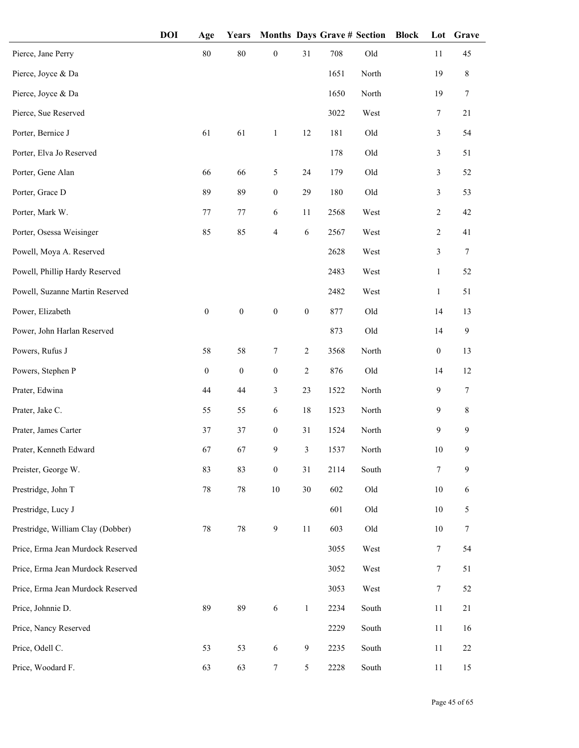|                                   | <b>DOI</b> | Age              | Years            |                          |                  | Months Days Grave # Section |                | <b>Block</b> |                  | Lot Grave        |
|-----------------------------------|------------|------------------|------------------|--------------------------|------------------|-----------------------------|----------------|--------------|------------------|------------------|
| Pierce, Jane Perry                |            | $80\,$           | $80\,$           | $\boldsymbol{0}$         | 31               | 708                         | $\mathrm{Old}$ |              | $11\,$           | 45               |
| Pierce, Joyce & Da                |            |                  |                  |                          |                  | 1651                        | North          |              | 19               | 8                |
| Pierce, Joyce & Da                |            |                  |                  |                          |                  | 1650                        | North          |              | 19               | $\boldsymbol{7}$ |
| Pierce, Sue Reserved              |            |                  |                  |                          |                  | 3022                        | West           |              | 7                | 21               |
| Porter, Bernice J                 |            | 61               | 61               | $\mathbf{1}$             | 12               | 181                         | $\mathrm{Old}$ |              | 3                | 54               |
| Porter, Elva Jo Reserved          |            |                  |                  |                          |                  | 178                         | Old            |              | 3                | 51               |
| Porter, Gene Alan                 |            | 66               | 66               | 5                        | 24               | 179                         | Old            |              | 3                | 52               |
| Porter, Grace D                   |            | 89               | 89               | $\boldsymbol{0}$         | 29               | 180                         | Old            |              | 3                | 53               |
| Porter, Mark W.                   |            | 77               | $77\,$           | 6                        | 11               | 2568                        | West           |              | $\overline{c}$   | $42\,$           |
| Porter, Osessa Weisinger          |            | 85               | 85               | $\overline{\mathcal{A}}$ | $\sqrt{6}$       | 2567                        | West           |              | $\overline{c}$   | 41               |
| Powell, Moya A. Reserved          |            |                  |                  |                          |                  | 2628                        | West           |              | 3                | $\boldsymbol{7}$ |
| Powell, Phillip Hardy Reserved    |            |                  |                  |                          |                  | 2483                        | West           |              | $\mathbf{1}$     | 52               |
| Powell, Suzanne Martin Reserved   |            |                  |                  |                          |                  | 2482                        | West           |              | $\mathbf{1}$     | 51               |
| Power, Elizabeth                  |            | $\boldsymbol{0}$ | $\boldsymbol{0}$ | $\boldsymbol{0}$         | $\boldsymbol{0}$ | 877                         | Old            |              | 14               | 13               |
| Power, John Harlan Reserved       |            |                  |                  |                          |                  | 873                         | Old            |              | 14               | $\boldsymbol{9}$ |
| Powers, Rufus J                   |            | 58               | 58               | $\boldsymbol{7}$         | $\sqrt{2}$       | 3568                        | North          |              | $\boldsymbol{0}$ | 13               |
| Powers, Stephen P                 |            | $\boldsymbol{0}$ | $\boldsymbol{0}$ | $\boldsymbol{0}$         | $\sqrt{2}$       | 876                         | Old            |              | 14               | 12               |
| Prater, Edwina                    |            | $44\,$           | 44               | 3                        | 23               | 1522                        | North          |              | 9                | $\tau$           |
| Prater, Jake C.                   |            | 55               | 55               | 6                        | $18\,$           | 1523                        | North          |              | 9                | $\,8\,$          |
| Prater, James Carter              |            | 37               | $37\,$           | $\boldsymbol{0}$         | 31               | 1524                        | North          |              | 9                | $\boldsymbol{9}$ |
| Prater, Kenneth Edward            |            | 67               | 67               | 9                        | 3                | 1537                        | North          |              | 10               | 9                |
| Preister, George W.               |            | 83               | 83               | $\boldsymbol{0}$         | 31               | 2114                        | South          |              | 7                | 9                |
| Prestridge, John T                |            | $78\,$           | $78\,$           | $10\,$                   | $30\,$           | 602                         | $\mathrm{Old}$ |              | $10\,$           | $\sqrt{6}$       |
| Prestridge, Lucy J                |            |                  |                  |                          |                  | 601                         | Old            |              | $10\,$           | 5                |
| Prestridge, William Clay (Dobber) |            | $78\,$           | $78\,$           | 9                        | $11\,$           | 603                         | Old            |              | $10\,$           | $\boldsymbol{7}$ |
| Price, Erma Jean Murdock Reserved |            |                  |                  |                          |                  | 3055                        | West           |              | 7                | 54               |
| Price, Erma Jean Murdock Reserved |            |                  |                  |                          |                  | 3052                        | West           |              | 7                | 51               |
| Price, Erma Jean Murdock Reserved |            |                  |                  |                          |                  | 3053                        | West           |              | 7                | 52               |
| Price, Johnnie D.                 |            | 89               | 89               | $\sqrt{6}$               | $\mathbf{1}$     | 2234                        | South          |              | $11\,$           | 21               |
| Price, Nancy Reserved             |            |                  |                  |                          |                  | 2229                        | South          |              | 11               | 16               |
| Price, Odell C.                   |            | 53               | 53               | $\sqrt{6}$               | $\boldsymbol{9}$ | 2235                        | South          |              | 11               | $22\,$           |
| Price, Woodard F.                 |            | 63               | 63               | $\boldsymbol{7}$         | $\sqrt{5}$       | 2228                        | South          |              | 11               | 15               |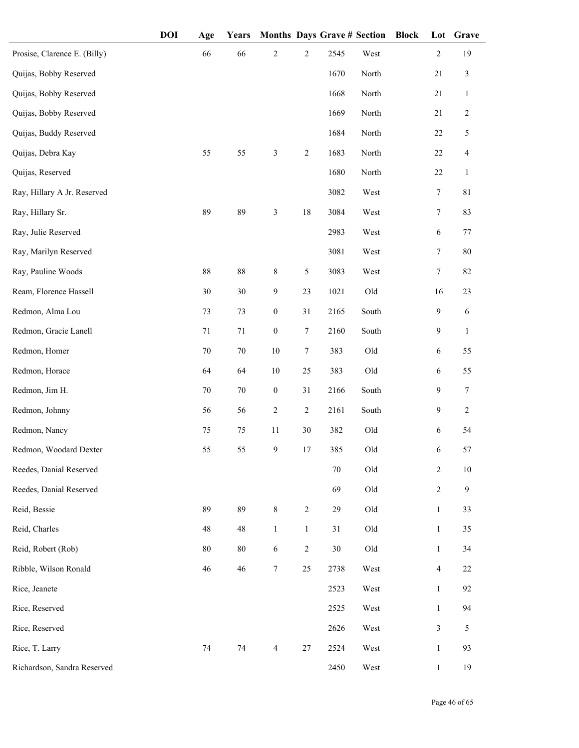| Prosise, Clarence E. (Billy) | 66     |        |                  |                  |        |                       |                  |                |
|------------------------------|--------|--------|------------------|------------------|--------|-----------------------|------------------|----------------|
|                              |        | 66     | $\sqrt{2}$       | $\boldsymbol{2}$ | 2545   | West                  | $\sqrt{2}$       | 19             |
| Quijas, Bobby Reserved       |        |        |                  |                  | 1670   | North                 | $21\,$           | 3              |
| Quijas, Bobby Reserved       |        |        |                  |                  | 1668   | North                 | $21\,$           | $\mathbf{1}$   |
| Quijas, Bobby Reserved       |        |        |                  |                  | 1669   | North                 | $21\,$           | $\overline{c}$ |
| Quijas, Buddy Reserved       |        |        |                  |                  | 1684   | North                 | $22\,$           | 5              |
| Quijas, Debra Kay            | 55     | 55     | 3                | $\overline{c}$   | 1683   | North                 | 22               | 4              |
| Quijas, Reserved             |        |        |                  |                  | 1680   | North                 | $22\,$           | $\mathbf{1}$   |
| Ray, Hillary A Jr. Reserved  |        |        |                  |                  | 3082   | West                  | $\boldsymbol{7}$ | $81\,$         |
| Ray, Hillary Sr.             | 89     | 89     | 3                | 18               | 3084   | $\operatorname{West}$ | $\boldsymbol{7}$ | 83             |
| Ray, Julie Reserved          |        |        |                  |                  | 2983   | West                  | 6                | $77\,$         |
| Ray, Marilyn Reserved        |        |        |                  |                  | 3081   | West                  | $\boldsymbol{7}$ | 80             |
| Ray, Pauline Woods           | $88\,$ | $88\,$ | $\,8\,$          | 5                | 3083   | West                  | 7                | 82             |
| Ream, Florence Hassell       | $30\,$ | 30     | 9                | 23               | 1021   | Old                   | 16               | 23             |
| Redmon, Alma Lou             | $73\,$ | 73     | $\boldsymbol{0}$ | 31               | 2165   | South                 | $\overline{9}$   | 6              |
| Redmon, Gracie Lanell        | $71\,$ | $71\,$ | $\boldsymbol{0}$ | $\tau$           | 2160   | South                 | 9                | $\mathbf{1}$   |
| Redmon, Homer                | $70\,$ | $70\,$ | $10\,$           | $\tau$           | 383    | Old                   | 6                | 55             |
| Redmon, Horace               | 64     | 64     | $10\,$           | 25               | 383    | Old                   | $\sqrt{6}$       | 55             |
| Redmon, Jim H.               | $70\,$ | $70\,$ | $\boldsymbol{0}$ | 31               | 2166   | South                 | 9                | 7              |
| Redmon, Johnny               | 56     | 56     | $\overline{c}$   | $\overline{c}$   | 2161   | South                 | $\overline{9}$   | $\overline{c}$ |
| Redmon, Nancy                | $75\,$ | 75     | 11               | 30               | 382    | Old                   | 6                | 54             |
| Redmon, Woodard Dexter       | 55     | 55     | 9                | 17               | 385    | Old                   | 6                | 57             |
| Reedes, Danial Reserved      |        |        |                  |                  | $70\,$ | Old                   | $\overline{2}$   | 10             |
| Reedes, Danial Reserved      |        |        |                  |                  | 69     | Old                   | $\overline{2}$   | 9              |
| Reid, Bessie                 | 89     | 89     | 8                | $\overline{2}$   | 29     | Old                   | $\mathbf{1}$     | 33             |
| Reid, Charles                | 48     | $48\,$ | $\mathbf{1}$     | $\mathbf{1}$     | 31     | Old                   | $\mathbf{1}$     | 35             |
| Reid, Robert (Rob)           | $80\,$ | $80\,$ | 6                | $\overline{2}$   | 30     | $\mathop{\rm Old}$    | $\mathbf{1}$     | 34             |
| Ribble, Wilson Ronald        | 46     | 46     | $\tau$           | 25               | 2738   | West                  | $\overline{4}$   | $22\,$         |
| Rice, Jeanete                |        |        |                  |                  | 2523   | West                  | $\mathbf{1}$     | 92             |
| Rice, Reserved               |        |        |                  |                  | 2525   | West                  | $\mathbf{1}$     | 94             |
| Rice, Reserved               |        |        |                  |                  | 2626   | West                  | 3                | 5              |
| Rice, T. Larry               | 74     | 74     | 4                | 27               | 2524   | West                  | $\,1$            | 93             |
| Richardson, Sandra Reserved  |        |        |                  |                  | 2450   | West                  | $\mathbf{1}$     | 19             |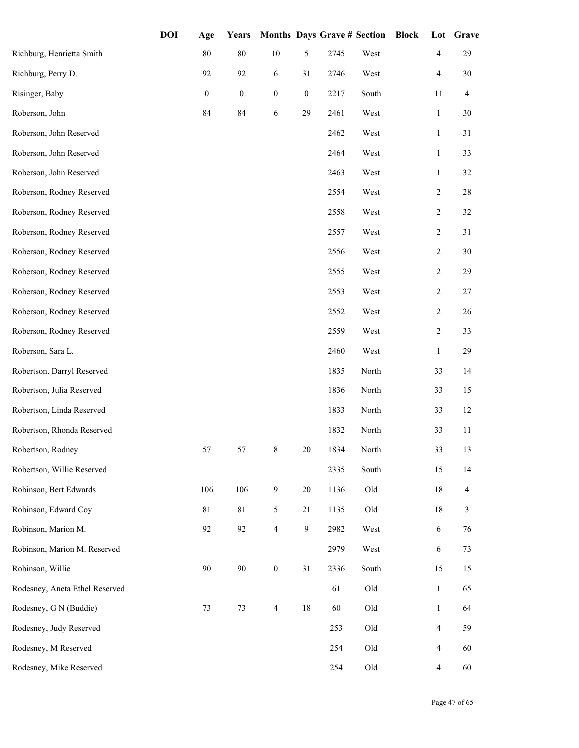|                                | <b>DOI</b> | Age              | Years            |                  |                  | <b>Months Days Grave # Section</b> |                | <b>Block</b> |                         | Lot Grave      |
|--------------------------------|------------|------------------|------------------|------------------|------------------|------------------------------------|----------------|--------------|-------------------------|----------------|
| Richburg, Henrietta Smith      |            | $80\,$           | $80\,$           | $10\,$           | 5                | 2745                               | West           |              | $\overline{\mathbf{4}}$ | 29             |
| Richburg, Perry D.             |            | 92               | 92               | $\sqrt{6}$       | 31               | 2746                               | West           |              | 4                       | $30\,$         |
| Risinger, Baby                 |            | $\boldsymbol{0}$ | $\boldsymbol{0}$ | $\boldsymbol{0}$ | $\boldsymbol{0}$ | 2217                               | South          |              | 11                      | $\overline{4}$ |
| Roberson, John                 |            | 84               | 84               | $\sqrt{6}$       | 29               | 2461                               | West           |              | $\mathbf{1}$            | $30\,$         |
| Roberson, John Reserved        |            |                  |                  |                  |                  | 2462                               | West           |              | $\mathbf{1}$            | 31             |
| Roberson, John Reserved        |            |                  |                  |                  |                  | 2464                               | West           |              | $\mathbf{1}$            | 33             |
| Roberson, John Reserved        |            |                  |                  |                  |                  | 2463                               | West           |              | $\mathbf{1}$            | 32             |
| Roberson, Rodney Reserved      |            |                  |                  |                  |                  | 2554                               | West           |              | 2                       | $28\,$         |
| Roberson, Rodney Reserved      |            |                  |                  |                  |                  | 2558                               | West           |              | 2                       | 32             |
| Roberson, Rodney Reserved      |            |                  |                  |                  |                  | 2557                               | West           |              | 2                       | 31             |
| Roberson, Rodney Reserved      |            |                  |                  |                  |                  | 2556                               | West           |              | 2                       | $30\,$         |
| Roberson, Rodney Reserved      |            |                  |                  |                  |                  | 2555                               | West           |              | $\overline{c}$          | 29             |
| Roberson, Rodney Reserved      |            |                  |                  |                  |                  | 2553                               | West           |              | $\overline{c}$          | $27\,$         |
| Roberson, Rodney Reserved      |            |                  |                  |                  |                  | 2552                               | West           |              | 2                       | $26\,$         |
| Roberson, Rodney Reserved      |            |                  |                  |                  |                  | 2559                               | West           |              | 2                       | 33             |
| Roberson, Sara L.              |            |                  |                  |                  |                  | 2460                               | West           |              | $\mathbf{1}$            | 29             |
| Robertson, Darryl Reserved     |            |                  |                  |                  |                  | 1835                               | North          |              | 33                      | 14             |
| Robertson, Julia Reserved      |            |                  |                  |                  |                  | 1836                               | North          |              | 33                      | 15             |
| Robertson, Linda Reserved      |            |                  |                  |                  |                  | 1833                               | North          |              | 33                      | 12             |
| Robertson, Rhonda Reserved     |            |                  |                  |                  |                  | 1832                               | North          |              | 33                      | $11\,$         |
| Robertson, Rodney              |            | 57               | 57               | $\,8\,$          | 20               | 1834                               | North          |              | 33                      | 13             |
| Robertson, Willie Reserved     |            |                  |                  |                  |                  | 2335                               | South          |              | 15                      | 14             |
| Robinson, Bert Edwards         |            | 106              | 106              | $\overline{9}$   | $20\,$           | 1136                               | Old            |              | $18\,$                  | $\overline{4}$ |
| Robinson, Edward Coy           |            | 81               | $81\,$           | 5                | 21               | 1135                               | Old            |              | $18\,$                  | 3              |
| Robinson, Marion M.            |            | 92               | 92               | $\overline{4}$   | $\overline{9}$   | 2982                               | West           |              | 6                       | 76             |
| Robinson, Marion M. Reserved   |            |                  |                  |                  |                  | 2979                               | West           |              | 6                       | $73\,$         |
| Robinson, Willie               |            | 90               | 90               | $\boldsymbol{0}$ | 31               | 2336                               | South          |              | 15                      | 15             |
| Rodesney, Aneta Ethel Reserved |            |                  |                  |                  |                  | 61                                 | Old            |              | $\mathbf{1}$            | 65             |
| Rodesney, G N (Buddie)         |            | 73               | 73               | $\overline{4}$   | $18\,$           | 60                                 | Old            |              | $\mathbf{1}$            | 64             |
| Rodesney, Judy Reserved        |            |                  |                  |                  |                  | 253                                | Old            |              | 4                       | 59             |
| Rodesney, M Reserved           |            |                  |                  |                  |                  | 254                                | Old            |              | 4                       | 60             |
| Rodesney, Mike Reserved        |            |                  |                  |                  |                  | 254                                | $\mathrm{Old}$ |              | 4                       | 60             |
|                                |            |                  |                  |                  |                  |                                    |                |              |                         |                |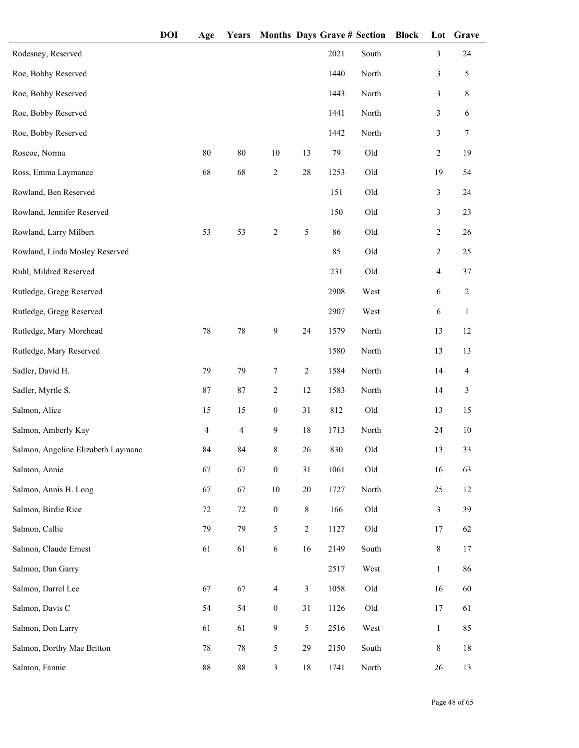|                                    | <b>DOI</b> | Age    | Years                    |                  |                | <b>Months Days Grave # Section</b> |                | <b>Block</b> |                | Lot Grave      |
|------------------------------------|------------|--------|--------------------------|------------------|----------------|------------------------------------|----------------|--------------|----------------|----------------|
| Rodesney, Reserved                 |            |        |                          |                  |                | 2021                               | South          |              | $\mathfrak{Z}$ | $24\,$         |
| Roe, Bobby Reserved                |            |        |                          |                  |                | 1440                               | North          |              | $\mathfrak{Z}$ | 5              |
| Roe, Bobby Reserved                |            |        |                          |                  |                | 1443                               | North          |              | $\mathfrak{Z}$ | $\,$ 8 $\,$    |
| Roe, Bobby Reserved                |            |        |                          |                  |                | 1441                               | North          |              | $\mathfrak{Z}$ | 6              |
| Roe, Bobby Reserved                |            |        |                          |                  |                | 1442                               | North          |              | $\mathfrak{Z}$ | $\tau$         |
| Roscoe, Norma                      |            | 80     | $80\,$                   | $10\,$           | 13             | 79                                 | Old            |              | $\overline{2}$ | 19             |
| Ross, Emma Laymance                |            | 68     | 68                       | $\sqrt{2}$       | $28\,$         | 1253                               | Old            |              | 19             | 54             |
| Rowland, Ben Reserved              |            |        |                          |                  |                | 151                                | $\mathrm{Old}$ |              | $\mathfrak{Z}$ | 24             |
| Rowland, Jennifer Reserved         |            |        |                          |                  |                | 150                                | $\mathrm{Old}$ |              | $\mathfrak{Z}$ | 23             |
| Rowland, Larry Milbert             |            | 53     | 53                       | $\sqrt{2}$       | 5              | 86                                 | Old            |              | $\overline{2}$ | $26\,$         |
| Rowland, Linda Mosley Reserved     |            |        |                          |                  |                | 85                                 | Old            |              | $\overline{2}$ | $25\,$         |
| Ruhl, Mildred Reserved             |            |        |                          |                  |                | 231                                | Old            |              | $\overline{4}$ | 37             |
| Rutledge, Gregg Reserved           |            |        |                          |                  |                | 2908                               | West           |              | 6              | $\sqrt{2}$     |
| Rutledge, Gregg Reserved           |            |        |                          |                  |                | 2907                               | West           |              | 6              | $\mathbf{1}$   |
| Rutledge, Mary Morehead            |            | $78\,$ | $78\,$                   | $\overline{9}$   | 24             | 1579                               | North          |              | 13             | 12             |
| Rutledge, Mary Reserved            |            |        |                          |                  |                | 1580                               | North          |              | 13             | 13             |
| Sadler, David H.                   |            | 79     | 79                       | $\boldsymbol{7}$ | $\sqrt{2}$     | 1584                               | North          |              | 14             | $\overline{4}$ |
| Sadler, Myrtle S.                  |            | 87     | $87\,$                   | $\boldsymbol{2}$ | 12             | 1583                               | North          |              | 14             | 3              |
| Salmon, Alice                      |            | 15     | 15                       | $\boldsymbol{0}$ | 31             | 812                                | $\mathrm{Old}$ |              | 13             | 15             |
| Salmon, Amberly Kay                |            | 4      | $\overline{\mathcal{A}}$ | 9                | 18             | 1713                               | North          |              | 24             | 10             |
| Salmon, Angeline Elizabeth Laymanc |            | 84     | 84                       | 8                | $26\,$         | 830                                | Old            |              | 13             | 33             |
| Salmon, Annie                      |            | 67     | 67                       | $\boldsymbol{0}$ | 31             | 1061                               | Old            |              | 16             | 63             |
| Salmon, Annis H. Long              |            | 67     | 67                       | $10\,$           | $20\,$         | 1727                               | North          |              | 25             | 12             |
| Salmon, Birdie Rice                |            | 72     | $72\,$                   | $\boldsymbol{0}$ | 8              | 166                                | Old            |              | $\mathfrak{Z}$ | 39             |
| Salmon, Callie                     |            | 79     | 79                       | 5                | $\sqrt{2}$     | 1127                               | Old            |              | 17             | 62             |
| Salmon, Claude Ernest              |            | 61     | 61                       | $\sqrt{6}$       | 16             | 2149                               | South          |              | $8\,$          | 17             |
| Salmon, Dan Garry                  |            |        |                          |                  |                | 2517                               | West           |              | $\,1$          | 86             |
| Salmon, Darrel Lee                 |            | 67     | 67                       | $\overline{4}$   | $\mathfrak{Z}$ | 1058                               | Old            |              | 16             | 60             |
| Salmon, Davis C                    |            | 54     | 54                       | $\boldsymbol{0}$ | 31             | 1126                               | Old            |              | 17             | 61             |
| Salmon, Don Larry                  |            | 61     | 61                       | 9                | $\mathfrak s$  | 2516                               | West           |              | $\mathbf{1}$   | 85             |
| Salmon, Dorthy Mae Britton         |            | $78\,$ | $78\,$                   | $\mathfrak s$    | 29             | 2150                               | South          |              | $8\,$          | 18             |
| Salmon, Fannie                     |            | $88\,$ | $88\,$                   | $\mathfrak{Z}$   | $18\,$         | 1741                               | North          |              | 26             | 13             |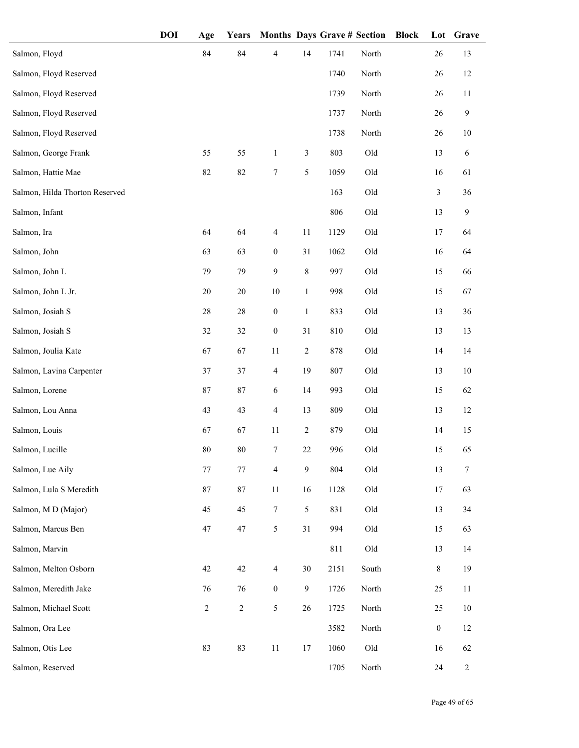|                                | <b>DOI</b> | Age            | Years      |                  |                | <b>Months Days Grave # Section</b> |                | <b>Block</b> |                  | Lot Grave    |
|--------------------------------|------------|----------------|------------|------------------|----------------|------------------------------------|----------------|--------------|------------------|--------------|
| Salmon, Floyd                  |            | $\bf 84$       | $\bf 84$   | $\overline{4}$   | 14             | 1741                               | North          |              | $26\,$           | 13           |
| Salmon, Floyd Reserved         |            |                |            |                  |                | 1740                               | North          |              | 26               | $12\,$       |
| Salmon, Floyd Reserved         |            |                |            |                  |                | 1739                               | North          |              | $26\,$           | $11\,$       |
| Salmon, Floyd Reserved         |            |                |            |                  |                | 1737                               | North          |              | $26\,$           | $\mathbf{9}$ |
| Salmon, Floyd Reserved         |            |                |            |                  |                | 1738                               | North          |              | 26               | $10\,$       |
| Salmon, George Frank           |            | 55             | 55         | $\mathbf{1}$     | $\mathfrak{Z}$ | 803                                | $\mathrm{Old}$ |              | 13               | $\sqrt{6}$   |
| Salmon, Hattie Mae             |            | 82             | $82\,$     | $\boldsymbol{7}$ | 5              | 1059                               | Old            |              | 16               | 61           |
| Salmon, Hilda Thorton Reserved |            |                |            |                  |                | 163                                | $\mathrm{Old}$ |              | 3                | 36           |
| Salmon, Infant                 |            |                |            |                  |                | 806                                | $\mathrm{Old}$ |              | 13               | $\mathbf{9}$ |
| Salmon, Ira                    |            | 64             | 64         | $\overline{4}$   | $11\,$         | 1129                               | $\mathrm{Old}$ |              | 17               | 64           |
| Salmon, John                   |            | 63             | 63         | $\boldsymbol{0}$ | 31             | 1062                               | Old            |              | 16               | 64           |
| Salmon, John L                 |            | 79             | 79         | 9                | $\,8\,$        | 997                                | $\mathrm{Old}$ |              | 15               | 66           |
| Salmon, John L Jr.             |            | $20\,$         | $20\,$     | $10\,$           | $\mathbf{1}$   | 998                                | $\mathrm{Old}$ |              | 15               | 67           |
| Salmon, Josiah S               |            | $28\,$         | $28\,$     | $\boldsymbol{0}$ | $\mathbf{1}$   | 833                                | $\mathrm{Old}$ |              | 13               | 36           |
| Salmon, Josiah S               |            | 32             | $32\,$     | $\boldsymbol{0}$ | 31             | 810                                | $\mathrm{Old}$ |              | 13               | 13           |
| Salmon, Joulia Kate            |            | 67             | 67         | $11\,$           | $\sqrt{2}$     | 878                                | $\mathrm{Old}$ |              | 14               | $14$         |
| Salmon, Lavina Carpenter       |            | $37\,$         | $37\,$     | $\overline{4}$   | 19             | 807                                | $\mathrm{Old}$ |              | 13               | $10\,$       |
| Salmon, Lorene                 |            | 87             | $87\,$     | 6                | 14             | 993                                | $\mathrm{Old}$ |              | 15               | 62           |
| Salmon, Lou Anna               |            | 43             | 43         | $\overline{4}$   | 13             | 809                                | $\mathrm{Old}$ |              | 13               | 12           |
| Salmon, Louis                  |            | 67             | 67         | $11\,$           | $\sqrt{2}$     | 879                                | $\mathrm{Old}$ |              | 14               | 15           |
| Salmon, Lucille                |            | $80\,$         | $80\,$     | $\boldsymbol{7}$ | $22\,$         | 996                                | Old            |              | 15               | 65           |
| Salmon, Lue Aily               |            | $77\,$         | $77\,$     | $\overline{4}$   | 9              | 804                                | Old            |              | 13               | 7            |
| Salmon, Lula S Meredith        |            | $87\,$         | $87\,$     | 11               | 16             | 1128                               | Old            |              | 17               | 63           |
| Salmon, M D (Major)            |            | 45             | 45         | $\boldsymbol{7}$ | 5              | 831                                | Old            |              | 13               | 34           |
| Salmon, Marcus Ben             |            | 47             | 47         | $\mathfrak{S}$   | 31             | 994                                | Old            |              | 15               | 63           |
| Salmon, Marvin                 |            |                |            |                  |                | 811                                | Old            |              | 13               | 14           |
| Salmon, Melton Osborn          |            | 42             | 42         | $\overline{4}$   | $30\,$         | 2151                               | South          |              | 8                | 19           |
| Salmon, Meredith Jake          |            | 76             | 76         | $\boldsymbol{0}$ | 9              | 1726                               | North          |              | 25               | $11\,$       |
| Salmon, Michael Scott          |            | $\overline{c}$ | $\sqrt{2}$ | $\mathfrak{S}$   | $26\,$         | 1725                               | North          |              | 25               | $10\,$       |
| Salmon, Ora Lee                |            |                |            |                  |                | 3582                               | North          |              | $\boldsymbol{0}$ | $12\,$       |
| Salmon, Otis Lee               |            | 83             | 83         | 11               | 17             | 1060                               | Old            |              | 16               | 62           |
| Salmon, Reserved               |            |                |            |                  |                | 1705                               | North          |              | 24               | $\sqrt{2}$   |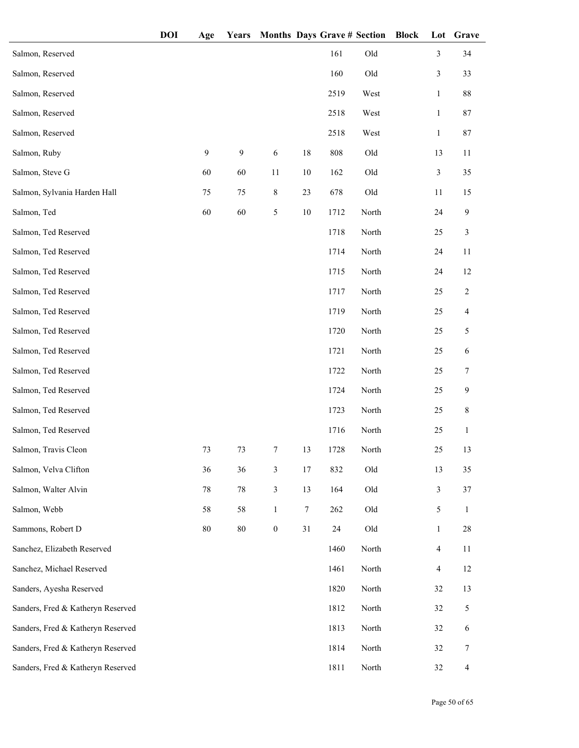|                                   | <b>DOI</b> | Age          | Years        |                  |                  |      | Months Days Grave # Section | <b>Block</b> |                | Lot Grave      |
|-----------------------------------|------------|--------------|--------------|------------------|------------------|------|-----------------------------|--------------|----------------|----------------|
| Salmon, Reserved                  |            |              |              |                  |                  | 161  | Old                         |              | $\mathfrak{Z}$ | 34             |
| Salmon, Reserved                  |            |              |              |                  |                  | 160  | Old                         |              | $\mathfrak{Z}$ | 33             |
| Salmon, Reserved                  |            |              |              |                  |                  | 2519 | West                        |              | $\mathbf{1}$   | 88             |
| Salmon, Reserved                  |            |              |              |                  |                  | 2518 | West                        |              | $\mathbf{1}$   | $87\,$         |
| Salmon, Reserved                  |            |              |              |                  |                  | 2518 | West                        |              | $\mathbf{1}$   | 87             |
| Salmon, Ruby                      |            | $\mathbf{9}$ | $\mathbf{9}$ | $\sqrt{6}$       | 18               | 808  | Old                         |              | 13             | $11\,$         |
| Salmon, Steve G                   |            | 60           | 60           | 11               | $10\,$           | 162  | Old                         |              | $\mathfrak{Z}$ | 35             |
| Salmon, Sylvania Harden Hall      |            | 75           | 75           | $\,8\,$          | 23               | 678  | Old                         |              | 11             | 15             |
| Salmon, Ted                       |            | 60           | 60           | $\sqrt{5}$       | $10\,$           | 1712 | North                       |              | 24             | $\overline{9}$ |
| Salmon, Ted Reserved              |            |              |              |                  |                  | 1718 | North                       |              | 25             | 3              |
| Salmon, Ted Reserved              |            |              |              |                  |                  | 1714 | North                       |              | 24             | 11             |
| Salmon, Ted Reserved              |            |              |              |                  |                  | 1715 | North                       |              | 24             | 12             |
| Salmon, Ted Reserved              |            |              |              |                  |                  | 1717 | North                       |              | 25             | $\sqrt{2}$     |
| Salmon, Ted Reserved              |            |              |              |                  |                  | 1719 | North                       |              | 25             | 4              |
| Salmon, Ted Reserved              |            |              |              |                  |                  | 1720 | North                       |              | 25             | 5              |
| Salmon, Ted Reserved              |            |              |              |                  |                  | 1721 | North                       |              | 25             | 6              |
| Salmon, Ted Reserved              |            |              |              |                  |                  | 1722 | North                       |              | 25             | 7              |
| Salmon, Ted Reserved              |            |              |              |                  |                  | 1724 | North                       |              | 25             | 9              |
| Salmon, Ted Reserved              |            |              |              |                  |                  | 1723 | North                       |              | 25             | 8              |
| Salmon, Ted Reserved              |            |              |              |                  |                  | 1716 | North                       |              | 25             | $\mathbf{1}$   |
| Salmon, Travis Cleon              |            | 73           | 73           | 7                | 13               | 1728 | North                       |              | 25             | 13             |
| Salmon, Velva Clifton             |            | 36           | 36           | 3                | 17               | 832  | Old                         |              | 13             | 35             |
| Salmon, Walter Alvin              |            | 78           | $78\,$       | 3                | 13               | 164  | Old                         |              | $\mathfrak{Z}$ | $37\,$         |
| Salmon, Webb                      |            | 58           | 58           | $\mathbf{1}$     | $\boldsymbol{7}$ | 262  | Old                         |              | 5              | $\mathbf{1}$   |
| Sammons, Robert D                 |            | $80\,$       | $80\,$       | $\boldsymbol{0}$ | 31               | 24   | Old                         |              | $\mathbf{1}$   | 28             |
| Sanchez, Elizabeth Reserved       |            |              |              |                  |                  | 1460 | North                       |              | $\overline{4}$ | $11\,$         |
| Sanchez, Michael Reserved         |            |              |              |                  |                  | 1461 | North                       |              | $\overline{4}$ | 12             |
| Sanders, Ayesha Reserved          |            |              |              |                  |                  | 1820 | North                       |              | 32             | 13             |
| Sanders, Fred & Katheryn Reserved |            |              |              |                  |                  | 1812 | North                       |              | 32             | 5              |
| Sanders, Fred & Katheryn Reserved |            |              |              |                  |                  | 1813 | North                       |              | 32             | 6              |
| Sanders, Fred & Katheryn Reserved |            |              |              |                  |                  | 1814 | North                       |              | 32             | 7              |
| Sanders, Fred & Katheryn Reserved |            |              |              |                  |                  | 1811 | North                       |              | 32             | 4              |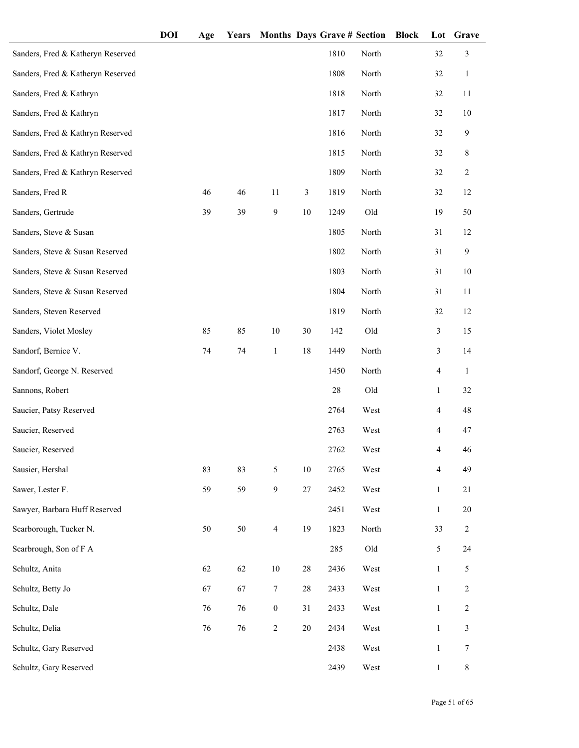|                                   | <b>DOI</b> | Age    | Years  |                  |        |        | Months Days Grave # Section | <b>Block</b> |              | Lot Grave      |
|-----------------------------------|------------|--------|--------|------------------|--------|--------|-----------------------------|--------------|--------------|----------------|
| Sanders, Fred & Katheryn Reserved |            |        |        |                  |        | 1810   | North                       |              | 32           | 3              |
| Sanders, Fred & Katheryn Reserved |            |        |        |                  |        | 1808   | North                       |              | 32           | $\mathbf{1}$   |
| Sanders, Fred & Kathryn           |            |        |        |                  |        | 1818   | North                       |              | 32           | 11             |
| Sanders, Fred & Kathryn           |            |        |        |                  |        | 1817   | North                       |              | 32           | $10\,$         |
| Sanders, Fred & Kathryn Reserved  |            |        |        |                  |        | 1816   | North                       |              | 32           | 9              |
| Sanders, Fred & Kathryn Reserved  |            |        |        |                  |        | 1815   | North                       |              | 32           | 8              |
| Sanders, Fred & Kathryn Reserved  |            |        |        |                  |        | 1809   | North                       |              | 32           | $\sqrt{2}$     |
| Sanders, Fred R                   |            | 46     | 46     | 11               | 3      | 1819   | North                       |              | 32           | 12             |
| Sanders, Gertrude                 |            | 39     | 39     | 9                | $10\,$ | 1249   | Old                         |              | 19           | 50             |
| Sanders, Steve & Susan            |            |        |        |                  |        | 1805   | North                       |              | 31           | 12             |
| Sanders, Steve & Susan Reserved   |            |        |        |                  |        | 1802   | North                       |              | 31           | $\overline{9}$ |
| Sanders, Steve & Susan Reserved   |            |        |        |                  |        | 1803   | North                       |              | 31           | 10             |
| Sanders, Steve & Susan Reserved   |            |        |        |                  |        | 1804   | North                       |              | 31           | 11             |
| Sanders, Steven Reserved          |            |        |        |                  |        | 1819   | North                       |              | 32           | 12             |
| Sanders, Violet Mosley            |            | 85     | 85     | $10\,$           | $30\,$ | 142    | Old                         |              | 3            | 15             |
| Sandorf, Bernice V.               |            | 74     | 74     | $\mathbf{1}$     | $18\,$ | 1449   | North                       |              | 3            | 14             |
| Sandorf, George N. Reserved       |            |        |        |                  |        | 1450   | North                       |              | 4            | $\mathbf{1}$   |
| Sannons, Robert                   |            |        |        |                  |        | $28\,$ | Old                         |              | $\mathbf{1}$ | 32             |
| Saucier, Patsy Reserved           |            |        |        |                  |        | 2764   | West                        |              | 4            | 48             |
| Saucier, Reserved                 |            |        |        |                  |        | 2763   | West                        |              | 4            | $47\,$         |
| Saucier, Reserved                 |            |        |        |                  |        | 2762   | West                        |              | 4            | 46             |
| Sausier, Hershal                  |            | 83     | 83     | 5                | $10\,$ | 2765   | West                        |              | 4            | 49             |
| Sawer, Lester F.                  |            | 59     | 59     | $\overline{9}$   | $27\,$ | 2452   | West                        |              | $\mathbf{1}$ | 21             |
| Sawyer, Barbara Huff Reserved     |            |        |        |                  |        | 2451   | West                        |              | $\mathbf{1}$ | 20             |
| Scarborough, Tucker N.            |            | $50\,$ | 50     | $\overline{4}$   | 19     | 1823   | North                       |              | 33           | $\overline{c}$ |
| Scarbrough, Son of F A            |            |        |        |                  |        | 285    | Old                         |              | 5            | 24             |
| Schultz, Anita                    |            | 62     | 62     | $10\,$           | $28\,$ | 2436   | West                        |              | $\mathbf{1}$ | 5              |
| Schultz, Betty Jo                 |            | 67     | 67     | $\boldsymbol{7}$ | $28\,$ | 2433   | West                        |              | $\mathbf{1}$ | $\overline{c}$ |
| Schultz, Dale                     |            | 76     | 76     | $\boldsymbol{0}$ | 31     | 2433   | West                        |              | $\mathbf{1}$ | $\overline{c}$ |
| Schultz, Delia                    |            | 76     | $76\,$ | $\overline{c}$   | $20\,$ | 2434   | West                        |              | $\mathbf{1}$ | 3              |
| Schultz, Gary Reserved            |            |        |        |                  |        | 2438   | West                        |              | $\mathbf{1}$ | $\tau$         |
| Schultz, Gary Reserved            |            |        |        |                  |        | 2439   | West                        |              | $\mathbf{1}$ | 8              |
|                                   |            |        |        |                  |        |        |                             |              |              |                |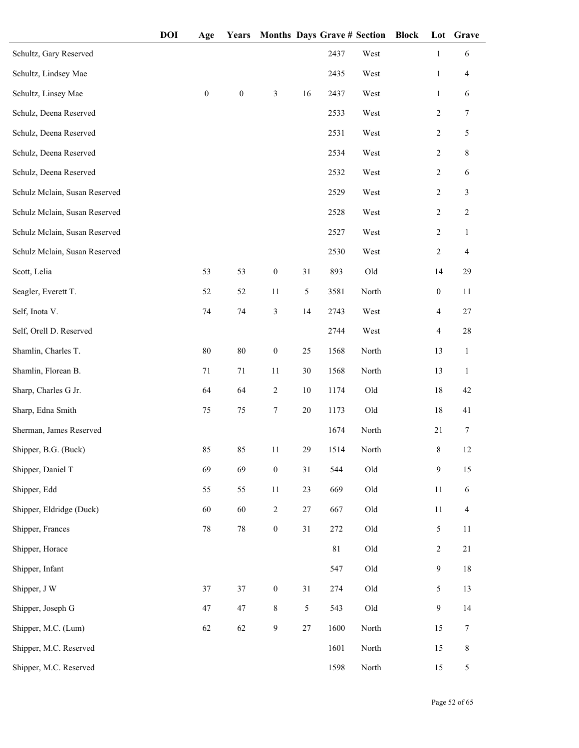|                               | <b>DOI</b> | Age              | Years            |                  |        | <b>Months Days Grave # Section</b> |                | <b>Block</b> |                  | Lot Grave        |
|-------------------------------|------------|------------------|------------------|------------------|--------|------------------------------------|----------------|--------------|------------------|------------------|
| Schultz, Gary Reserved        |            |                  |                  |                  |        | 2437                               | West           |              | $\mathbf{1}$     | 6                |
| Schultz, Lindsey Mae          |            |                  |                  |                  |        | 2435                               | West           |              | $\mathbf{1}$     | 4                |
| Schultz, Linsey Mae           |            | $\boldsymbol{0}$ | $\boldsymbol{0}$ | $\mathfrak{Z}$   | 16     | 2437                               | West           |              | $\mathbf{1}$     | 6                |
| Schulz, Deena Reserved        |            |                  |                  |                  |        | 2533                               | West           |              | $\overline{c}$   | 7                |
| Schulz, Deena Reserved        |            |                  |                  |                  |        | 2531                               | West           |              | $\overline{c}$   | 5                |
| Schulz, Deena Reserved        |            |                  |                  |                  |        | 2534                               | West           |              | $\overline{2}$   | 8                |
| Schulz, Deena Reserved        |            |                  |                  |                  |        | 2532                               | West           |              | $\overline{c}$   | 6                |
| Schulz Mclain, Susan Reserved |            |                  |                  |                  |        | 2529                               | West           |              | $\overline{c}$   | 3                |
| Schulz Mclain, Susan Reserved |            |                  |                  |                  |        | 2528                               | West           |              | $\overline{2}$   | $\overline{c}$   |
| Schulz Mclain, Susan Reserved |            |                  |                  |                  |        | 2527                               | West           |              | $\overline{2}$   | 1                |
| Schulz Mclain, Susan Reserved |            |                  |                  |                  |        | 2530                               | West           |              | $\overline{2}$   | $\overline{4}$   |
| Scott, Lelia                  |            | 53               | 53               | $\boldsymbol{0}$ | 31     | 893                                | $\mathrm{Old}$ |              | 14               | 29               |
| Seagler, Everett T.           |            | 52               | 52               | $11\,$           | 5      | 3581                               | North          |              | $\boldsymbol{0}$ | $11\,$           |
| Self, Inota V.                |            | $74\,$           | 74               | 3                | 14     | 2743                               | West           |              | $\overline{4}$   | $27\,$           |
| Self, Orell D. Reserved       |            |                  |                  |                  |        | 2744                               | West           |              | $\overline{4}$   | 28               |
| Shamlin, Charles T.           |            | $80\,$           | $80\,$           | $\boldsymbol{0}$ | $25\,$ | 1568                               | North          |              | 13               | $\mathbf{1}$     |
| Shamlin, Florean B.           |            | 71               | 71               | $11\,$           | 30     | 1568                               | North          |              | 13               | $\mathbf{1}$     |
| Sharp, Charles G Jr.          |            | 64               | 64               | $\boldsymbol{2}$ | $10\,$ | 1174                               | Old            |              | $18\,$           | 42               |
| Sharp, Edna Smith             |            | $75\,$           | $75\,$           | $\tau$           | $20\,$ | 1173                               | Old            |              | $18\,$           | 41               |
| Sherman, James Reserved       |            |                  |                  |                  |        | 1674                               | North          |              | 21               | $\boldsymbol{7}$ |
| Shipper, B.G. (Buck)          |            | 85               | 85               | 11               | 29     | 1514                               | North          |              | 8                | 12               |
| Shipper, Daniel T             |            | 69               | 69               | $\boldsymbol{0}$ | 31     | 544                                | Old            |              | $\overline{9}$   | 15               |
| Shipper, Edd                  |            | 55               | 55               | 11               | 23     | 669                                | Old            |              | $11\,$           | 6                |
| Shipper, Eldridge (Duck)      |            | 60               | 60               | $\overline{c}$   | $27\,$ | 667                                | Old            |              | $11\,$           | $\overline{4}$   |
| Shipper, Frances              |            | $78\,$           | $78\,$           | $\boldsymbol{0}$ | 31     | 272                                | Old            |              | 5                | 11               |
| Shipper, Horace               |            |                  |                  |                  |        | $8\sqrt{1}$                        | Old            |              | $\overline{2}$   | $21\,$           |
| Shipper, Infant               |            |                  |                  |                  |        | 547                                | $\mathrm{Old}$ |              | $\overline{9}$   | 18               |
| Shipper, J W                  |            | 37               | 37               | $\boldsymbol{0}$ | 31     | 274                                | Old            |              | 5                | 13               |
| Shipper, Joseph G             |            | 47               | 47               | $8\,$            | 5      | 543                                | Old            |              | $\overline{9}$   | 14               |
| Shipper, M.C. (Lum)           |            | 62               | 62               | $\overline{9}$   | $27\,$ | 1600                               | North          |              | 15               | $\tau$           |
| Shipper, M.C. Reserved        |            |                  |                  |                  |        | 1601                               | North          |              | 15               | $\,$ $\,$        |
| Shipper, M.C. Reserved        |            |                  |                  |                  |        | 1598                               | North          |              | 15               | 5                |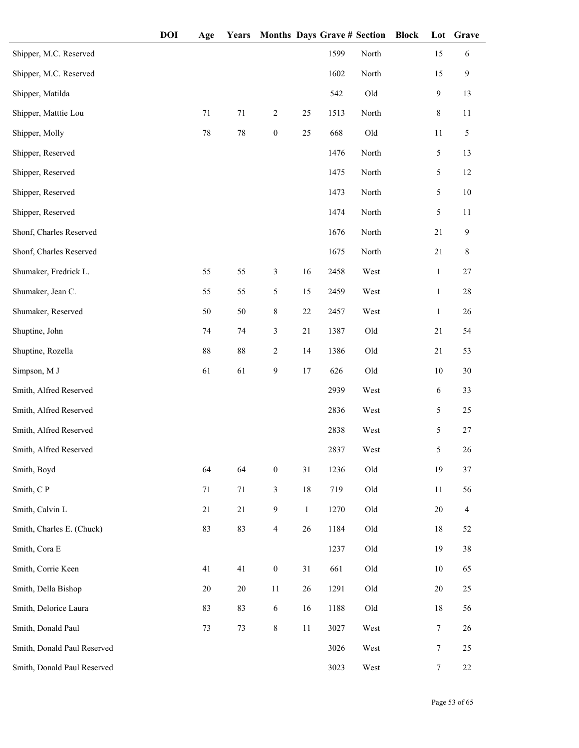|                             | <b>DOI</b> | Age    | Years  |                  |              | <b>Months Days Grave # Section</b> |                       | <b>Block</b> |                  | Lot Grave      |
|-----------------------------|------------|--------|--------|------------------|--------------|------------------------------------|-----------------------|--------------|------------------|----------------|
| Shipper, M.C. Reserved      |            |        |        |                  |              | 1599                               | North                 |              | 15               | $\sqrt{6}$     |
| Shipper, M.C. Reserved      |            |        |        |                  |              | 1602                               | North                 |              | 15               | $\mathbf{9}$   |
| Shipper, Matilda            |            |        |        |                  |              | 542                                | $\mathrm{Old}$        |              | 9                | 13             |
| Shipper, Matttie Lou        |            | $71\,$ | 71     | $\overline{c}$   | 25           | 1513                               | North                 |              | 8                | $11\,$         |
| Shipper, Molly              |            | $78\,$ | $78\,$ | $\boldsymbol{0}$ | 25           | 668                                | $\mathrm{Old}$        |              | 11               | 5              |
| Shipper, Reserved           |            |        |        |                  |              | 1476                               | North                 |              | 5                | 13             |
| Shipper, Reserved           |            |        |        |                  |              | 1475                               | North                 |              | 5                | $12\,$         |
| Shipper, Reserved           |            |        |        |                  |              | 1473                               | North                 |              | 5                | $10\,$         |
| Shipper, Reserved           |            |        |        |                  |              | 1474                               | North                 |              | 5                | $11\,$         |
| Shonf, Charles Reserved     |            |        |        |                  |              | 1676                               | North                 |              | $21\,$           | 9              |
| Shonf, Charles Reserved     |            |        |        |                  |              | 1675                               | North                 |              | 21               | $8\,$          |
| Shumaker, Fredrick L.       |            | 55     | 55     | $\mathfrak{Z}$   | 16           | 2458                               | West                  |              | $\,1$            | $27\,$         |
| Shumaker, Jean C.           |            | 55     | 55     | 5                | 15           | 2459                               | West                  |              | $\mathbf{1}$     | $28\,$         |
| Shumaker, Reserved          |            | $50\,$ | $50\,$ | 8                | 22           | 2457                               | $\operatorname{West}$ |              | $\mathbf{1}$     | $26\,$         |
| Shuptine, John              |            | 74     | 74     | 3                | 21           | 1387                               | $\mathrm{Old}$        |              | 21               | 54             |
| Shuptine, Rozella           |            | $88\,$ | $88\,$ | $\overline{c}$   | 14           | 1386                               | Old                   |              | 21               | 53             |
| Simpson, M J                |            | 61     | 61     | 9                | 17           | 626                                | $\mathrm{Old}$        |              | $10\,$           | $30\,$         |
| Smith, Alfred Reserved      |            |        |        |                  |              | 2939                               | West                  |              | 6                | 33             |
| Smith, Alfred Reserved      |            |        |        |                  |              | 2836                               | West                  |              | 5                | $25\,$         |
| Smith, Alfred Reserved      |            |        |        |                  |              | 2838                               | West                  |              | 5                | $27\,$         |
| Smith, Alfred Reserved      |            |        |        |                  |              | 2837                               | West                  |              | 5                | $26\,$         |
| Smith, Boyd                 |            | 64     | 64     | $\boldsymbol{0}$ | 31           | 1236                               | Old                   |              | 19               | 37             |
| Smith, CP                   |            | 71     | 71     | $\mathfrak{Z}$   | $18\,$       | 719                                | $\mathrm{Old}$        |              | 11               | 56             |
| Smith, Calvin L             |            | 21     | $21\,$ | 9                | $\mathbf{1}$ | 1270                               | Old                   |              | $20\,$           | $\overline{4}$ |
| Smith, Charles E. (Chuck)   |            | 83     | 83     | $\overline{4}$   | $26\,$       | 1184                               | $\mathrm{Old}$        |              | $18\,$           | 52             |
| Smith, Cora E               |            |        |        |                  |              | 1237                               | $\mathrm{Old}$        |              | 19               | $38\,$         |
| Smith, Corrie Keen          |            | 41     | 41     | $\boldsymbol{0}$ | 31           | 661                                | $\mathrm{Old}$        |              | $10\,$           | 65             |
| Smith, Della Bishop         |            | $20\,$ | $20\,$ | $11\,$           | $26\,$       | 1291                               | Old                   |              | $20\,$           | 25             |
| Smith, Delorice Laura       |            | 83     | 83     | 6                | 16           | 1188                               | $\mathrm{Old}$        |              | $18\,$           | 56             |
| Smith, Donald Paul          |            | 73     | 73     | $\,$ 8 $\,$      | 11           | 3027                               | West                  |              | 7                | $26\,$         |
| Smith, Donald Paul Reserved |            |        |        |                  |              | 3026                               | West                  |              | $\boldsymbol{7}$ | 25             |
| Smith, Donald Paul Reserved |            |        |        |                  |              | 3023                               | West                  |              | 7                | $22\,$         |
|                             |            |        |        |                  |              |                                    |                       |              |                  |                |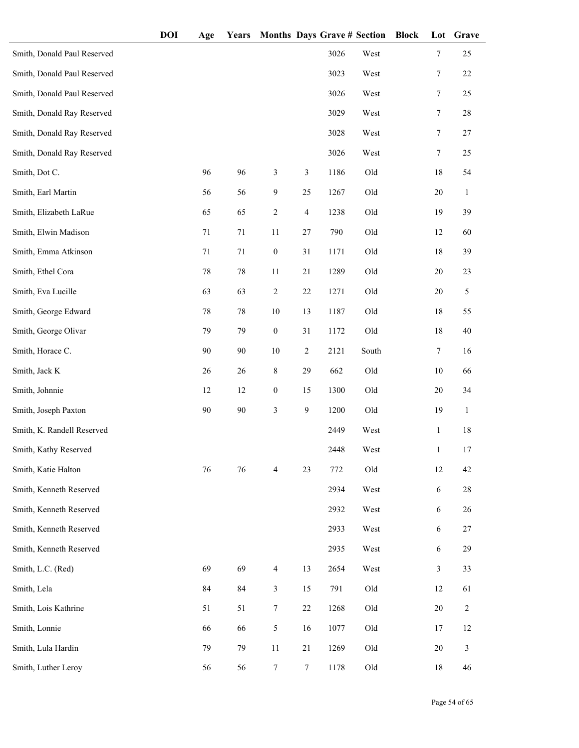|                             | <b>DOI</b> | Age    | Years    |                  |                |      | Months Days Grave # Section | <b>Block</b> |                  | Lot Grave      |
|-----------------------------|------------|--------|----------|------------------|----------------|------|-----------------------------|--------------|------------------|----------------|
| Smith, Donald Paul Reserved |            |        |          |                  |                | 3026 | West                        |              | $\tau$           | $25\,$         |
| Smith, Donald Paul Reserved |            |        |          |                  |                | 3023 | West                        |              | $\tau$           | $22\,$         |
| Smith, Donald Paul Reserved |            |        |          |                  |                | 3026 | West                        |              | 7                | 25             |
| Smith, Donald Ray Reserved  |            |        |          |                  |                | 3029 | West                        |              | $\tau$           | $28\,$         |
| Smith, Donald Ray Reserved  |            |        |          |                  |                | 3028 | West                        |              | 7                | $27\,$         |
| Smith, Donald Ray Reserved  |            |        |          |                  |                | 3026 | West                        |              | $\boldsymbol{7}$ | 25             |
| Smith, Dot C.               |            | 96     | 96       | $\mathfrak{Z}$   | 3              | 1186 | $\mathrm{Old}$              |              | 18               | 54             |
| Smith, Earl Martin          |            | 56     | 56       | $\boldsymbol{9}$ | 25             | 1267 | Old                         |              | 20               | $\mathbf{1}$   |
| Smith, Elizabeth LaRue      |            | 65     | 65       | $\overline{c}$   | $\overline{4}$ | 1238 | Old                         |              | 19               | 39             |
| Smith, Elwin Madison        |            | $71\,$ | 71       | 11               | 27             | 790  | Old                         |              | 12               | 60             |
| Smith, Emma Atkinson        |            | 71     | 71       | $\boldsymbol{0}$ | 31             | 1171 | Old                         |              | 18               | 39             |
| Smith, Ethel Cora           |            | $78\,$ | $78\,$   | 11               | 21             | 1289 | Old                         |              | 20               | $23\,$         |
| Smith, Eva Lucille          |            | 63     | 63       | $\overline{c}$   | $22\,$         | 1271 | Old                         |              | 20               | 5              |
| Smith, George Edward        |            | $78\,$ | $78\,$   | $10\,$           | 13             | 1187 | Old                         |              | 18               | 55             |
| Smith, George Olivar        |            | 79     | 79       | $\boldsymbol{0}$ | 31             | 1172 | Old                         |              | 18               | $40\,$         |
| Smith, Horace C.            |            | 90     | $90\,$   | $10\,$           | $\overline{c}$ | 2121 | South                       |              | $\tau$           | 16             |
| Smith, Jack K               |            | 26     | $26\,$   | 8                | 29             | 662  | $\mathrm{Old}$              |              | 10               | 66             |
| Smith, Johnnie              |            | 12     | 12       | $\boldsymbol{0}$ | 15             | 1300 | Old                         |              | 20               | 34             |
| Smith, Joseph Paxton        |            | 90     | $90\,$   | $\mathfrak{Z}$   | 9              | 1200 | Old                         |              | 19               | $\mathbf{1}$   |
| Smith, K. Randell Reserved  |            |        |          |                  |                | 2449 | West                        |              | $\mathbf{1}$     | $18\,$         |
| Smith, Kathy Reserved       |            |        |          |                  |                | 2448 | West                        |              | 1                | 17             |
| Smith, Katie Halton         |            | 76     | 76       | 4                | 23             | 772  | $\mathrm{Old}$              |              | 12               | 42             |
| Smith, Kenneth Reserved     |            |        |          |                  |                | 2934 | West                        |              | 6                | $28\,$         |
| Smith, Kenneth Reserved     |            |        |          |                  |                | 2932 | West                        |              | 6                | $26\,$         |
| Smith, Kenneth Reserved     |            |        |          |                  |                | 2933 | West                        |              | 6                | $27\,$         |
| Smith, Kenneth Reserved     |            |        |          |                  |                | 2935 | West                        |              | 6                | $29\,$         |
| Smith, L.C. (Red)           |            | 69     | 69       | $\overline{4}$   | 13             | 2654 | West                        |              | 3                | 33             |
| Smith, Lela                 |            | 84     | $\bf 84$ | 3                | 15             | 791  | $\mathrm{Old}$              |              | 12               | 61             |
| Smith, Lois Kathrine        |            | 51     | 51       | 7                | $22\,$         | 1268 | $\mathrm{Old}$              |              | 20               | $\overline{c}$ |
| Smith, Lonnie               |            | 66     | 66       | $\mathfrak{S}$   | 16             | 1077 | $\mathrm{Old}$              |              | 17               | 12             |
| Smith, Lula Hardin          |            | 79     | 79       | 11               | 21             | 1269 | $\mathrm{Old}$              |              | 20               | $\mathfrak{Z}$ |
| Smith, Luther Leroy         |            | 56     | 56       | 7                | $\tau$         | 1178 | $\mathrm{Old}$              |              | $18\,$           | $46\,$         |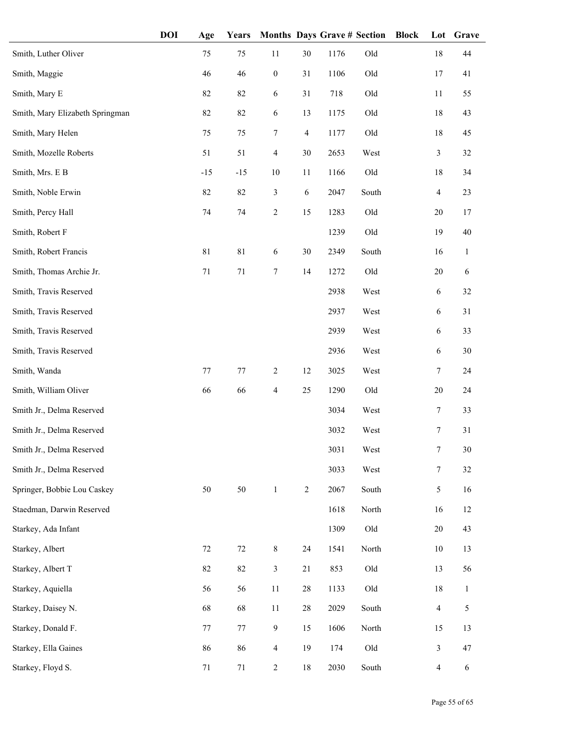|                                 | <b>DOI</b> | Age    | Years  |                  |                | <b>Months Days Grave # Section</b> |                | <b>Block</b> |                | Lot Grave    |  |
|---------------------------------|------------|--------|--------|------------------|----------------|------------------------------------|----------------|--------------|----------------|--------------|--|
| Smith, Luther Oliver            |            | 75     | $75\,$ | $11\,$           | $30\,$         | 1176                               | $\mathrm{Old}$ |              | $18\,$         | $44\,$       |  |
| Smith, Maggie                   |            | 46     | $46\,$ | $\boldsymbol{0}$ | 31             | 1106                               | Old            |              | 17             | 41           |  |
| Smith, Mary E                   |            | 82     | 82     | 6                | 31             | 718                                | $\mathrm{Old}$ |              | 11             | 55           |  |
| Smith, Mary Elizabeth Springman |            | 82     | 82     | 6                | 13             | 1175                               | $\mathrm{Old}$ |              | $18\,$         | 43           |  |
| Smith, Mary Helen               |            | 75     | $75\,$ | 7                | $\overline{4}$ | 1177                               | $\mathrm{Old}$ |              | $18\,$         | 45           |  |
| Smith, Mozelle Roberts          |            | 51     | 51     | 4                | 30             | 2653                               | West           |              | 3              | $32\,$       |  |
| Smith, Mrs. E B                 |            | $-15$  | $-15$  | 10               | 11             | 1166                               | Old            |              | 18             | 34           |  |
| Smith, Noble Erwin              |            | 82     | 82     | $\mathfrak{Z}$   | 6              | 2047                               | South          |              | 4              | 23           |  |
| Smith, Percy Hall               |            | $74\,$ | 74     | $\overline{c}$   | 15             | 1283                               | Old            |              | $20\,$         | 17           |  |
| Smith, Robert F                 |            |        |        |                  |                | 1239                               | Old            |              | 19             | $40\,$       |  |
| Smith, Robert Francis           |            | 81     | $81\,$ | 6                | 30             | 2349                               | South          |              | 16             | $1\,$        |  |
| Smith, Thomas Archie Jr.        |            | $71\,$ | $71\,$ | $\tau$           | 14             | 1272                               | Old            |              | $20\,$         | $\sqrt{6}$   |  |
| Smith, Travis Reserved          |            |        |        |                  |                | 2938                               | West           |              | 6              | $32\,$       |  |
| Smith, Travis Reserved          |            |        |        |                  |                | 2937                               | West           |              | 6              | 31           |  |
| Smith, Travis Reserved          |            |        |        |                  |                | 2939                               | West           |              | 6              | 33           |  |
| Smith, Travis Reserved          |            |        |        |                  |                | 2936                               | West           |              | 6              | $30\,$       |  |
| Smith, Wanda                    |            | $77\,$ | 77     | $\overline{c}$   | 12             | 3025                               | West           |              | 7              | 24           |  |
| Smith, William Oliver           |            | 66     | 66     | $\overline{4}$   | $25\,$         | 1290                               | Old            |              | 20             | 24           |  |
| Smith Jr., Delma Reserved       |            |        |        |                  |                | 3034                               | West           |              | 7              | 33           |  |
| Smith Jr., Delma Reserved       |            |        |        |                  |                | 3032                               | West           |              | 7              | $31\,$       |  |
| Smith Jr., Delma Reserved       |            |        |        |                  |                | 3031                               | West           |              | 7              | $30\,$       |  |
| Smith Jr., Delma Reserved       |            |        |        |                  |                | 3033                               | West           |              | 7              | 32           |  |
| Springer, Bobbie Lou Caskey     |            | 50     | 50     | $\mathbf{1}$     | $\sqrt{2}$     | 2067                               | South          |              | 5              | 16           |  |
| Staedman, Darwin Reserved       |            |        |        |                  |                | 1618                               | North          |              | 16             | 12           |  |
| Starkey, Ada Infant             |            |        |        |                  |                | 1309                               | Old            |              | $20\,$         | 43           |  |
| Starkey, Albert                 |            | $72\,$ | $72\,$ | 8                | 24             | 1541                               | North          |              | $10\,$         | 13           |  |
| Starkey, Albert T               |            | 82     | 82     | 3                | 21             | 853                                | $\rm Old$      |              | 13             | 56           |  |
| Starkey, Aquiella               |            | 56     | 56     | $11\,$           | $28\,$         | 1133                               | Old            |              | $18\,$         | $\mathbf{1}$ |  |
| Starkey, Daisey N.              |            | 68     | 68     | 11               | $28\,$         | 2029                               | South          |              | $\overline{4}$ | 5            |  |
| Starkey, Donald F.              |            | $77\,$ | $77\,$ | 9                | 15             | 1606                               | North          |              | 15             | 13           |  |
| Starkey, Ella Gaines            |            | 86     | 86     | $\overline{4}$   | 19             | 174                                | Old            |              | 3              | $47\,$       |  |
| Starkey, Floyd S.               |            | $71\,$ | 71     | $\overline{2}$   | $18\,$         | 2030                               | South          |              | $\overline{4}$ | $\sqrt{6}$   |  |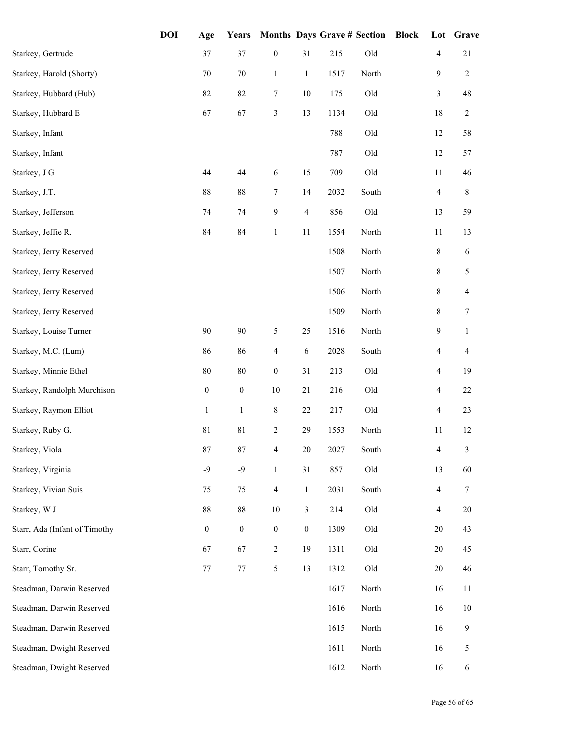|                               | <b>DOI</b> | Age              | Years            |                  |                  | Months Days Grave # Section |                | <b>Block</b> |                         | Lot Grave        |
|-------------------------------|------------|------------------|------------------|------------------|------------------|-----------------------------|----------------|--------------|-------------------------|------------------|
| Starkey, Gertrude             |            | 37               | $37\,$           | $\boldsymbol{0}$ | 31               | 215                         | Old            |              | $\overline{\mathbf{4}}$ | 21               |
| Starkey, Harold (Shorty)      |            | $70\,$           | $70\,$           | $\mathbf{1}$     | $\mathbf{1}$     | 1517                        | North          |              | 9                       | $\sqrt{2}$       |
| Starkey, Hubbard (Hub)        |            | 82               | 82               | $\boldsymbol{7}$ | $10\,$           | 175                         | Old            |              | 3                       | 48               |
| Starkey, Hubbard E            |            | 67               | 67               | $\mathfrak{Z}$   | 13               | 1134                        | Old            |              | $18\,$                  | $\sqrt{2}$       |
| Starkey, Infant               |            |                  |                  |                  |                  | 788                         | $\mathrm{Old}$ |              | 12                      | 58               |
| Starkey, Infant               |            |                  |                  |                  |                  | 787                         | Old            |              | 12                      | 57               |
| Starkey, J G                  |            | 44               | $44$             | $\sqrt{6}$       | 15               | 709                         | Old            |              | 11                      | $46\,$           |
| Starkey, J.T.                 |            | $88\,$           | $88\,$           | $\tau$           | 14               | 2032                        | South          |              | 4                       | $\,$ 8 $\,$      |
| Starkey, Jefferson            |            | $74\,$           | 74               | 9                | $\overline{4}$   | 856                         | $\mathrm{Old}$ |              | 13                      | 59               |
| Starkey, Jeffie R.            |            | $\rm 84$         | 84               | $\mathbf{1}$     | 11               | 1554                        | North          |              | 11                      | 13               |
| Starkey, Jerry Reserved       |            |                  |                  |                  |                  | 1508                        | North          |              | 8                       | $\sqrt{6}$       |
| Starkey, Jerry Reserved       |            |                  |                  |                  |                  | 1507                        | North          |              | 8                       | $\mathfrak s$    |
| Starkey, Jerry Reserved       |            |                  |                  |                  |                  | 1506                        | North          |              | $\,8\,$                 | $\overline{4}$   |
| Starkey, Jerry Reserved       |            |                  |                  |                  |                  | 1509                        | North          |              | 8                       | $\boldsymbol{7}$ |
| Starkey, Louise Turner        |            | $90\,$           | $90\,$           | 5                | 25               | 1516                        | North          |              | 9                       | $\mathbf{1}$     |
| Starkey, M.C. (Lum)           |            | 86               | 86               | $\overline{4}$   | $\sqrt{6}$       | 2028                        | South          |              | $\overline{\mathbf{4}}$ | $\overline{4}$   |
| Starkey, Minnie Ethel         |            | $80\,$           | $80\,$           | $\boldsymbol{0}$ | 31               | 213                         | $\mathrm{Old}$ |              | $\overline{\mathbf{4}}$ | 19               |
| Starkey, Randolph Murchison   |            | $\boldsymbol{0}$ | $\boldsymbol{0}$ | $10\,$           | 21               | 216                         | $\mathrm{Old}$ |              | 4                       | $22\,$           |
| Starkey, Raymon Elliot        |            | $\mathbf{1}$     | $\mathbf{1}$     | $8\,$            | $22\,$           | 217                         | Old            |              | 4                       | $23\,$           |
| Starkey, Ruby G.              |            | $8\sqrt{1}$      | $8\sqrt{1}$      | $\overline{c}$   | 29               | 1553                        | North          |              | $11\,$                  | $12\,$           |
| Starkey, Viola                |            | $87\,$           | 87               | $\overline{4}$   | 20               | 2027                        | South          |              | 4                       | 3                |
| Starkey, Virginia             |            | $-9$             | $-9$             | $\mathbf{1}$     | 31               | 857                         | Old            |              | 13                      | 60               |
| Starkey, Vivian Suis          |            | 75               | $75\,$           | $\overline{4}$   | $\mathbf{1}$     | 2031                        | South          |              | $\overline{4}$          | $\tau$           |
| Starkey, W J                  |            | $88\,$           | $88\,$           | 10               | 3                | 214                         | $\mathrm{Old}$ |              | 4                       | $20\,$           |
| Starr, Ada (Infant of Timothy |            | $\boldsymbol{0}$ | $\boldsymbol{0}$ | $\boldsymbol{0}$ | $\boldsymbol{0}$ | 1309                        | Old            |              | 20                      | 43               |
| Starr, Corine                 |            | 67               | 67               | $\overline{c}$   | 19               | 1311                        | Old            |              | $20\,$                  | 45               |
| Starr, Tomothy Sr.            |            | $77\,$           | $77\,$           | $\mathfrak{H}$   | 13               | 1312                        | $\mathrm{Old}$ |              | $20\,$                  | 46               |
| Steadman, Darwin Reserved     |            |                  |                  |                  |                  | 1617                        | North          |              | 16                      | 11               |
| Steadman, Darwin Reserved     |            |                  |                  |                  |                  | 1616                        | North          |              | 16                      | $10\,$           |
| Steadman, Darwin Reserved     |            |                  |                  |                  |                  | 1615                        | North          |              | 16                      | 9                |
| Steadman, Dwight Reserved     |            |                  |                  |                  |                  | 1611                        | North          |              | 16                      | 5                |
| Steadman, Dwight Reserved     |            |                  |                  |                  |                  | 1612                        | North          |              | 16                      | $\sqrt{6}$       |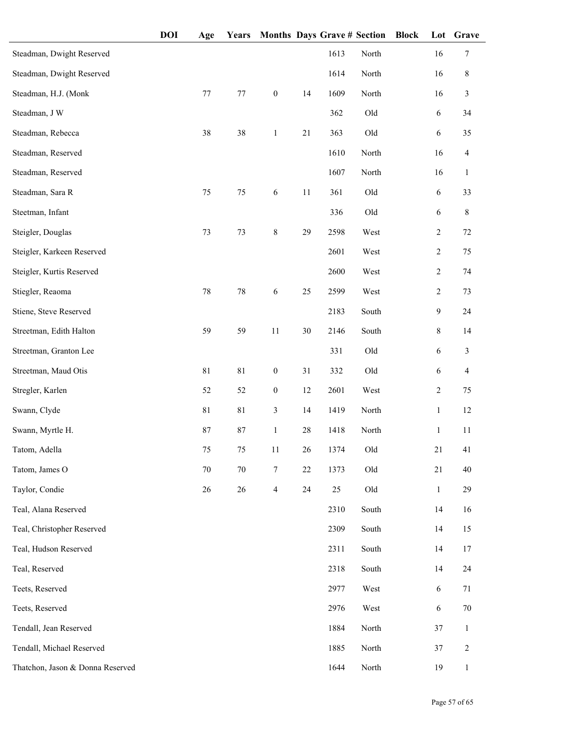|                                  | <b>DOI</b> | Age    | Years  |                  |        | Months Days Grave # Section |                | <b>Block</b> |                | Lot Grave               |
|----------------------------------|------------|--------|--------|------------------|--------|-----------------------------|----------------|--------------|----------------|-------------------------|
| Steadman, Dwight Reserved        |            |        |        |                  |        | 1613                        | North          |              | 16             | $\boldsymbol{7}$        |
| Steadman, Dwight Reserved        |            |        |        |                  |        | 1614                        | North          |              | 16             | 8                       |
| Steadman, H.J. (Monk             |            | 77     | $77\,$ | $\boldsymbol{0}$ | 14     | 1609                        | North          |              | 16             | 3                       |
| Steadman, J W                    |            |        |        |                  |        | 362                         | $\mathrm{Old}$ |              | 6              | 34                      |
| Steadman, Rebecca                |            | $38\,$ | 38     | $\mathbf{1}$     | $21\,$ | 363                         | Old            |              | 6              | 35                      |
| Steadman, Reserved               |            |        |        |                  |        | 1610                        | North          |              | 16             | 4                       |
| Steadman, Reserved               |            |        |        |                  |        | 1607                        | North          |              | 16             | $\mathbf{1}$            |
| Steadman, Sara R                 |            | 75     | 75     | $\sqrt{6}$       | $11\,$ | 361                         | $\mathrm{Old}$ |              | 6              | 33                      |
| Steetman, Infant                 |            |        |        |                  |        | 336                         | Old            |              | 6              | $\,8\,$                 |
| Steigler, Douglas                |            | 73     | $73\,$ | $8\,$            | 29     | 2598                        | West           |              | $\overline{c}$ | $72\,$                  |
| Steigler, Karkeen Reserved       |            |        |        |                  |        | 2601                        | West           |              | $\overline{c}$ | 75                      |
| Steigler, Kurtis Reserved        |            |        |        |                  |        | 2600                        | West           |              | $\sqrt{2}$     | $74\,$                  |
| Stiegler, Reaoma                 |            | $78\,$ | $78\,$ | 6                | $25\,$ | 2599                        | West           |              | $\overline{c}$ | 73                      |
| Stiene, Steve Reserved           |            |        |        |                  |        | 2183                        | South          |              | 9              | 24                      |
| Streetman, Edith Halton          |            | 59     | 59     | 11               | $30\,$ | 2146                        | South          |              | 8              | 14                      |
| Streetman, Granton Lee           |            |        |        |                  |        | 331                         | $\mathrm{Old}$ |              | 6              | 3                       |
| Streetman, Maud Otis             |            | $81\,$ | $81\,$ | $\boldsymbol{0}$ | 31     | 332                         | Old            |              | 6              | $\overline{\mathbf{4}}$ |
| Stregler, Karlen                 |            | 52     | 52     | $\boldsymbol{0}$ | 12     | 2601                        | West           |              | $\overline{c}$ | 75                      |
| Swann, Clyde                     |            | 81     | $81\,$ | 3                | 14     | 1419                        | North          |              | $\mathbf{1}$   | 12                      |
| Swann, Myrtle H.                 |            | $87\,$ | $87\,$ | $\mathbf{1}$     | $28\,$ | 1418                        | North          |              | $\mathbf{1}$   | $11\,$                  |
| Tatom, Adella                    |            | 75     | $75\,$ | 11               | $26\,$ | 1374                        | Old            |              | 21             | 41                      |
| Tatom, James O                   |            | 70     | 70     | 7                | $22\,$ | 1373                        | Old            |              | 21             | 40                      |
| Taylor, Condie                   |            | $26\,$ | $26\,$ | $\overline{4}$   | 24     | 25                          | Old            |              | $\mathbf{1}$   | 29                      |
| Teal, Alana Reserved             |            |        |        |                  |        | 2310                        | South          |              | 14             | 16                      |
| Teal, Christopher Reserved       |            |        |        |                  |        | 2309                        | South          |              | 14             | 15                      |
| Teal, Hudson Reserved            |            |        |        |                  |        | 2311                        | South          |              | 14             | 17                      |
| Teal, Reserved                   |            |        |        |                  |        | 2318                        | South          |              | 14             | 24                      |
| Teets, Reserved                  |            |        |        |                  |        | 2977                        | West           |              | 6              | 71                      |
| Teets, Reserved                  |            |        |        |                  |        | 2976                        | West           |              | 6              | $70\,$                  |
| Tendall, Jean Reserved           |            |        |        |                  |        | 1884                        | North          |              | 37             | $\mathbf{1}$            |
| Tendall, Michael Reserved        |            |        |        |                  |        | 1885                        | North          |              | 37             | $\overline{c}$          |
| Thatchon, Jason & Donna Reserved |            |        |        |                  |        | 1644                        | North          |              | 19             | $\mathbf{1}$            |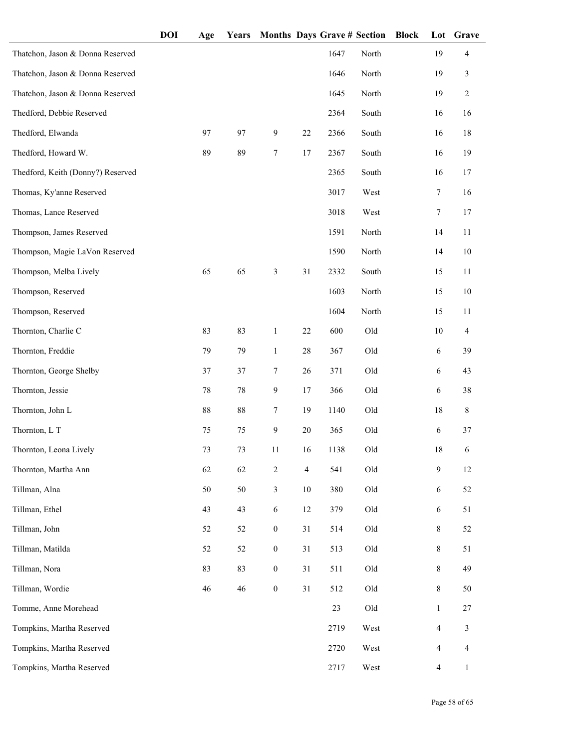|                                   | <b>DOI</b> | Age    | Years  |                  |                |      | <b>Months Days Grave # Section</b> | <b>Block</b> |                  | Lot Grave      |
|-----------------------------------|------------|--------|--------|------------------|----------------|------|------------------------------------|--------------|------------------|----------------|
| Thatchon, Jason & Donna Reserved  |            |        |        |                  |                | 1647 | North                              |              | 19               | $\overline{4}$ |
| Thatchon, Jason & Donna Reserved  |            |        |        |                  |                | 1646 | North                              |              | 19               | 3              |
| Thatchon, Jason & Donna Reserved  |            |        |        |                  |                | 1645 | North                              |              | 19               | $\sqrt{2}$     |
| Thedford, Debbie Reserved         |            |        |        |                  |                | 2364 | South                              |              | 16               | 16             |
| Thedford, Elwanda                 |            | 97     | 97     | 9                | $22\,$         | 2366 | South                              |              | 16               | 18             |
| Thedford, Howard W.               |            | 89     | 89     | $\boldsymbol{7}$ | 17             | 2367 | South                              |              | 16               | 19             |
| Thedford, Keith (Donny?) Reserved |            |        |        |                  |                | 2365 | South                              |              | 16               | 17             |
| Thomas, Ky'anne Reserved          |            |        |        |                  |                | 3017 | West                               |              | $\boldsymbol{7}$ | 16             |
| Thomas, Lance Reserved            |            |        |        |                  |                | 3018 | West                               |              | $\boldsymbol{7}$ | 17             |
| Thompson, James Reserved          |            |        |        |                  |                | 1591 | North                              |              | 14               | 11             |
| Thompson, Magie LaVon Reserved    |            |        |        |                  |                | 1590 | North                              |              | 14               | 10             |
| Thompson, Melba Lively            |            | 65     | 65     | $\mathfrak{Z}$   | 31             | 2332 | South                              |              | 15               | 11             |
| Thompson, Reserved                |            |        |        |                  |                | 1603 | North                              |              | 15               | 10             |
| Thompson, Reserved                |            |        |        |                  |                | 1604 | North                              |              | 15               | 11             |
| Thornton, Charlie C               |            | 83     | 83     | $\mathbf{1}$     | $22\,$         | 600  | Old                                |              | 10               | $\overline{4}$ |
| Thornton, Freddie                 |            | 79     | 79     | $\mathbf{1}$     | $28\,$         | 367  | Old                                |              | 6                | 39             |
| Thornton, George Shelby           |            | 37     | 37     | 7                | $26\,$         | 371  | Old                                |              | 6                | 43             |
| Thornton, Jessie                  |            | $78\,$ | $78\,$ | 9                | 17             | 366  | Old                                |              | 6                | 38             |
| Thornton, John L                  |            | 88     | $88\,$ | 7                | 19             | 1140 | Old                                |              | $18\,$           | 8              |
| Thornton, L T                     |            | 75     | 75     | 9                | 20             | 365  | Old                                |              | 6                | $37\,$         |
| Thornton, Leona Lively            |            | 73     | 73     | 11               | 16             | 1138 | Old                                |              | 18               | 6              |
| Thornton, Martha Ann              |            | 62     | 62     | $\boldsymbol{2}$ | $\overline{4}$ | 541  | Old                                |              | 9                | 12             |
| Tillman, Alna                     |            | 50     | $50\,$ | 3                | $10\,$         | 380  | Old                                |              | 6                | 52             |
| Tillman, Ethel                    |            | 43     | 43     | $\sqrt{6}$       | 12             | 379  | Old                                |              | 6                | 51             |
| Tillman, John                     |            | 52     | 52     | $\boldsymbol{0}$ | 31             | 514  | Old                                |              | 8                | 52             |
| Tillman, Matilda                  |            | 52     | 52     | $\boldsymbol{0}$ | 31             | 513  | Old                                |              | $\,$ 8 $\,$      | 51             |
| Tillman, Nora                     |            | 83     | 83     | $\boldsymbol{0}$ | 31             | 511  | Old                                |              | $\,$ 8 $\,$      | 49             |
| Tillman, Wordie                   |            | $46\,$ | 46     | $\boldsymbol{0}$ | 31             | 512  | Old                                |              | $\,$ 8 $\,$      | 50             |
| Tomme, Anne Morehead              |            |        |        |                  |                | 23   | Old                                |              | $\mathbf{1}$     | $27\,$         |
| Tompkins, Martha Reserved         |            |        |        |                  |                | 2719 | West                               |              | $\overline{4}$   | 3              |
| Tompkins, Martha Reserved         |            |        |        |                  |                | 2720 | West                               |              | 4                | 4              |
| Tompkins, Martha Reserved         |            |        |        |                  |                | 2717 | West                               |              | $\overline{4}$   | $\mathbf{1}$   |
|                                   |            |        |        |                  |                |      |                                    |              |                  |                |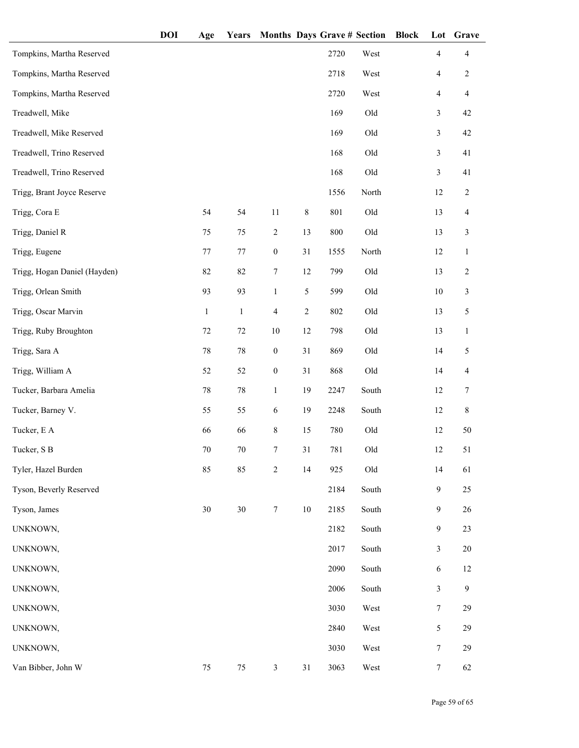|                              | <b>DOI</b> | Age          | Years        |                          |                | Months Days Grave # Section |                | <b>Block</b> |                  | Lot Grave        |
|------------------------------|------------|--------------|--------------|--------------------------|----------------|-----------------------------|----------------|--------------|------------------|------------------|
| Tompkins, Martha Reserved    |            |              |              |                          |                | 2720                        | West           |              | 4                | 4                |
| Tompkins, Martha Reserved    |            |              |              |                          |                | 2718                        | West           |              | 4                | $\overline{c}$   |
| Tompkins, Martha Reserved    |            |              |              |                          |                | 2720                        | West           |              | 4                | $\overline{4}$   |
| Treadwell, Mike              |            |              |              |                          |                | 169                         | $\mathrm{Old}$ |              | 3                | 42               |
| Treadwell, Mike Reserved     |            |              |              |                          |                | 169                         | Old            |              | 3                | 42               |
| Treadwell, Trino Reserved    |            |              |              |                          |                | 168                         | Old            |              | 3                | 41               |
| Treadwell, Trino Reserved    |            |              |              |                          |                | 168                         | $\mathrm{Old}$ |              | 3                | 41               |
| Trigg, Brant Joyce Reserve   |            |              |              |                          |                | 1556                        | North          |              | 12               | $\overline{c}$   |
| Trigg, Cora E                |            | 54           | 54           | 11                       | $\,$ 8 $\,$    | 801                         | $\mathrm{Old}$ |              | 13               | 4                |
| Trigg, Daniel R              |            | 75           | 75           | $\sqrt{2}$               | 13             | $800\,$                     | $\rm Old$      |              | 13               | $\mathfrak{Z}$   |
| Trigg, Eugene                |            | $77\,$       | $77\,$       | $\boldsymbol{0}$         | 31             | 1555                        | North          |              | 12               | $\mathbf{1}$     |
| Trigg, Hogan Daniel (Hayden) |            | 82           | $82\,$       | $\boldsymbol{7}$         | 12             | 799                         | $\mathrm{Old}$ |              | 13               | $\boldsymbol{2}$ |
| Trigg, Orlean Smith          |            | 93           | 93           | $\mathbf{1}$             | $\mathfrak s$  | 599                         | Old            |              | 10               | $\mathfrak{Z}$   |
| Trigg, Oscar Marvin          |            | $\mathbf{1}$ | $\mathbf{1}$ | $\overline{4}$           | $\overline{c}$ | 802                         | $\mathrm{Old}$ |              | 13               | 5                |
| Trigg, Ruby Broughton        |            | $72\,$       | $72\,$       | 10                       | 12             | 798                         | Old            |              | 13               | $\mathbf{1}$     |
| Trigg, Sara A                |            | $78\,$       | $78\,$       | $\boldsymbol{0}$         | 31             | 869                         | Old            |              | 14               | 5                |
| Trigg, William A             |            | 52           | 52           | $\boldsymbol{0}$         | 31             | 868                         | $\mathrm{Old}$ |              | 14               | 4                |
| Tucker, Barbara Amelia       |            | $78\,$       | $78\,$       | $\mathbf{1}$             | 19             | 2247                        | South          |              | 12               | $\boldsymbol{7}$ |
| Tucker, Barney V.            |            | 55           | 55           | 6                        | 19             | 2248                        | South          |              | 12               | $\,8\,$          |
| Tucker, E A                  |            | 66           | 66           | $8\,$                    | 15             | 780                         | $\mathrm{Old}$ |              | 12               | $50\,$           |
| Tucker, S B                  |            | $70\,$       | $70\,$       | $\overline{\phantom{a}}$ | 31             | 781                         | $\rm Old$      |              | 12               | 51               |
| Tyler, Hazel Burden          |            | 85           | 85           | $\sqrt{2}$               | 14             | 925                         | Old            |              | 14               | 61               |
| Tyson, Beverly Reserved      |            |              |              |                          |                | 2184                        | South          |              | 9                | 25               |
| Tyson, James                 |            | 30           | 30           | $\boldsymbol{7}$         | $10\,$         | 2185                        | South          |              | 9                | $26\,$           |
| UNKNOWN,                     |            |              |              |                          |                | 2182                        | South          |              | 9                | 23               |
| UNKNOWN,                     |            |              |              |                          |                | 2017                        | South          |              | 3                | $20\,$           |
| UNKNOWN,                     |            |              |              |                          |                | 2090                        | South          |              | 6                | 12               |
| UNKNOWN,                     |            |              |              |                          |                | 2006                        | South          |              | 3                | $\overline{9}$   |
| UNKNOWN,                     |            |              |              |                          |                | 3030                        | West           |              | 7                | 29               |
| UNKNOWN,                     |            |              |              |                          |                | 2840                        | West           |              | 5                | $29\,$           |
| UNKNOWN,                     |            |              |              |                          |                | 3030                        | West           |              | 7                | 29               |
| Van Bibber, John W           |            | 75           | $75\,$       | $\mathfrak{Z}$           | 31             | 3063                        | West           |              | $\boldsymbol{7}$ | 62               |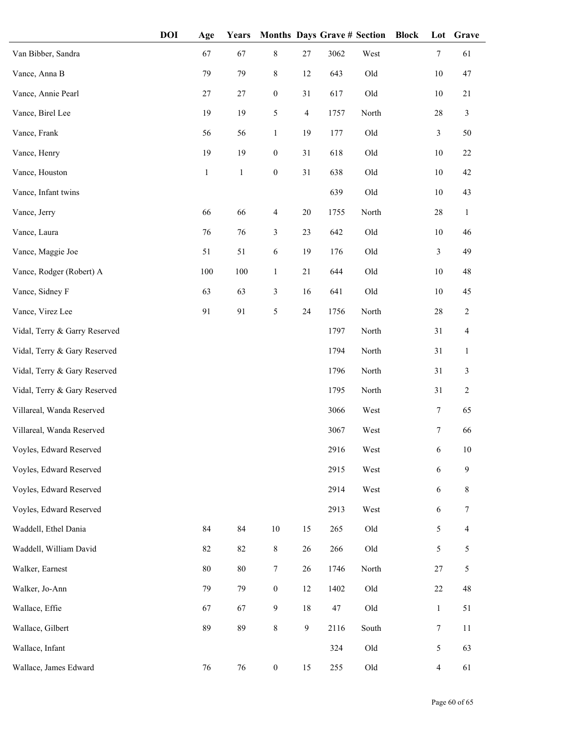|                               | <b>DOI</b> | Age          | Years        |                  |                  | Months Days Grave # Section |                | <b>Block</b> |                  | Lot Grave      |
|-------------------------------|------------|--------------|--------------|------------------|------------------|-----------------------------|----------------|--------------|------------------|----------------|
| Van Bibber, Sandra            |            | 67           | 67           | $\,$ $\,$        | $27\,$           | 3062                        | West           |              | $\boldsymbol{7}$ | 61             |
| Vance, Anna B                 |            | 79           | 79           | $\,$ $\,$        | 12               | 643                         | $\mathrm{Old}$ |              | 10               | $47\,$         |
| Vance, Annie Pearl            |            | $27\,$       | 27           | $\boldsymbol{0}$ | 31               | 617                         | $\mathrm{Old}$ |              | $10\,$           | 21             |
| Vance, Birel Lee              |            | 19           | 19           | 5                | $\overline{4}$   | 1757                        | North          |              | $28\,$           | $\mathfrak{Z}$ |
| Vance, Frank                  |            | 56           | 56           | $\mathbf{1}$     | 19               | 177                         | $\mathrm{Old}$ |              | $\mathfrak{Z}$   | 50             |
| Vance, Henry                  |            | 19           | 19           | $\boldsymbol{0}$ | 31               | 618                         | $\mathrm{Old}$ |              | 10               | $22\,$         |
| Vance, Houston                |            | $\mathbf{1}$ | $\mathbf{1}$ | $\boldsymbol{0}$ | 31               | 638                         | $\mathrm{Old}$ |              | $10\,$           | 42             |
| Vance, Infant twins           |            |              |              |                  |                  | 639                         | $\mathrm{Old}$ |              | $10\,$           | 43             |
| Vance, Jerry                  |            | 66           | 66           | $\overline{4}$   | $20\,$           | 1755                        | North          |              | 28               | $\,1\,$        |
| Vance, Laura                  |            | 76           | 76           | 3                | 23               | 642                         | $\mathrm{Old}$ |              | 10               | $46\,$         |
| Vance, Maggie Joe             |            | 51           | 51           | 6                | 19               | 176                         | Old            |              | 3                | 49             |
| Vance, Rodger (Robert) A      |            | 100          | 100          | $\,1$            | 21               | 644                         | $\mathrm{Old}$ |              | $10\,$           | $48\,$         |
| Vance, Sidney F               |            | 63           | 63           | $\mathfrak{Z}$   | 16               | 641                         | $\mathrm{Old}$ |              | $10\,$           | 45             |
| Vance, Virez Lee              |            | 91           | 91           | 5                | 24               | 1756                        | North          |              | 28               | $\overline{2}$ |
| Vidal, Terry & Garry Reserved |            |              |              |                  |                  | 1797                        | North          |              | 31               | $\overline{4}$ |
| Vidal, Terry & Gary Reserved  |            |              |              |                  |                  | 1794                        | North          |              | 31               | $\mathbf{1}$   |
| Vidal, Terry & Gary Reserved  |            |              |              |                  |                  | 1796                        | North          |              | 31               | $\mathfrak{Z}$ |
| Vidal, Terry & Gary Reserved  |            |              |              |                  |                  | 1795                        | North          |              | $31\,$           | $\sqrt{2}$     |
| Villareal, Wanda Reserved     |            |              |              |                  |                  | 3066                        | West           |              | 7                | 65             |
| Villareal, Wanda Reserved     |            |              |              |                  |                  | 3067                        | West           |              | 7                | 66             |
| Voyles, Edward Reserved       |            |              |              |                  |                  | 2916                        | West           |              | 6                | $10\,$         |
| Voyles, Edward Reserved       |            |              |              |                  |                  | 2915                        | West           |              | 6                | 9              |
| Voyles, Edward Reserved       |            |              |              |                  |                  | 2914                        | West           |              | 6                | 8              |
| Voyles, Edward Reserved       |            |              |              |                  |                  | 2913                        | West           |              | 6                | 7              |
| Waddell, Ethel Dania          |            | 84           | 84           | $10\,$           | 15               | 265                         | $\mathrm{Old}$ |              | 5                | $\overline{4}$ |
| Waddell, William David        |            | 82           | 82           | $\,$ 8 $\,$      | 26               | 266                         | $\mathrm{Old}$ |              | 5                | 5              |
| Walker, Earnest               |            | $80\,$       | $80\,$       | $\boldsymbol{7}$ | $26\,$           | 1746                        | North          |              | $27\,$           | 5              |
| Walker, Jo-Ann                |            | 79           | 79           | $\boldsymbol{0}$ | 12               | 1402                        | $\mathrm{Old}$ |              | $22\,$           | 48             |
| Wallace, Effie                |            | 67           | 67           | 9                | 18               | $47\,$                      | Old            |              | $\mathbf{1}$     | 51             |
| Wallace, Gilbert              |            | 89           | 89           | $\,$ $\,$        | $\boldsymbol{9}$ | 2116                        | South          |              | 7                | $11\,$         |
| Wallace, Infant               |            |              |              |                  |                  | 324                         | $\rm Old$      |              | 5                | 63             |
| Wallace, James Edward         |            | 76           | $76\,$       | $\boldsymbol{0}$ | 15               | 255                         | Old            |              | 4                | 61             |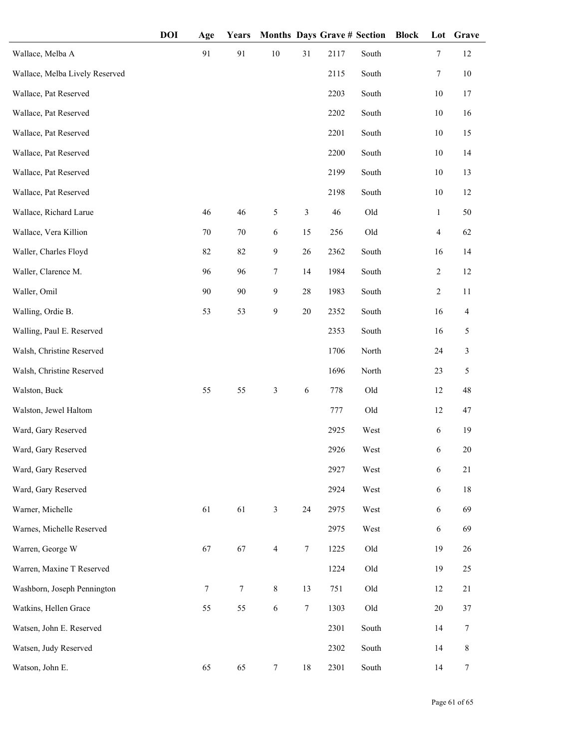|                                | <b>DOI</b> | Age    | Years            |                |                  |        | <b>Months Days Grave # Section</b> | <b>Block</b> |                          | Lot Grave      |  |
|--------------------------------|------------|--------|------------------|----------------|------------------|--------|------------------------------------|--------------|--------------------------|----------------|--|
| Wallace, Melba A               |            | 91     | 91               | $10\,$         | $31\,$           | 2117   | South                              |              | $\boldsymbol{7}$         | 12             |  |
| Wallace, Melba Lively Reserved |            |        |                  |                |                  | 2115   | South                              |              | $\boldsymbol{7}$         | 10             |  |
| Wallace, Pat Reserved          |            |        |                  |                |                  | 2203   | South                              |              | $10\,$                   | 17             |  |
| Wallace, Pat Reserved          |            |        |                  |                |                  | 2202   | South                              |              | $10\,$                   | 16             |  |
| Wallace, Pat Reserved          |            |        |                  |                |                  | 2201   | South                              |              | $10\,$                   | 15             |  |
| Wallace, Pat Reserved          |            |        |                  |                |                  | 2200   | South                              |              | $10\,$                   | 14             |  |
| Wallace, Pat Reserved          |            |        |                  |                |                  | 2199   | South                              |              | $10\,$                   | 13             |  |
| Wallace, Pat Reserved          |            |        |                  |                |                  | 2198   | South                              |              | $10\,$                   | 12             |  |
| Wallace, Richard Larue         |            | 46     | 46               | 5              | 3                | $46\,$ | Old                                |              | $\,1$                    | $50\,$         |  |
| Wallace, Vera Killion          |            | $70\,$ | $70\,$           | 6              | 15               | 256    | Old                                |              | $\overline{\mathcal{A}}$ | 62             |  |
| Waller, Charles Floyd          |            | $82\,$ | 82               | 9              | 26               | 2362   | South                              |              | 16                       | 14             |  |
| Waller, Clarence M.            |            | 96     | 96               | $\tau$         | 14               | 1984   | South                              |              | $\boldsymbol{2}$         | 12             |  |
| Waller, Omil                   |            | $90\,$ | 90               | 9              | 28               | 1983   | South                              |              | $\boldsymbol{2}$         | $11\,$         |  |
| Walling, Ordie B.              |            | 53     | 53               | 9              | $20\,$           | 2352   | South                              |              | 16                       | $\overline{4}$ |  |
| Walling, Paul E. Reserved      |            |        |                  |                |                  | 2353   | South                              |              | 16                       | 5              |  |
| Walsh, Christine Reserved      |            |        |                  |                |                  | 1706   | North                              |              | 24                       | 3              |  |
| Walsh, Christine Reserved      |            |        |                  |                |                  | 1696   | North                              |              | 23                       | 5              |  |
| Walston, Buck                  |            | 55     | 55               | 3              | 6                | 778    | Old                                |              | 12                       | 48             |  |
| Walston, Jewel Haltom          |            |        |                  |                |                  | 777    | Old                                |              | 12                       | $47\,$         |  |
| Ward, Gary Reserved            |            |        |                  |                |                  | 2925   | West                               |              | 6                        | 19             |  |
| Ward, Gary Reserved            |            |        |                  |                |                  | 2926   | West                               |              | 6                        | $20\,$         |  |
| Ward, Gary Reserved            |            |        |                  |                |                  | 2927   | West                               |              | 6                        | 21             |  |
| Ward, Gary Reserved            |            |        |                  |                |                  | 2924   | West                               |              | $\sqrt{6}$               | 18             |  |
| Warner, Michelle               |            | 61     | 61               | 3              | 24               | 2975   | West                               |              | 6                        | 69             |  |
| Warnes, Michelle Reserved      |            |        |                  |                |                  | 2975   | West                               |              | 6                        | 69             |  |
| Warren, George W               |            | 67     | 67               | $\overline{4}$ | $\boldsymbol{7}$ | 1225   | $\rm Old$                          |              | 19                       | $26\,$         |  |
| Warren, Maxine T Reserved      |            |        |                  |                |                  | 1224   | Old                                |              | 19                       | $25\,$         |  |
| Washborn, Joseph Pennington    |            | 7      | $\boldsymbol{7}$ | 8              | 13               | 751    | Old                                |              | 12                       | 21             |  |
| Watkins, Hellen Grace          |            | 55     | 55               | $\sqrt{6}$     | $7\phantom{.}$   | 1303   | Old                                |              | $20\,$                   | 37             |  |
| Watsen, John E. Reserved       |            |        |                  |                |                  | 2301   | South                              |              | 14                       | 7              |  |
| Watsen, Judy Reserved          |            |        |                  |                |                  | 2302   | South                              |              | 14                       | 8              |  |
| Watson, John E.                |            | 65     | 65               | $\tau$         | 18               | 2301   | South                              |              | 14                       | $\tau$         |  |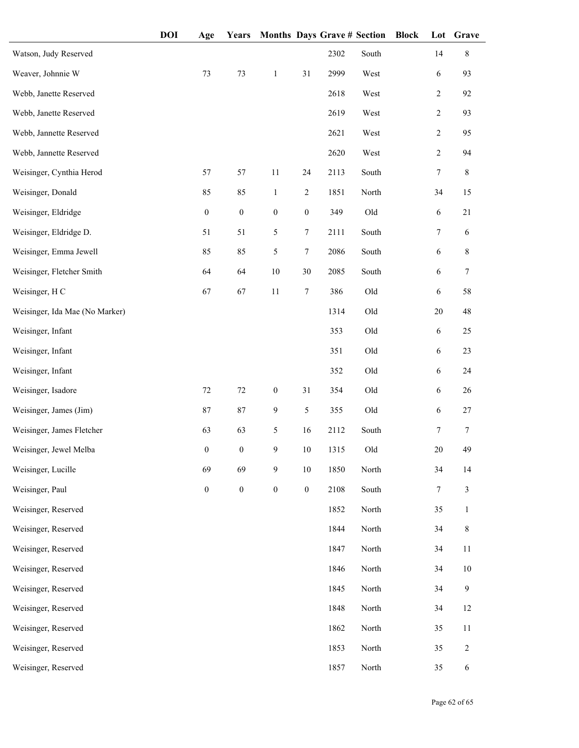|                                | DOI | Age              | Years            |                  |                  | <b>Months Days Grave # Section</b> |                | <b>Block</b> |                  | Lot Grave        |
|--------------------------------|-----|------------------|------------------|------------------|------------------|------------------------------------|----------------|--------------|------------------|------------------|
| Watson, Judy Reserved          |     |                  |                  |                  |                  | 2302                               | South          |              | 14               | $\,$ 8 $\,$      |
| Weaver, Johnnie W              |     | 73               | 73               | $\mathbf{1}$     | 31               | 2999                               | West           |              | 6                | 93               |
| Webb, Janette Reserved         |     |                  |                  |                  |                  | 2618                               | West           |              | $\overline{c}$   | 92               |
| Webb, Janette Reserved         |     |                  |                  |                  |                  | 2619                               | West           |              | $\overline{2}$   | 93               |
| Webb, Jannette Reserved        |     |                  |                  |                  |                  | 2621                               | West           |              | $\overline{c}$   | 95               |
| Webb, Jannette Reserved        |     |                  |                  |                  |                  | 2620                               | West           |              | $\overline{c}$   | 94               |
| Weisinger, Cynthia Herod       |     | 57               | 57               | 11               | 24               | 2113                               | South          |              | $\boldsymbol{7}$ | $\,8\,$          |
| Weisinger, Donald              |     | 85               | 85               | $\mathbf{1}$     | $\sqrt{2}$       | 1851                               | North          |              | 34               | 15               |
| Weisinger, Eldridge            |     | $\boldsymbol{0}$ | $\boldsymbol{0}$ | $\boldsymbol{0}$ | $\boldsymbol{0}$ | 349                                | Old            |              | $\sqrt{6}$       | $21\,$           |
| Weisinger, Eldridge D.         |     | 51               | 51               | 5                | $\boldsymbol{7}$ | 2111                               | South          |              | $\boldsymbol{7}$ | $\sqrt{6}$       |
| Weisinger, Emma Jewell         |     | 85               | 85               | $\mathfrak{S}$   | $\boldsymbol{7}$ | 2086                               | South          |              | 6                | $8\,$            |
| Weisinger, Fletcher Smith      |     | 64               | 64               | $10\,$           | $30\,$           | 2085                               | South          |              | 6                | $\boldsymbol{7}$ |
| Weisinger, H C                 |     | 67               | 67               | $11\,$           | $\boldsymbol{7}$ | 386                                | $\mathrm{Old}$ |              | $\sqrt{6}$       | 58               |
| Weisinger, Ida Mae (No Marker) |     |                  |                  |                  |                  | 1314                               | $\mathrm{Old}$ |              | $20\,$           | $\sqrt{48}$      |
| Weisinger, Infant              |     |                  |                  |                  |                  | 353                                | $\mathrm{Old}$ |              | $\sqrt{6}$       | $25\,$           |
| Weisinger, Infant              |     |                  |                  |                  |                  | 351                                | $\mathrm{Old}$ |              | 6                | $23\,$           |
| Weisinger, Infant              |     |                  |                  |                  |                  | 352                                | $\mathrm{Old}$ |              | 6                | 24               |
| Weisinger, Isadore             |     | $72\,$           | $72\,$           | $\boldsymbol{0}$ | 31               | 354                                | $\mathrm{Old}$ |              | 6                | $26\,$           |
| Weisinger, James (Jim)         |     | $87\,$           | $87\,$           | 9                | $\mathfrak{S}$   | 355                                | $\mathrm{Old}$ |              | 6                | $27\,$           |
| Weisinger, James Fletcher      |     | 63               | 63               | 5                | 16               | 2112                               | South          |              | 7                | $\boldsymbol{7}$ |
| Weisinger, Jewel Melba         |     | $\boldsymbol{0}$ | $\boldsymbol{0}$ | 9                | 10               | 1315                               | Old            |              | $20\,$           | 49               |
| Weisinger, Lucille             |     | 69               | 69               | 9                | $10\,$           | 1850                               | North          |              | 34               | 14               |
| Weisinger, Paul                |     | $\boldsymbol{0}$ | $\boldsymbol{0}$ | $\boldsymbol{0}$ | $\boldsymbol{0}$ | 2108                               | South          |              | $\boldsymbol{7}$ | 3                |
| Weisinger, Reserved            |     |                  |                  |                  |                  | 1852                               | North          |              | 35               | $\mathbf{1}$     |
| Weisinger, Reserved            |     |                  |                  |                  |                  | 1844                               | North          |              | 34               | $8\,$            |
| Weisinger, Reserved            |     |                  |                  |                  |                  | 1847                               | North          |              | 34               | $11\,$           |
| Weisinger, Reserved            |     |                  |                  |                  |                  | 1846                               | North          |              | 34               | $10\,$           |
| Weisinger, Reserved            |     |                  |                  |                  |                  | 1845                               | North          |              | 34               | $\overline{9}$   |
| Weisinger, Reserved            |     |                  |                  |                  |                  | 1848                               | North          |              | 34               | 12               |
| Weisinger, Reserved            |     |                  |                  |                  |                  | 1862                               | North          |              | 35               | $11\,$           |
| Weisinger, Reserved            |     |                  |                  |                  |                  | 1853                               | North          |              | 35               | $\sqrt{2}$       |
| Weisinger, Reserved            |     |                  |                  |                  |                  | 1857                               | North          |              | 35               | $\sqrt{6}$       |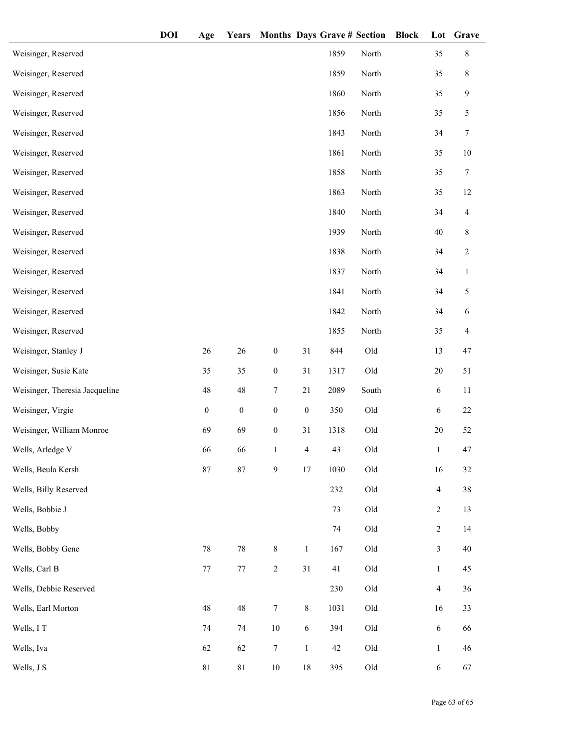|                                | <b>DOI</b> | Age              | Years            | Months Days Grave # Section |                  |      |           | <b>Block</b> |                  | Lot Grave      |
|--------------------------------|------------|------------------|------------------|-----------------------------|------------------|------|-----------|--------------|------------------|----------------|
| Weisinger, Reserved            |            |                  |                  |                             |                  | 1859 | North     |              | 35               | $\,8\,$        |
| Weisinger, Reserved            |            |                  |                  |                             |                  | 1859 | North     |              | 35               | $\,8\,$        |
| Weisinger, Reserved            |            |                  |                  |                             |                  | 1860 | North     |              | 35               | $\overline{9}$ |
| Weisinger, Reserved            |            |                  |                  |                             |                  | 1856 | North     |              | 35               | $\mathfrak{H}$ |
| Weisinger, Reserved            |            |                  |                  |                             |                  | 1843 | North     |              | 34               | $\tau$         |
| Weisinger, Reserved            |            |                  |                  |                             |                  | 1861 | North     |              | 35               | 10             |
| Weisinger, Reserved            |            |                  |                  |                             |                  | 1858 | North     |              | 35               | $\tau$         |
| Weisinger, Reserved            |            |                  |                  |                             |                  | 1863 | North     |              | 35               | 12             |
| Weisinger, Reserved            |            |                  |                  |                             |                  | 1840 | North     |              | 34               | $\overline{4}$ |
| Weisinger, Reserved            |            |                  |                  |                             |                  | 1939 | North     |              | $40\,$           | $\,8\,$        |
| Weisinger, Reserved            |            |                  |                  |                             |                  | 1838 | North     |              | 34               | $\sqrt{2}$     |
| Weisinger, Reserved            |            |                  |                  |                             |                  | 1837 | North     |              | 34               | $\mathbf{1}$   |
| Weisinger, Reserved            |            |                  |                  |                             |                  | 1841 | North     |              | 34               | $\mathfrak{H}$ |
| Weisinger, Reserved            |            |                  |                  |                             |                  | 1842 | North     |              | 34               | 6              |
| Weisinger, Reserved            |            |                  |                  |                             |                  | 1855 | North     |              | 35               | $\overline{4}$ |
| Weisinger, Stanley J           |            | $26\,$           | $26\,$           | $\boldsymbol{0}$            | 31               | 844  | $\rm Old$ |              | 13               | 47             |
| Weisinger, Susie Kate          |            | 35               | 35               | $\boldsymbol{0}$            | 31               | 1317 | Old       |              | $20\,$           | 51             |
| Weisinger, Theresia Jacqueline |            | 48               | 48               | 7                           | 21               | 2089 | South     |              | 6                | 11             |
| Weisinger, Virgie              |            | $\boldsymbol{0}$ | $\boldsymbol{0}$ | $\boldsymbol{0}$            | $\boldsymbol{0}$ | 350  | Old       |              | 6                | 22             |
| Weisinger, William Monroe      |            | 69               | 69               | $\boldsymbol{0}$            | 31               | 1318 | $\rm Old$ |              | $20\,$           | 52             |
| Wells, Arledge V               |            | 66               | 66               | 1                           | $\overline{4}$   | 43   | Old       |              | $\mathbf{1}$     | 47             |
| Wells, Beula Kersh             |            | 87               | $87\,$           | 9                           | 17               | 1030 | Old       |              | 16               | 32             |
| Wells, Billy Reserved          |            |                  |                  |                             |                  | 232  | $\rm Old$ |              | $\overline{4}$   | 38             |
| Wells, Bobbie J                |            |                  |                  |                             |                  | 73   | Old       |              | $\boldsymbol{2}$ | 13             |
| Wells, Bobby                   |            |                  |                  |                             |                  | 74   | Old       |              | $\boldsymbol{2}$ | 14             |
| Wells, Bobby Gene              |            | 78               | $78\,$           | $\,$ 8 $\,$                 | $\mathbf{1}$     | 167  | Old       |              | $\mathfrak{Z}$   | 40             |
| Wells, Carl B                  |            | $77 \,$          | $77 \,$          | $\sqrt{2}$                  | 31               | 41   | $\rm Old$ |              | $\mathbf{1}$     | 45             |
| Wells, Debbie Reserved         |            |                  |                  |                             |                  | 230  | Old       |              | $\overline{4}$   | 36             |
| Wells, Earl Morton             |            | 48               | $\sqrt{48}$      | 7                           | $\,8\,$          | 1031 | Old       |              | 16               | 33             |
| Wells, I T                     |            | 74               | 74               | $10\,$                      | 6                | 394  | Old       |              | 6                | 66             |
| Wells, Iva                     |            | 62               | 62               | $\boldsymbol{7}$            | $\mathbf{1}$     | 42   | $\rm Old$ |              | $\mathbf{1}$     | 46             |
| Wells, J S                     |            | $8\sqrt{1}$      | $81\,$           | $10\,$                      | 18               | 395  | Old       |              | 6                | 67             |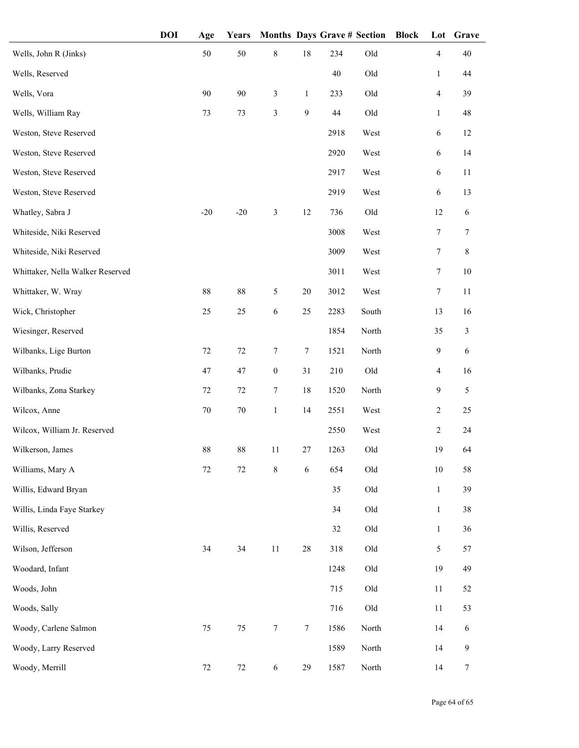|                                  | <b>DOI</b> | Age    | Years  |                  |                  | <b>Months Days Grave # Section</b> |                | <b>Block</b> |                         | Lot Grave        |
|----------------------------------|------------|--------|--------|------------------|------------------|------------------------------------|----------------|--------------|-------------------------|------------------|
| Wells, John R (Jinks)            |            | $50\,$ | 50     | $\,$ $\,$        | $18\,$           | 234                                | $\mathrm{Old}$ |              | $\overline{\mathbf{4}}$ | $40\,$           |
| Wells, Reserved                  |            |        |        |                  |                  | $40\,$                             | $\mathrm{Old}$ |              | $\mathbf{1}$            | $44\,$           |
| Wells, Vora                      |            | 90     | 90     | 3                | $\mathbf{1}$     | 233                                | Old            |              | 4                       | 39               |
| Wells, William Ray               |            | $73\,$ | 73     | $\mathfrak{Z}$   | $\mathbf{9}$     | 44                                 | Old            |              | $\mathbf{1}$            | $48\,$           |
| Weston, Steve Reserved           |            |        |        |                  |                  | 2918                               | West           |              | 6                       | 12               |
| Weston, Steve Reserved           |            |        |        |                  |                  | 2920                               | West           |              | 6                       | 14               |
| Weston, Steve Reserved           |            |        |        |                  |                  | 2917                               | West           |              | 6                       | 11               |
| Weston, Steve Reserved           |            |        |        |                  |                  | 2919                               | West           |              | 6                       | 13               |
| Whatley, Sabra J                 |            | $-20$  | $-20$  | 3                | 12               | 736                                | $\mathrm{Old}$ |              | 12                      | $\sqrt{6}$       |
| Whiteside, Niki Reserved         |            |        |        |                  |                  | 3008                               | West           |              | 7                       | $\boldsymbol{7}$ |
| Whiteside, Niki Reserved         |            |        |        |                  |                  | 3009                               | West           |              | $\boldsymbol{7}$        | $\,$ 8 $\,$      |
| Whittaker, Nella Walker Reserved |            |        |        |                  |                  | 3011                               | West           |              | 7                       | $10\,$           |
| Whittaker, W. Wray               |            | $88\,$ | $88\,$ | 5                | $20\,$           | 3012                               | West           |              | $\boldsymbol{7}$        | $11\,$           |
| Wick, Christopher                |            | $25\,$ | $25\,$ | 6                | $25\,$           | 2283                               | South          |              | 13                      | 16               |
| Wiesinger, Reserved              |            |        |        |                  |                  | 1854                               | North          |              | 35                      | $\mathfrak{Z}$   |
| Wilbanks, Lige Burton            |            | $72\,$ | $72\,$ | 7                | $\boldsymbol{7}$ | 1521                               | North          |              | 9                       | $\sqrt{6}$       |
| Wilbanks, Prudie                 |            | 47     | $47\,$ | $\boldsymbol{0}$ | 31               | 210                                | $\mathrm{Old}$ |              | 4                       | 16               |
| Wilbanks, Zona Starkey           |            | $72\,$ | $72\,$ | $\tau$           | $18\,$           | 1520                               | North          |              | 9                       | 5                |
| Wilcox, Anne                     |            | $70\,$ | $70\,$ | $\mathbf{1}$     | 14               | 2551                               | West           |              | 2                       | 25               |
| Wilcox, William Jr. Reserved     |            |        |        |                  |                  | 2550                               | West           |              | 2                       | 24               |
| Wilkerson, James                 |            | $88\,$ | $88\,$ | 11               | 27               | 1263                               | Old            |              | 19                      | 64               |
| Williams, Mary A                 |            | $72\,$ | $72\,$ | $\,$ 8 $\,$      | $\sqrt{6}$       | 654                                | Old            |              | $10\,$                  | 58               |
| Willis, Edward Bryan             |            |        |        |                  |                  | 35                                 | Old            |              | $\mathbf{1}$            | 39               |
| Willis, Linda Faye Starkey       |            |        |        |                  |                  | 34                                 | Old            |              | $\mathbf{1}$            | $3\,8$           |
| Willis, Reserved                 |            |        |        |                  |                  | $32\,$                             | Old            |              | $\mathbf{1}$            | 36               |
| Wilson, Jefferson                |            | 34     | 34     | 11               | $28\,$           | 318                                | Old            |              | 5                       | 57               |
| Woodard, Infant                  |            |        |        |                  |                  | 1248                               | Old            |              | 19                      | 49               |
| Woods, John                      |            |        |        |                  |                  | 715                                | Old            |              | 11                      | 52               |
| Woods, Sally                     |            |        |        |                  |                  | 716                                | Old            |              | 11                      | 53               |
| Woody, Carlene Salmon            |            | 75     | $75\,$ | $\boldsymbol{7}$ | $\boldsymbol{7}$ | 1586                               | North          |              | 14                      | $\sqrt{6}$       |
| Woody, Larry Reserved            |            |        |        |                  |                  | 1589                               | North          |              | 14                      | 9                |
| Woody, Merrill                   |            | $72\,$ | $72\,$ | $\sqrt{6}$       | 29               | 1587                               | North          |              | 14                      | $\boldsymbol{7}$ |
|                                  |            |        |        |                  |                  |                                    |                |              |                         |                  |